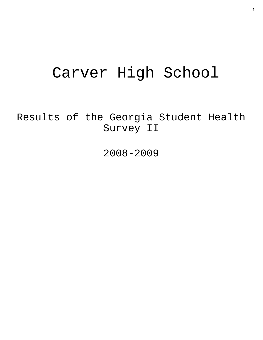# Carver High School

Results of the Georgia Student Health Survey II

2008-2009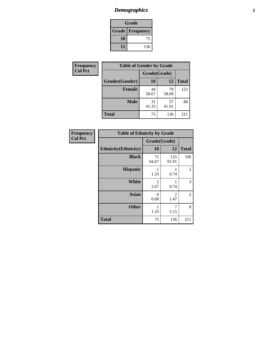# *Demographics* **2**

| Grade                  |     |  |  |
|------------------------|-----|--|--|
| <b>Grade Frequency</b> |     |  |  |
| 10                     | 75  |  |  |
| 12                     | 136 |  |  |

| <b>Frequency</b> | <b>Table of Gender by Grade</b> |              |             |              |  |
|------------------|---------------------------------|--------------|-------------|--------------|--|
| <b>Col Pct</b>   |                                 | Grade(Grade) |             |              |  |
|                  | Gender(Gender)                  | <b>10</b>    | 12          | <b>Total</b> |  |
|                  | <b>Female</b>                   | 44<br>58.67  | 79<br>58.09 | 123          |  |
|                  | <b>Male</b>                     | 31<br>41.33  | 57<br>41.91 | 88           |  |
|                  | <b>Total</b>                    | 75           | 136         | 211          |  |

| <b>Frequency</b> |  |
|------------------|--|
| <b>Col Pct</b>   |  |

| <b>Table of Ethnicity by Grade</b> |              |              |              |  |  |
|------------------------------------|--------------|--------------|--------------|--|--|
|                                    | Grade(Grade) |              |              |  |  |
| <b>Ethnicity</b> (Ethnicity)       | 10           | 12           | <b>Total</b> |  |  |
| <b>Black</b>                       | 71<br>94.67  | 125<br>91.91 | 196          |  |  |
| <b>Hispanic</b>                    | 1<br>1.33    | 0.74         | 2            |  |  |
| White                              | 2<br>2.67    | 0.74         | 3            |  |  |
| <b>Asian</b>                       | 0<br>0.00    | 2<br>1.47    | 2            |  |  |
| <b>Other</b>                       | 1<br>1.33    | 7<br>5.15    | 8            |  |  |
| <b>Total</b>                       | 75           | 136          | 211          |  |  |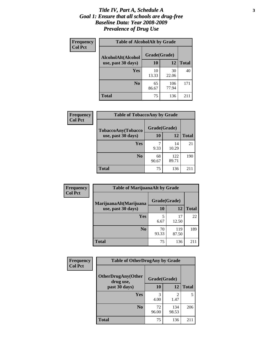#### *Title IV, Part A, Schedule A* **3** *Goal 1: Ensure that all schools are drug-free Baseline Data: Year 2008-2009 Prevalence of Drug Use*

| Frequency<br><b>Col Pct</b> | <b>Table of AlcoholAlt by Grade</b> |              |              |              |  |  |
|-----------------------------|-------------------------------------|--------------|--------------|--------------|--|--|
|                             | AlcoholAlt(Alcohol                  | Grade(Grade) |              |              |  |  |
|                             | use, past 30 days)                  | 10           | 12           | <b>Total</b> |  |  |
|                             | Yes                                 | 10<br>13.33  | 30<br>22.06  | 40           |  |  |
|                             | N <sub>0</sub>                      | 65<br>86.67  | 106<br>77.94 | 171          |  |  |
|                             | <b>Total</b>                        | 75           | 136          | 211          |  |  |

| Frequency      | <b>Table of TobaccoAny by Grade</b> |              |              |              |  |  |
|----------------|-------------------------------------|--------------|--------------|--------------|--|--|
| <b>Col Pct</b> | <b>TobaccoAny(Tobacco</b>           | Grade(Grade) |              |              |  |  |
|                | use, past 30 days)                  | 10           | 12           | <b>Total</b> |  |  |
|                | Yes                                 | 7<br>9.33    | 14<br>10.29  | 21           |  |  |
|                | N <sub>0</sub>                      | 68<br>90.67  | 122<br>89.71 | 190          |  |  |
|                | Total                               | 75           | 136          | 211          |  |  |

| Frequency<br><b>Col Pct</b> | <b>Table of MarijuanaAlt by Grade</b> |              |              |              |  |
|-----------------------------|---------------------------------------|--------------|--------------|--------------|--|
|                             | MarijuanaAlt(Marijuana                | Grade(Grade) |              |              |  |
|                             | use, past 30 days)                    | 10           | 12           | <b>Total</b> |  |
|                             | Yes                                   | 5<br>6.67    | 17<br>12.50  | 22           |  |
|                             | N <sub>0</sub>                        | 70<br>93.33  | 119<br>87.50 | 189          |  |
|                             | <b>Total</b>                          | 75           | 136          | 211          |  |

| Frequency<br><b>Col Pct</b> | <b>Table of OtherDrugAny by Grade</b>  |              |              |              |  |
|-----------------------------|----------------------------------------|--------------|--------------|--------------|--|
|                             | <b>OtherDrugAny(Other</b><br>drug use, | Grade(Grade) |              |              |  |
|                             | past 30 days)                          | 10           | 12           | <b>Total</b> |  |
|                             | Yes                                    | 4.00         | 2<br>1.47    | 5            |  |
|                             | N <sub>0</sub>                         | 72<br>96.00  | 134<br>98.53 | 206          |  |
|                             | <b>Total</b>                           | 75           | 136          | 211          |  |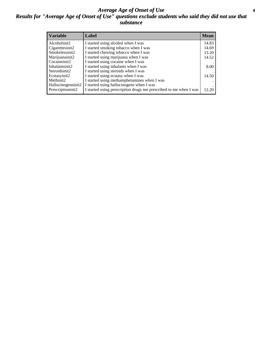#### *Average Age of Onset of Use* **4** *Results for "Average Age of Onset of Use" questions exclude students who said they did not use that substance*

| <b>Variable</b>    | Label                                                              | <b>Mean</b> |
|--------------------|--------------------------------------------------------------------|-------------|
| Alcoholinit2       | I started using alcohol when I was                                 | 14.83       |
| Cigarettesinit2    | I started smoking tobacco when I was                               | 14.69       |
| Smokelessinit2     | I started chewing tobacco when I was                               | 13.20       |
| Marijuanainit2     | I started using marijuana when I was                               | 14.52       |
| Cocaineinit2       | I started using cocaine when I was                                 |             |
| Inhalantsinit2     | I started using inhalants when I was                               | 8.00        |
| Steroidsinit2      | I started using steroids when I was                                |             |
| Ecstasyinit2       | I started using ecstasy when I was                                 | 14.50       |
| Methinit2          | I started using methamphetamines when I was                        |             |
| Hallucinogensinit2 | I started using hallucinogens when I was                           |             |
| Prescriptioninit2  | I started using prescription drugs not prescribed to me when I was | 12.20       |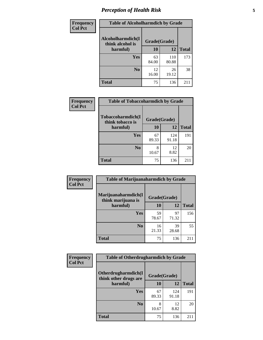# *Perception of Health Risk* **5**

| Frequency      | <b>Table of Alcoholharmdich by Grade</b> |              |              |              |  |
|----------------|------------------------------------------|--------------|--------------|--------------|--|
| <b>Col Pct</b> | Alcoholharmdich(I<br>think alcohol is    | Grade(Grade) |              |              |  |
|                | harmful)                                 | 10           | 12           | <b>Total</b> |  |
|                | <b>Yes</b>                               | 63<br>84.00  | 110<br>80.88 | 173          |  |
|                | N <sub>0</sub>                           | 12<br>16.00  | 26<br>19.12  | 38           |  |
|                | <b>Total</b>                             | 75           | 136          | 211          |  |

| Frequency      | <b>Table of Tobaccoharmdich by Grade</b> |              |              |              |  |
|----------------|------------------------------------------|--------------|--------------|--------------|--|
| <b>Col Pct</b> | Tobaccoharmdich(I<br>think tobacco is    | Grade(Grade) |              |              |  |
|                | harmful)                                 | 10           | 12           | <b>Total</b> |  |
|                | <b>Yes</b>                               | 67<br>89.33  | 124<br>91.18 | 191          |  |
|                | N <sub>0</sub>                           | 8<br>10.67   | 12<br>8.82   | 20           |  |
|                | <b>Total</b>                             | 75           | 136          | 211          |  |

| Frequency      | <b>Table of Marijuanaharmdich by Grade</b> |              |             |              |  |
|----------------|--------------------------------------------|--------------|-------------|--------------|--|
| <b>Col Pct</b> | Marijuanaharmdich(I<br>think marijuana is  | Grade(Grade) |             |              |  |
|                | harmful)                                   | 10           | 12          | <b>Total</b> |  |
|                | Yes                                        | 59<br>78.67  | 97<br>71.32 | 156          |  |
|                | N <sub>0</sub>                             | 16<br>21.33  | 39<br>28.68 | 55           |  |
|                | <b>Total</b>                               | 75           | 136         | 211          |  |

| <b>Frequency</b> | <b>Table of Otherdrugharmdich by Grade</b>   |              |              |              |  |  |  |
|------------------|----------------------------------------------|--------------|--------------|--------------|--|--|--|
| <b>Col Pct</b>   | Otherdrugharmdich(I<br>think other drugs are | Grade(Grade) |              |              |  |  |  |
|                  | harmful)                                     | 10           | 12           | <b>Total</b> |  |  |  |
|                  | <b>Yes</b>                                   | 67<br>89.33  | 124<br>91.18 | 191          |  |  |  |
|                  | N <sub>0</sub>                               | 10.67        | 12<br>8.82   | 20           |  |  |  |
|                  | <b>Total</b>                                 | 75           | 136          | 211          |  |  |  |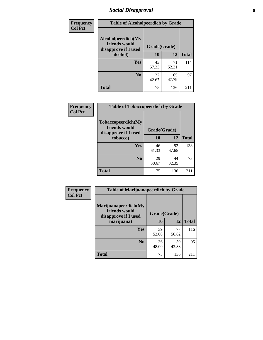# *Social Disapproval* **6**

| Frequency      | <b>Table of Alcoholpeerdich by Grade</b>                    |              |             |              |
|----------------|-------------------------------------------------------------|--------------|-------------|--------------|
| <b>Col Pct</b> | Alcoholpeerdich(My<br>friends would<br>disapprove if I used | Grade(Grade) |             |              |
|                | alcohol)                                                    | 10           | 12          | <b>Total</b> |
|                | <b>Yes</b>                                                  | 43<br>57.33  | 71<br>52.21 | 114          |
|                | N <sub>0</sub>                                              | 32<br>42.67  | 65<br>47.79 | 97           |
|                | <b>Total</b>                                                | 75           | 136         | 211          |

| <b>Frequency</b> |
|------------------|
| <b>Col Pct</b>   |

| <b>Table of Tobaccopeerdich by Grade</b>                            |              |             |              |  |  |  |  |
|---------------------------------------------------------------------|--------------|-------------|--------------|--|--|--|--|
| <b>Tobaccopeerdich</b> (My<br>friends would<br>disapprove if I used | Grade(Grade) |             |              |  |  |  |  |
| tobacco)                                                            | 10           | 12          | <b>Total</b> |  |  |  |  |
| Yes                                                                 | 46<br>61.33  | 92<br>67.65 | 138          |  |  |  |  |
| N <sub>0</sub>                                                      | 29<br>38.67  | 44<br>32.35 | 73           |  |  |  |  |
| <b>Total</b>                                                        | 75           | 136         | 211          |  |  |  |  |

| <b>Frequency</b> | <b>Table of Marijuanapeerdich by Grade</b>                    |              |             |              |  |  |
|------------------|---------------------------------------------------------------|--------------|-------------|--------------|--|--|
| <b>Col Pct</b>   | Marijuanapeerdich(My<br>friends would<br>disapprove if I used | Grade(Grade) |             |              |  |  |
|                  | marijuana)                                                    | 10           | 12          | <b>Total</b> |  |  |
|                  | <b>Yes</b>                                                    | 39<br>52.00  | 77<br>56.62 | 116          |  |  |
|                  | N <sub>0</sub>                                                | 36<br>48.00  | 59<br>43.38 | 95           |  |  |
|                  | <b>Total</b>                                                  | 75           | 136         | 211          |  |  |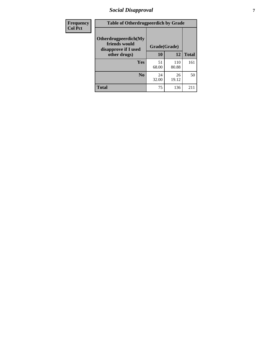# *Social Disapproval* **7**

| Frequency      | <b>Table of Otherdrugpeerdich by Grade</b>                    |             |              |              |  |  |
|----------------|---------------------------------------------------------------|-------------|--------------|--------------|--|--|
| <b>Col Pct</b> | Otherdrugpeerdich(My<br>friends would<br>disapprove if I used |             | Grade(Grade) |              |  |  |
|                | other drugs)                                                  | 10          | 12           | <b>Total</b> |  |  |
|                | Yes                                                           | 51<br>68.00 | 110<br>80.88 | 161          |  |  |
|                | N <sub>0</sub>                                                | 24<br>32.00 | 26<br>19.12  | 50           |  |  |
|                | <b>Total</b>                                                  | 75          | 136          | 211          |  |  |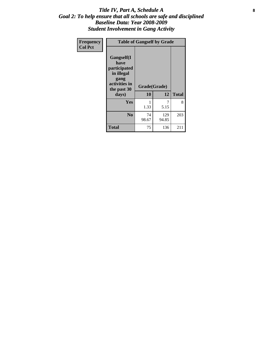#### Title IV, Part A, Schedule A **8** *Goal 2: To help ensure that all schools are safe and disciplined Baseline Data: Year 2008-2009 Student Involvement in Gang Activity*

| Frequency      |                                                                                                   | <b>Table of Gangself by Grade</b> |              |              |
|----------------|---------------------------------------------------------------------------------------------------|-----------------------------------|--------------|--------------|
| <b>Col Pct</b> | Gangself(I<br>have<br>participated<br>in illegal<br>gang<br>activities in<br>the past 30<br>days) | Grade(Grade)<br>10                | 12           | <b>Total</b> |
|                | Yes                                                                                               | 1<br>1.33                         | 7<br>5.15    | 8            |
|                | N <sub>0</sub>                                                                                    | 74<br>98.67                       | 129<br>94.85 | 203          |
|                | <b>Total</b>                                                                                      | 75                                | 136          | 211          |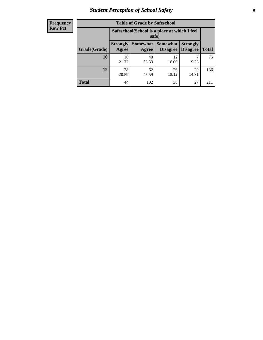# *Student Perception of School Safety* **9**

| <b>Frequency</b><br>Row Pct |
|-----------------------------|
|                             |

| <b>Table of Grade by Safeschool</b> |                          |                                                        |                             |                                    |              |  |
|-------------------------------------|--------------------------|--------------------------------------------------------|-----------------------------|------------------------------------|--------------|--|
|                                     |                          | Safeschool (School is a place at which I feel<br>safe) |                             |                                    |              |  |
| Grade(Grade)                        | <b>Strongly</b><br>Agree | Somewhat<br>Agree                                      | <b>Somewhat</b><br>Disagree | <b>Strongly</b><br><b>Disagree</b> | <b>Total</b> |  |
| 10                                  | 16<br>21.33              | 40<br>53.33                                            | 12<br>16.00                 | 9.33                               | 75           |  |
| 12                                  | 28<br>20.59              | 62<br>45.59                                            | 26<br>19.12                 | 20<br>14.71                        | 136          |  |
| <b>Total</b>                        | 44                       | 102                                                    | 38                          | 27                                 | 211          |  |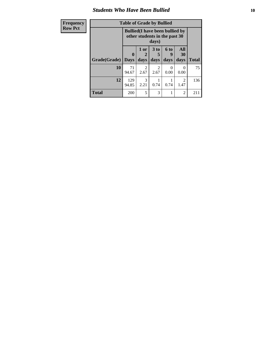#### *Students Who Have Been Bullied* **10**

| Frequency      |  |
|----------------|--|
| <b>Row Pct</b> |  |

# **Table of Grade by Bullied**

| Table of Graue by Bullicu |                         |                                                                                  |                              |                   |                   |              |
|---------------------------|-------------------------|----------------------------------------------------------------------------------|------------------------------|-------------------|-------------------|--------------|
|                           |                         | <b>Bullied</b> (I have been bullied by<br>other students in the past 30<br>days) |                              |                   |                   |              |
| Grade(Grade)              | $\bf{0}$<br><b>Days</b> | 1 or<br>2<br>days                                                                | 3 <sub>to</sub><br>5<br>days | 6 to<br>9<br>days | All<br>30<br>days | <b>Total</b> |
| 10                        | 71<br>94.67             | 2<br>2.67                                                                        | 2<br>2.67                    | 0.00              | $_{0}$<br>0.00    | 75           |
| 12                        | 129<br>94.85            | 3<br>2.21                                                                        | 0.74                         | 0.74              | 2<br>1.47         | 136          |
| <b>Total</b>              | 200                     | 5                                                                                | 3                            |                   | $\overline{c}$    | 211          |

┑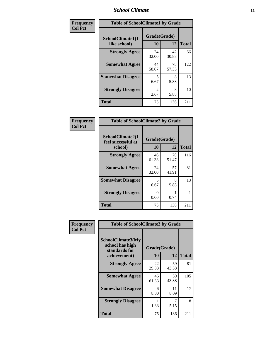### *School Climate* **11**

| Frequency      | <b>Table of SchoolClimate1 by Grade</b> |                    |             |              |  |  |  |
|----------------|-----------------------------------------|--------------------|-------------|--------------|--|--|--|
| <b>Col Pct</b> | SchoolClimate1(I<br>like school)        | Grade(Grade)<br>10 | 12          | <b>Total</b> |  |  |  |
|                | <b>Strongly Agree</b>                   | 24<br>32.00        | 42<br>30.88 | 66           |  |  |  |
|                | <b>Somewhat Agree</b>                   | 44<br>58.67        | 78<br>57.35 | 122          |  |  |  |
|                | <b>Somewhat Disagree</b>                | 5<br>6.67          | 8<br>5.88   | 13           |  |  |  |
|                | <b>Strongly Disagree</b>                | 2<br>2.67          | 8<br>5.88   | 10           |  |  |  |
|                | <b>Total</b>                            | 75                 | 136         | 211          |  |  |  |

| Frequency<br>Col Pct |
|----------------------|

| <b>Table of SchoolClimate2 by Grade</b>           |                    |             |              |  |  |
|---------------------------------------------------|--------------------|-------------|--------------|--|--|
| SchoolClimate2(I<br>feel successful at<br>school) | Grade(Grade)<br>10 | 12          | <b>Total</b> |  |  |
| <b>Strongly Agree</b>                             | 46<br>61.33        | 70<br>51.47 | 116          |  |  |
| <b>Somewhat Agree</b>                             | 24<br>32.00        | 57<br>41.91 | 81           |  |  |
| <b>Somewhat Disagree</b>                          | 5<br>6.67          | 8<br>5.88   | 13           |  |  |
| <b>Strongly Disagree</b>                          | 0.00               | 0.74        | 1            |  |  |
| <b>Total</b>                                      | 75                 | 136         | 211          |  |  |

| Frequency      | <b>Table of SchoolClimate3 by Grade</b>                                      |                          |             |              |  |
|----------------|------------------------------------------------------------------------------|--------------------------|-------------|--------------|--|
| <b>Col Pct</b> | <b>SchoolClimate3(My</b><br>school has high<br>standards for<br>achievement) | Grade(Grade)<br>12<br>10 |             | <b>Total</b> |  |
|                |                                                                              |                          |             |              |  |
|                | <b>Strongly Agree</b>                                                        | 22<br>29.33              | 59<br>43.38 | 81           |  |
|                | <b>Somewhat Agree</b>                                                        | 46<br>61.33              | 59<br>43.38 | 105          |  |
|                | <b>Somewhat Disagree</b>                                                     | 6<br>8.00                | 11<br>8.09  | 17           |  |
|                | <b>Strongly Disagree</b>                                                     | 1.33                     | 7<br>5.15   | 8            |  |
|                | Total                                                                        | 75                       | 136         | 211          |  |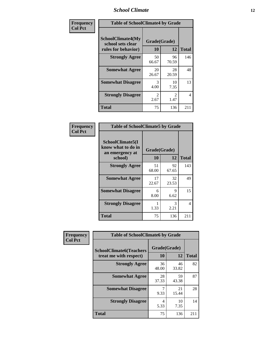### *School Climate* **12**

| Frequency      | <b>Table of SchoolClimate4 by Grade</b>                              |                        |             |              |  |
|----------------|----------------------------------------------------------------------|------------------------|-------------|--------------|--|
| <b>Col Pct</b> | <b>SchoolClimate4(My</b><br>school sets clear<br>rules for behavior) | Grade(Grade)<br>10     | 12          | <b>Total</b> |  |
|                | <b>Strongly Agree</b>                                                | 50<br>66.67            | 96<br>70.59 | 146          |  |
|                | <b>Somewhat Agree</b>                                                | 20<br>26.67            | 28<br>20.59 | 48           |  |
|                | <b>Somewhat Disagree</b>                                             | 3<br>4.00              | 10<br>7.35  | 13           |  |
|                | <b>Strongly Disagree</b>                                             | $\mathfrak{D}$<br>2.67 | 2<br>1.47   | 4            |  |
|                | <b>Total</b>                                                         | 75                     | 136         | 211          |  |

| <b>Table of SchoolClimate5 by Grade</b>                              |                    |             |              |  |  |
|----------------------------------------------------------------------|--------------------|-------------|--------------|--|--|
| SchoolClimate5(I<br>know what to do in<br>an emergency at<br>school) | Grade(Grade)<br>10 | 12          | <b>Total</b> |  |  |
| <b>Strongly Agree</b>                                                | 51<br>68.00        | 92<br>67.65 | 143          |  |  |
| <b>Somewhat Agree</b>                                                | 17<br>22.67        | 32<br>23.53 | 49           |  |  |
| <b>Somewhat Disagree</b>                                             | 6<br>8.00          | 9<br>6.62   | 15           |  |  |
| <b>Strongly Disagree</b>                                             | 1.33               | 3<br>2.21   | 4            |  |  |
| Total                                                                | 75                 | 136         | 211          |  |  |

| Frequency      | <b>Table of SchoolClimate6 by Grade</b>                  |                    |             |              |  |
|----------------|----------------------------------------------------------|--------------------|-------------|--------------|--|
| <b>Col Pct</b> | <b>SchoolClimate6(Teachers</b><br>treat me with respect) | Grade(Grade)<br>10 | 12          | <b>Total</b> |  |
|                | <b>Strongly Agree</b>                                    | 36<br>48.00        | 46<br>33.82 | 82           |  |
|                | <b>Somewhat Agree</b>                                    | 28<br>37.33        | 59<br>43.38 | 87           |  |
|                | <b>Somewhat Disagree</b>                                 | 9.33               | 21<br>15.44 | 28           |  |
|                | <b>Strongly Disagree</b>                                 | 4<br>5.33          | 10<br>7.35  | 14           |  |
|                | <b>Total</b>                                             | 75                 | 136         | 211          |  |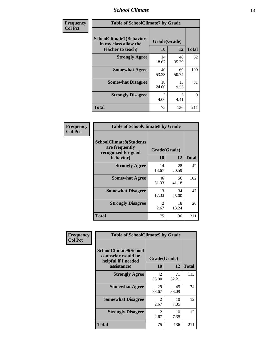### *School Climate* **13**

| Frequency      | <b>Table of SchoolClimate7 by Grade</b>                                       |                           |             |              |  |
|----------------|-------------------------------------------------------------------------------|---------------------------|-------------|--------------|--|
| <b>Col Pct</b> | <b>SchoolClimate7(Behaviors</b><br>in my class allow the<br>teacher to teach) | Grade(Grade)<br><b>10</b> | 12          | <b>Total</b> |  |
|                | <b>Strongly Agree</b>                                                         | 14<br>18.67               | 48<br>35.29 | 62           |  |
|                | <b>Somewhat Agree</b>                                                         | 40<br>53.33               | 69<br>50.74 | 109          |  |
|                | <b>Somewhat Disagree</b>                                                      | 18<br>24.00               | 13<br>9.56  | 31           |  |
|                | <b>Strongly Disagree</b>                                                      | 3<br>4.00                 | 6<br>4.41   | $\mathbf Q$  |  |
|                | <b>Total</b>                                                                  | 75                        | 136         | 211          |  |

| Frequency      | <b>Table of SchoolClimate8 by Grade</b>                                              |                        |             |              |  |  |
|----------------|--------------------------------------------------------------------------------------|------------------------|-------------|--------------|--|--|
| <b>Col Pct</b> | <b>SchoolClimate8(Students</b><br>are frequently<br>recognized for good<br>behavior) | Grade(Grade)<br>10     | 12          | <b>Total</b> |  |  |
|                | <b>Strongly Agree</b>                                                                | 14<br>18.67            | 28<br>20.59 | 42           |  |  |
|                | <b>Somewhat Agree</b>                                                                | 46<br>61.33            | 56<br>41.18 | 102          |  |  |
|                | <b>Somewhat Disagree</b>                                                             | 13<br>17.33            | 34<br>25.00 | 47           |  |  |
|                | <b>Strongly Disagree</b>                                                             | $\mathfrak{D}$<br>2.67 | 18<br>13.24 | 20           |  |  |
|                | <b>Total</b>                                                                         | 75                     | 136         | 211          |  |  |

| Frequency      | <b>Table of SchoolClimate9 by Grade</b>                                           |                        |             |              |  |
|----------------|-----------------------------------------------------------------------------------|------------------------|-------------|--------------|--|
| <b>Col Pct</b> | SchoolClimate9(School<br>counselor would be<br>helpful if I needed<br>assistance) | Grade(Grade)<br>10     | 12          | <b>Total</b> |  |
|                | <b>Strongly Agree</b>                                                             | 42<br>56.00            | 71<br>52.21 | 113          |  |
|                | <b>Somewhat Agree</b>                                                             | 29<br>38.67            | 45<br>33.09 | 74           |  |
|                | <b>Somewhat Disagree</b>                                                          | $\mathfrak{D}$<br>2.67 | 10<br>7.35  | 12           |  |
|                | <b>Strongly Disagree</b>                                                          | $\mathfrak{D}$<br>2.67 | 10<br>7.35  | 12           |  |
|                | Total                                                                             | 75                     | 136         | 211          |  |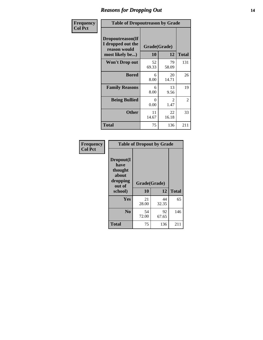### *Reasons for Dropping Out* **14**

| Frequency      | <b>Table of Dropoutreason by Grade</b>                                   |                    |             |              |  |
|----------------|--------------------------------------------------------------------------|--------------------|-------------|--------------|--|
| <b>Col Pct</b> | Dropoutreason(If<br>I dropped out the<br>reason would<br>most likely be) | Grade(Grade)<br>10 | 12          | <b>Total</b> |  |
|                | Won't Drop out                                                           | 52<br>69.33        | 79<br>58.09 | 131          |  |
|                | <b>Bored</b>                                                             | 6<br>8.00          | 20<br>14.71 | 26           |  |
|                | <b>Family Reasons</b>                                                    | 6<br>8.00          | 13<br>9.56  | 19           |  |
|                | <b>Being Bullied</b>                                                     | 0<br>0.00          | 2<br>1.47   | 2            |  |
|                | <b>Other</b>                                                             | 11<br>14.67        | 22<br>16.18 | 33           |  |
|                | <b>Total</b>                                                             | 75                 | 136         | 211          |  |

| Frequency      |                                                                        | <b>Table of Dropout by Grade</b> |             |              |
|----------------|------------------------------------------------------------------------|----------------------------------|-------------|--------------|
| <b>Col Pct</b> | Dropout(I<br>have<br>thought<br>about<br>dropping<br>out of<br>school) | Grade(Grade)<br>10               | 12          | <b>Total</b> |
|                | Yes                                                                    | 21<br>28.00                      | 44<br>32.35 | 65           |
|                | N <sub>0</sub>                                                         | 54<br>72.00                      | 92<br>67.65 | 146          |
|                | <b>Total</b>                                                           | 75                               | 136         | 211          |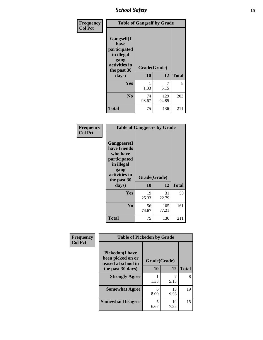*School Safety* **15**

| Frequency      | <b>Table of Gangself by Grade</b>                                                                 |                    |              |              |
|----------------|---------------------------------------------------------------------------------------------------|--------------------|--------------|--------------|
| <b>Col Pct</b> | Gangself(I<br>have<br>participated<br>in illegal<br>gang<br>activities in<br>the past 30<br>days) | Grade(Grade)<br>10 | 12           | <b>Total</b> |
|                | Yes                                                                                               | 1.33               | 7<br>5.15    | 8            |
|                | N <sub>0</sub>                                                                                    | 74<br>98.67        | 129<br>94.85 | 203          |
|                | <b>Total</b>                                                                                      | 75                 | 136          | 211          |

| Frequency<br><b>Col Pct</b> | <b>Table of Gangpeers by Grade</b>                                                                                             |                    |              |              |  |  |  |
|-----------------------------|--------------------------------------------------------------------------------------------------------------------------------|--------------------|--------------|--------------|--|--|--|
|                             | <b>Gangpeers</b> (I<br>have friends<br>who have<br>participated<br>in illegal<br>gang<br>activities in<br>the past 30<br>days) | Grade(Grade)<br>10 | 12           | <b>Total</b> |  |  |  |
|                             | <b>Yes</b>                                                                                                                     | 19<br>25.33        | 31<br>22.79  | 50           |  |  |  |
|                             | N <sub>0</sub>                                                                                                                 | 56<br>74.67        | 105<br>77.21 | 161          |  |  |  |
|                             | <b>Total</b>                                                                                                                   | 75                 | 136          | 211          |  |  |  |

| Frequency      | <b>Table of Pickedon by Grade</b>                                  |              |            |              |
|----------------|--------------------------------------------------------------------|--------------|------------|--------------|
| <b>Col Pct</b> | <b>Pickedon(I have</b><br>been picked on or<br>teased at school in | Grade(Grade) |            |              |
|                | the past 30 days)                                                  | 10           | 12         | <b>Total</b> |
|                | <b>Strongly Agree</b>                                              | 1.33         | 5.15       | 8            |
|                | <b>Somewhat Agree</b>                                              | 6<br>8.00    | 13<br>9.56 | 19           |
|                | <b>Somewhat Disagree</b>                                           | 5<br>6.67    | 10<br>7.35 | 15           |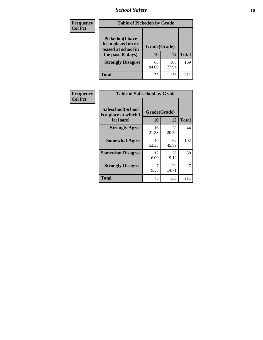*School Safety* **16**

| <b>Frequency</b> | <b>Table of Pickedon by Grade</b>                                                        |                    |              |              |
|------------------|------------------------------------------------------------------------------------------|--------------------|--------------|--------------|
| <b>Col Pct</b>   | <b>Pickedon</b> (I have<br>been picked on or<br>teased at school in<br>the past 30 days) | Grade(Grade)<br>10 | 12           | <b>Total</b> |
|                  | <b>Strongly Disagree</b>                                                                 | 63<br>84.00        | 106<br>77.94 | 169          |
|                  | Total                                                                                    | 75                 | 136          | 21           |

| Frequency      | <b>Table of Safeschool by Grade</b>                      |                           |             |              |
|----------------|----------------------------------------------------------|---------------------------|-------------|--------------|
| <b>Col Pct</b> | Safeschool(School<br>is a place at which I<br>feel safe) | Grade(Grade)<br><b>10</b> | 12          | <b>Total</b> |
|                | <b>Strongly Agree</b>                                    | 16<br>21.33               | 28<br>20.59 | 44           |
|                | <b>Somewhat Agree</b>                                    | 40<br>53.33               | 62<br>45.59 | 102          |
|                | <b>Somewhat Disagree</b>                                 | 12<br>16.00               | 26<br>19.12 | 38           |
|                | <b>Strongly Disagree</b>                                 | 7<br>9.33                 | 20<br>14.71 | 27           |
|                | <b>Total</b>                                             | 75                        | 136         | 211          |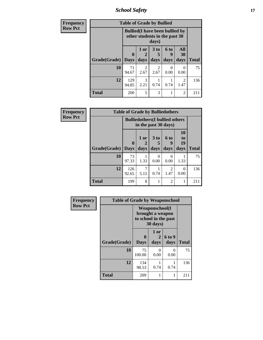*School Safety* **17**

| <b>Frequency</b> | <b>Table of Grade by Bullied</b>                                                 |              |                        |                      |           |                        |              |  |
|------------------|----------------------------------------------------------------------------------|--------------|------------------------|----------------------|-----------|------------------------|--------------|--|
| <b>Row Pct</b>   | <b>Bullied</b> (I have been bullied by<br>other students in the past 30<br>days) |              |                        |                      |           |                        |              |  |
|                  |                                                                                  | $\mathbf 0$  | 1 or<br>$\mathbf{2}$   | 3 <sub>to</sub><br>5 | 6 to<br>9 | <b>All</b><br>30       | <b>Total</b> |  |
|                  | Grade(Grade)   Days                                                              |              | days                   | days                 | days      | days                   |              |  |
|                  | 10                                                                               | 71<br>94.67  | $\mathfrak{D}$<br>2.67 | 2<br>2.67            | 0<br>0.00 | ∩<br>0.00              | 75           |  |
|                  | 12                                                                               | 129<br>94.85 | $\mathcal{R}$<br>2.21  | 0.74                 | 0.74      | $\mathfrak{D}$<br>1.47 | 136          |  |
|                  | <b>Total</b>                                                                     | 200          | 5                      | 3                    |           | $\overline{c}$         | 211          |  |

| Frequency      | <b>Table of Grade by Bulliedothers</b> |                         |                                                                |                                         |                        |                               |              |  |  |
|----------------|----------------------------------------|-------------------------|----------------------------------------------------------------|-----------------------------------------|------------------------|-------------------------------|--------------|--|--|
| <b>Row Pct</b> |                                        |                         | <b>Bulliedothers</b> (I bullied others<br>in the past 30 days) |                                         |                        |                               |              |  |  |
|                | Grade(Grade)                           | $\bf{0}$<br><b>Days</b> | 1 or<br>days                                                   | 3 <sub>to</sub><br>$\mathbf{5}$<br>days | <b>6 to</b><br>days    | <b>10</b><br>to<br>19<br>days | <b>Total</b> |  |  |
|                | 10                                     | 73<br>97.33             | 1.33                                                           | $\Omega$<br>0.00                        | $\Omega$<br>0.00       | 1.33                          | 75           |  |  |
|                | 12                                     | 126<br>92.65            | 7<br>5.15                                                      | 0.74                                    | $\mathfrak{D}$<br>1.47 | 0<br>0.00                     | 136          |  |  |
|                | <b>Total</b>                           | 199                     | 8                                                              |                                         | $\overline{2}$         | 1                             | 211          |  |  |

| Frequency      | <b>Table of Grade by Weaponschool</b> |                  |                                                                                 |                |              |  |  |  |  |
|----------------|---------------------------------------|------------------|---------------------------------------------------------------------------------|----------------|--------------|--|--|--|--|
| <b>Row Pct</b> |                                       |                  | <b>Weaponschool</b> (I<br>brought a weapon<br>to school in the past<br>30 days) |                |              |  |  |  |  |
|                | Grade(Grade)                          | 0<br><b>Days</b> | 1 or<br>2<br>days                                                               | 6 to 9<br>days | <b>Total</b> |  |  |  |  |
|                | 10                                    | 75<br>100.00     | 0<br>0.00                                                                       | 0<br>0.00      | 75           |  |  |  |  |
|                | 12                                    | 134<br>98.53     | 0.74                                                                            | 0.74           | 136          |  |  |  |  |
|                | <b>Total</b>                          | 209              | 1                                                                               |                | 211          |  |  |  |  |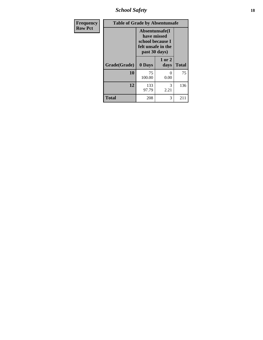*School Safety* **18**

| <b>Frequency</b> | <b>Table of Grade by Absentunsafe</b> |                                                                                           |                |              |
|------------------|---------------------------------------|-------------------------------------------------------------------------------------------|----------------|--------------|
| <b>Row Pct</b>   |                                       | Absentunsafe(I)<br>have missed<br>school because I<br>felt unsafe in the<br>past 30 days) |                |              |
|                  | Grade(Grade)                          | 0 Days                                                                                    | 1 or 2<br>days | <b>Total</b> |
|                  | 10                                    | 75<br>100.00                                                                              | 0<br>0.00      | 75           |
|                  | 12                                    | 133<br>97.79                                                                              | 3<br>2.21      | 136          |
|                  | <b>Total</b>                          | 208                                                                                       | 3              | 211          |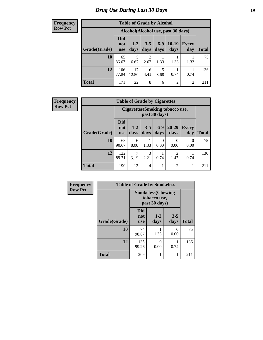#### **Frequency Row Pct**

| <b>Table of Grade by Alcohol</b> |                                 |                                                  |                        |               |                 |                     |              |  |  |
|----------------------------------|---------------------------------|--------------------------------------------------|------------------------|---------------|-----------------|---------------------|--------------|--|--|
|                                  |                                 | Alcohol (Alcohol use, past 30 days)              |                        |               |                 |                     |              |  |  |
| Grade(Grade)                     | <b>Did</b><br>not<br><b>use</b> | $1 - 2$<br>days                                  | $3 - 5$<br>days        | $6-9$<br>days | $10-19$<br>days | <b>Every</b><br>day | <b>Total</b> |  |  |
| 10                               | 65<br>86.67                     | 5<br>6.67                                        | $\overline{2}$<br>2.67 | 1.33          | 1.33            | 1.33                | 75           |  |  |
| 12                               | 106<br>77.94                    | 17<br>12.50                                      | 6<br>4.41              | 5<br>3.68     | 0.74            | 0.74                | 136          |  |  |
| <b>Total</b>                     | 171                             | 8<br>$\overline{c}$<br>22<br>$\overline{c}$<br>6 |                        |               |                 |                     |              |  |  |

| Frequency      | <b>Table of Grade by Cigarettes</b> |                                 |               |                 |                  |                                  |                     |              |
|----------------|-------------------------------------|---------------------------------|---------------|-----------------|------------------|----------------------------------|---------------------|--------------|
| <b>Row Pct</b> |                                     |                                 |               |                 | past 30 days)    | Cigarettes (Smoking tobacco use, |                     |              |
|                | Grade(Grade)                        | <b>Did</b><br>not<br><b>use</b> | $1-2$<br>days | $3 - 5$<br>days | $6-9$<br>days    | $20 - 29$<br>days                | <b>Every</b><br>day | <b>Total</b> |
|                | 10                                  | 68<br>90.67                     | 6<br>8.00     | 1.33            | $\Omega$<br>0.00 | $\Omega$<br>0.00                 | 0<br>0.00           | 75           |
|                | 12                                  | 122<br>89.71                    | 5.15          | 3<br>2.21       | 0.74             | 2<br>1.47                        | 0.74                | 136          |
|                | <b>Total</b>                        | 190                             | 13            | 4               |                  | $\overline{c}$                   | 1                   | 211          |

| Frequency      |              | <b>Table of Grade by Smokeless</b> |                                                           |                 |                           |  |  |  |  |  |
|----------------|--------------|------------------------------------|-----------------------------------------------------------|-----------------|---------------------------|--|--|--|--|--|
| <b>Row Pct</b> |              |                                    | <b>Smokeless(Chewing</b><br>tobacco use,<br>past 30 days) |                 | <b>Total</b><br>75<br>136 |  |  |  |  |  |
|                | Grade(Grade) | <b>Did</b><br>not<br><b>use</b>    | $1-2$<br>days                                             | $3 - 5$<br>days |                           |  |  |  |  |  |
|                | 10           | 74<br>98.67                        | 1.33                                                      | 0<br>0.00       |                           |  |  |  |  |  |
|                | 12           | 135<br>99.26                       | 0<br>0.00                                                 | 0.74            |                           |  |  |  |  |  |
|                | <b>Total</b> | 209                                |                                                           |                 | 211                       |  |  |  |  |  |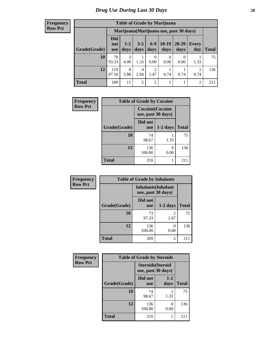#### **Frequency Row Pct**

| <b>Table of Grade by Marijuana</b> |                                 |                                         |                 |                        |                  |               |                |       |
|------------------------------------|---------------------------------|-----------------------------------------|-----------------|------------------------|------------------|---------------|----------------|-------|
|                                    |                                 | Marijuana (Marijuana use, past 30 days) |                 |                        |                  |               |                |       |
| Grade(Grade)                       | <b>Did</b><br>not<br><b>use</b> | $1 - 2$<br>days                         | $3 - 5$<br>days | $6-9$<br>days          | $10-19$<br>days  | 20-29<br>days | Every<br>day   | Total |
| 10                                 | 70<br>93.33                     | 3<br>4.00                               | 1.33            | 0<br>0.00              | $\Omega$<br>0.00 | 0.00          | 1.33           | 75    |
| 12                                 | 119<br>87.50                    | 8<br>5.88                               | 4<br>2.94       | $\overline{2}$<br>1.47 | 0.74             | 0.74          | 0.74           | 136   |
| <b>Total</b>                       | 189                             | 11                                      | 5               | $\overline{2}$         |                  |               | $\overline{2}$ | 211   |

| Frequency      | <b>Table of Grade by Cocaine</b> |                                               |            |              |  |
|----------------|----------------------------------|-----------------------------------------------|------------|--------------|--|
| <b>Row Pct</b> |                                  | <b>Cocaine</b> (Cocaine<br>use, past 30 days) |            |              |  |
|                | Grade(Grade)                     | Did not<br><b>use</b>                         | $1-2$ days | <b>Total</b> |  |
|                | 10                               | 74<br>98.67                                   | 1.33       | 75           |  |
|                | 12                               | 136<br>100.00                                 | 0<br>0.00  | 136          |  |
|                | <b>Total</b>                     | 210                                           |            | 211          |  |

| Frequency      |              | <b>Table of Grade by Inhalants</b>               |                        |              |
|----------------|--------------|--------------------------------------------------|------------------------|--------------|
| <b>Row Pct</b> |              | <b>Inhalants</b> (Inhalant<br>use, past 30 days) |                        |              |
|                | Grade(Grade) | Did not<br><b>use</b>                            | $1-2$ days             | <b>Total</b> |
|                | 10           | 73<br>97.33                                      | $\mathfrak{D}$<br>2.67 | 75           |
|                | 12           | 136<br>100.00                                    | 0<br>0.00              | 136          |
|                | <b>Total</b> | 209                                              | $\overline{c}$         | 211          |

| Frequency      | <b>Table of Grade by Steroids</b> |                                                |                 |              |
|----------------|-----------------------------------|------------------------------------------------|-----------------|--------------|
| <b>Row Pct</b> |                                   | <b>Steroids</b> (Steroid<br>use, past 30 days) |                 |              |
|                | Grade(Grade)                      | Did not<br><b>use</b>                          | $1 - 2$<br>days | <b>Total</b> |
|                | 10                                | 74<br>98.67                                    | 1.33            | 75           |
|                | 12                                | 136<br>100.00                                  | 0<br>0.00       | 136          |
|                | <b>Total</b>                      | 210                                            |                 | 211          |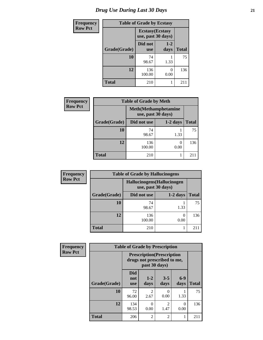# *Drug Use During Last 30 Days* **21**

| <b>Frequency</b> | <b>Table of Grade by Ecstasy</b>              |                       |                 |              |
|------------------|-----------------------------------------------|-----------------------|-----------------|--------------|
| <b>Row Pct</b>   | <b>Ecstasy</b> (Ecstasy<br>use, past 30 days) |                       |                 |              |
|                  | Grade(Grade)                                  | Did not<br><b>use</b> | $1 - 2$<br>days | <b>Total</b> |
|                  | 10                                            | 74<br>98.67           | 1.33            | 75           |
|                  | 12                                            | 136<br>100.00         | 0<br>0.00       | 136          |
|                  | <b>Total</b>                                  | 210                   |                 | 211          |

| <b>Frequency</b> | <b>Table of Grade by Meth</b> |                                                    |                       |              |
|------------------|-------------------------------|----------------------------------------------------|-----------------------|--------------|
| <b>Row Pct</b>   |                               | <b>Meth</b> (Methamphetamine<br>use, past 30 days) |                       |              |
|                  | Grade(Grade)                  | Did not use                                        | $1-2$ days            | <b>Total</b> |
|                  | 10                            | 74<br>98.67                                        | 1.33                  | 75           |
|                  | 12                            | 136<br>100.00                                      | $\mathcal{L}$<br>0.00 | 136          |
|                  | <b>Total</b>                  | 210                                                |                       | 211          |

| <b>Frequency</b> | <b>Table of Grade by Hallucinogens</b> |               |                                                   |              |  |
|------------------|----------------------------------------|---------------|---------------------------------------------------|--------------|--|
| <b>Row Pct</b>   |                                        |               | Hallucinogens (Hallucinogen<br>use, past 30 days) |              |  |
|                  | Grade(Grade)                           | Did not use   | $1-2$ days                                        | <b>Total</b> |  |
|                  | 10                                     | 74<br>98.67   | 1.33                                              | 75           |  |
|                  | 12                                     | 136<br>100.00 | 0.00                                              | 136          |  |
|                  | Total                                  | 210           |                                                   |              |  |

| <b>Frequency</b> | <b>Table of Grade by Prescription</b> |                                                                                   |                                     |                        |               |              |
|------------------|---------------------------------------|-----------------------------------------------------------------------------------|-------------------------------------|------------------------|---------------|--------------|
| <b>Row Pct</b>   |                                       | <b>Prescription</b> (Prescription<br>drugs not prescribed to me,<br>past 30 days) |                                     |                        |               |              |
|                  | Grade(Grade)                          | <b>Did</b><br>not<br><b>use</b>                                                   | $1 - 2$<br>days                     | $3 - 5$<br>days        | $6-9$<br>days | <b>Total</b> |
|                  | 10                                    | 72<br>96.00                                                                       | $\mathcal{D}_{\mathcal{L}}$<br>2.67 | 0.00                   | 1.33          | 75           |
|                  | 12                                    | 134<br>98.53                                                                      | 0<br>0.00                           | $\overline{c}$<br>1.47 | 0<br>0.00     | 136          |
|                  | <b>Total</b>                          | 206                                                                               | $\overline{2}$                      | $\overline{2}$         |               | 211          |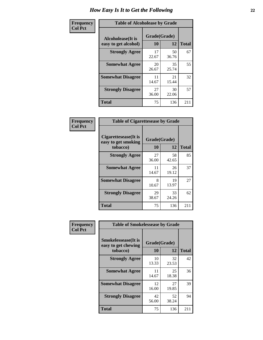| Frequency      | <b>Table of Alcoholease by Grade</b>              |                    |             |              |
|----------------|---------------------------------------------------|--------------------|-------------|--------------|
| <b>Col Pct</b> | <b>Alcoholease</b> (It is<br>easy to get alcohol) | Grade(Grade)<br>10 | 12          | <b>Total</b> |
|                | <b>Strongly Agree</b>                             | 17<br>22.67        | 50<br>36.76 | 67           |
|                | <b>Somewhat Agree</b>                             | 20<br>26.67        | 35<br>25.74 | 55           |
|                | <b>Somewhat Disagree</b>                          | 11<br>14.67        | 21<br>15.44 | 32           |
|                | <b>Strongly Disagree</b>                          | 27<br>36.00        | 30<br>22.06 | 57           |
|                | <b>Total</b>                                      | 75                 | 136         | 211          |

| Frequency      | <b>Table of Cigarettesease by Grade</b>                 |                    |             |              |
|----------------|---------------------------------------------------------|--------------------|-------------|--------------|
| <b>Col Pct</b> | Cigarettesease(It is<br>easy to get smoking<br>tobacco) | Grade(Grade)<br>10 | 12          | <b>Total</b> |
|                | <b>Strongly Agree</b>                                   | 27<br>36.00        | 58<br>42.65 | 85           |
|                | <b>Somewhat Agree</b>                                   | 11<br>14.67        | 26<br>19.12 | 37           |
|                | <b>Somewhat Disagree</b>                                | 8<br>10.67         | 19<br>13.97 | 27           |
|                | <b>Strongly Disagree</b>                                | 29<br>38.67        | 33<br>24.26 | 62           |
|                | <b>Total</b>                                            | 75                 | 136         | 211          |

| Frequency      | <b>Table of Smokelessease by Grade</b>             |              |             |              |  |
|----------------|----------------------------------------------------|--------------|-------------|--------------|--|
| <b>Col Pct</b> | <b>Smokelessease</b> (It is<br>easy to get chewing | Grade(Grade) |             |              |  |
|                | tobacco)                                           | 10           | 12          | <b>Total</b> |  |
|                | <b>Strongly Agree</b>                              | 10<br>13.33  | 32<br>23.53 | 42           |  |
|                | <b>Somewhat Agree</b>                              | 11<br>14.67  | 25<br>18.38 | 36           |  |
|                | <b>Somewhat Disagree</b>                           | 12<br>16.00  | 27<br>19.85 | 39           |  |
|                | <b>Strongly Disagree</b>                           | 42<br>56.00  | 52<br>38.24 | 94           |  |
|                | <b>Total</b>                                       | 75           | 136         | 211          |  |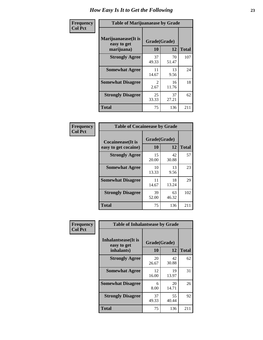| Frequency      | <b>Table of Marijuanaease by Grade</b>           |                        |             |              |
|----------------|--------------------------------------------------|------------------------|-------------|--------------|
| <b>Col Pct</b> | Marijuanaease(It is<br>easy to get<br>marijuana) | Grade(Grade)<br>10     | 12          | <b>Total</b> |
|                | <b>Strongly Agree</b>                            | 37<br>49.33            | 70<br>51.47 | 107          |
|                | <b>Somewhat Agree</b>                            | 11<br>14.67            | 13<br>9.56  | 24           |
|                | <b>Somewhat Disagree</b>                         | $\mathfrak{D}$<br>2.67 | 16<br>11.76 | 18           |
|                | <b>Strongly Disagree</b>                         | 25<br>33.33            | 37<br>27.21 | 62           |
|                | <b>Total</b>                                     | 75                     | 136         | 211          |

| <b>Table of Cocaineease by Grade</b> |              |             |              |  |  |
|--------------------------------------|--------------|-------------|--------------|--|--|
| <b>Cocaineease</b> (It is            | Grade(Grade) |             |              |  |  |
| easy to get cocaine)                 | 10           | 12          | <b>Total</b> |  |  |
| <b>Strongly Agree</b>                | 15<br>20.00  | 42<br>30.88 | 57           |  |  |
| <b>Somewhat Agree</b>                | 10<br>13.33  | 13<br>9.56  | 23           |  |  |
| <b>Somewhat Disagree</b>             | 11<br>14.67  | 18<br>13.24 | 29           |  |  |
| <b>Strongly Disagree</b>             | 39<br>52.00  | 63<br>46.32 | 102          |  |  |
| <b>Total</b>                         | 75           | 136         | 211          |  |  |

| Frequency      | <b>Table of Inhalantsease by Grade</b>     |              |             |              |
|----------------|--------------------------------------------|--------------|-------------|--------------|
| <b>Col Pct</b> | <b>Inhalantsease</b> (It is<br>easy to get | Grade(Grade) |             |              |
|                | inhalants)                                 | 10           | 12          | <b>Total</b> |
|                | <b>Strongly Agree</b>                      | 20<br>26.67  | 42<br>30.88 | 62           |
|                | <b>Somewhat Agree</b>                      | 12<br>16.00  | 19<br>13.97 | 31           |
|                | <b>Somewhat Disagree</b>                   | 6<br>8.00    | 20<br>14.71 | 26           |
|                | <b>Strongly Disagree</b>                   | 37<br>49.33  | 55<br>40.44 | 92           |
|                | <b>Total</b>                               | 75           | 136         | 211          |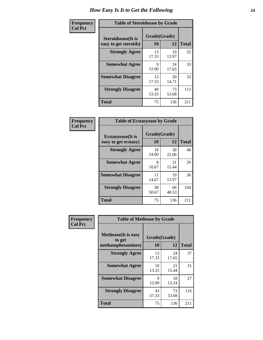| Frequency      | <b>Table of Steroidsease by Grade</b>               |                    |             |              |  |  |  |  |  |  |
|----------------|-----------------------------------------------------|--------------------|-------------|--------------|--|--|--|--|--|--|
| <b>Col Pct</b> | <b>Steroidsease</b> (It is<br>easy to get steroids) | Grade(Grade)<br>10 | 12          | <b>Total</b> |  |  |  |  |  |  |
|                | <b>Strongly Agree</b>                               | 13<br>17.33        | 19<br>13.97 | 32           |  |  |  |  |  |  |
|                | <b>Somewhat Agree</b>                               | 9<br>12.00         | 24<br>17.65 | 33           |  |  |  |  |  |  |
|                | <b>Somewhat Disagree</b>                            | 13<br>17.33        | 20<br>14.71 | 33           |  |  |  |  |  |  |
|                | <b>Strongly Disagree</b>                            | 40<br>53.33        | 73<br>53.68 | 113          |  |  |  |  |  |  |
|                | <b>Total</b>                                        | 75                 | 136         | 211          |  |  |  |  |  |  |

| Frequency      | <b>Table of Ecstasyease by Grade</b>              |                    |             |              |  |  |  |  |  |  |
|----------------|---------------------------------------------------|--------------------|-------------|--------------|--|--|--|--|--|--|
| <b>Col Pct</b> | <b>Ecstasyease</b> (It is<br>easy to get ecstasy) | Grade(Grade)<br>10 | 12          | <b>Total</b> |  |  |  |  |  |  |
|                | <b>Strongly Agree</b>                             | 18<br>24.00        | 30<br>22.06 | 48           |  |  |  |  |  |  |
|                | <b>Somewhat Agree</b>                             | 8<br>10.67         | 21<br>15.44 | 29           |  |  |  |  |  |  |
|                | <b>Somewhat Disagree</b>                          | 11<br>14.67        | 19<br>13.97 | 30           |  |  |  |  |  |  |
|                | <b>Strongly Disagree</b>                          | 38<br>50.67        | 66<br>48.53 | 104          |  |  |  |  |  |  |
|                | <b>Total</b>                                      | 75                 | 136         | 211          |  |  |  |  |  |  |

| Frequency      | <b>Table of Methease by Grade</b>                          |                    |             |              |  |  |  |  |  |  |  |
|----------------|------------------------------------------------------------|--------------------|-------------|--------------|--|--|--|--|--|--|--|
| <b>Col Pct</b> | <b>Methease</b> (It is easy<br>to get<br>methamphetamines) | Grade(Grade)<br>10 | 12          | <b>Total</b> |  |  |  |  |  |  |  |
|                | <b>Strongly Agree</b>                                      | 13<br>17.33        | 24<br>17.65 | 37           |  |  |  |  |  |  |  |
|                | <b>Somewhat Agree</b>                                      | 10<br>13.33        | 21<br>15.44 | 31           |  |  |  |  |  |  |  |
|                | <b>Somewhat Disagree</b>                                   | 9<br>12.00         | 18<br>13.24 | 27           |  |  |  |  |  |  |  |
|                | <b>Strongly Disagree</b>                                   | 43<br>57.33        | 73<br>53.68 | 116          |  |  |  |  |  |  |  |
|                | <b>Total</b>                                               | 75                 | 136         | 211          |  |  |  |  |  |  |  |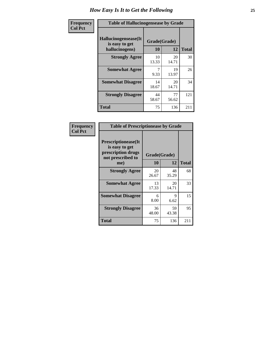| <b>Frequency</b> | <b>Table of Hallucinogensease by Grade</b>                |                    |             |              |  |  |  |  |  |
|------------------|-----------------------------------------------------------|--------------------|-------------|--------------|--|--|--|--|--|
| <b>Col Pct</b>   | Hallucinogensease(It)<br>is easy to get<br>hallucinogens) | Grade(Grade)<br>10 | 12          | <b>Total</b> |  |  |  |  |  |
|                  | <b>Strongly Agree</b>                                     | 10<br>13.33        | 20<br>14.71 | 30           |  |  |  |  |  |
|                  | <b>Somewhat Agree</b>                                     | 9.33               | 19<br>13.97 | 26           |  |  |  |  |  |
|                  | <b>Somewhat Disagree</b>                                  | 14<br>18.67        | 20<br>14.71 | 34           |  |  |  |  |  |
|                  | <b>Strongly Disagree</b>                                  | 44<br>58.67        | 77<br>56.62 | 121          |  |  |  |  |  |
|                  | <b>Total</b>                                              | 75                 | 136         | 211          |  |  |  |  |  |

| Frequency<br>  Col Pct |
|------------------------|

| <b>Table of Prescriptionease by Grade</b>                                                |              |             |              |  |  |  |  |  |
|------------------------------------------------------------------------------------------|--------------|-------------|--------------|--|--|--|--|--|
| <b>Prescriptionease</b> (It<br>is easy to get<br>prescription drugs<br>not prescribed to | Grade(Grade) |             |              |  |  |  |  |  |
| me)                                                                                      | 10           | 12          | <b>Total</b> |  |  |  |  |  |
| <b>Strongly Agree</b>                                                                    | 20<br>26.67  | 48<br>35.29 | 68           |  |  |  |  |  |
| <b>Somewhat Agree</b>                                                                    | 13<br>17.33  | 20<br>14.71 | 33           |  |  |  |  |  |
| <b>Somewhat Disagree</b>                                                                 | 6<br>8.00    | 9<br>6.62   | 15           |  |  |  |  |  |
| <b>Strongly Disagree</b>                                                                 | 36<br>48.00  | 59<br>43.38 | 95           |  |  |  |  |  |
| Total                                                                                    | 75           | 136         | 211          |  |  |  |  |  |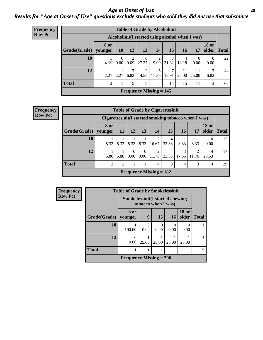#### *Age at Onset of Use* **26** *Results for "Age at Onset of Use" questions exclude students who said they did not use that substance*

| <b>Frequency</b> | <b>Table of Grade by Alcoholinit</b> |                                                  |                               |           |            |                           |       |             |             |                       |              |
|------------------|--------------------------------------|--------------------------------------------------|-------------------------------|-----------|------------|---------------------------|-------|-------------|-------------|-----------------------|--------------|
| <b>Row Pct</b>   |                                      | Alcoholinit (I started using alcohol when I was) |                               |           |            |                           |       |             |             |                       |              |
|                  | Grade(Grade)                         | <b>8 or</b><br>younger                           | <b>10</b>                     | 12        | 13         | 14                        | 15    | 16          | 17          | <b>18 or</b><br>older | <b>Total</b> |
|                  | 10                                   | 4.55                                             | $\theta$<br>0.00 <sub>l</sub> | 2<br>9.09 | 6<br>27.27 | $\overline{2}$<br>9.09    | 31.82 | 4<br>18.18  | 0.00        | $\theta$<br>0.00      | 22           |
|                  | 12                                   | 2.27                                             | 2.27                          | 3<br>6.82 | C<br>4.55  | 5<br>$11.36 \mid 15.91$   | 7     | 11<br>25.00 | 11<br>25.00 | 3<br>6.82             | 44           |
|                  | <b>Total</b>                         | $\mathfrak{D}$                                   |                               | 5         | 8          | $\tau$                    | 14    | 15          | 11          | 3                     | 66           |
|                  |                                      |                                                  |                               |           |            | Frequency Missing $= 145$ |       |             |             |                       |              |

| <b>Frequency</b> | <b>Table of Grade by Cigarettesinit</b> |      |                                                       |                  |          |                |            |            |       |                       |              |
|------------------|-----------------------------------------|------|-------------------------------------------------------|------------------|----------|----------------|------------|------------|-------|-----------------------|--------------|
| <b>Row Pct</b>   |                                         |      | Cigarettesinit (I started smoking tobacco when I was) |                  |          |                |            |            |       |                       |              |
|                  | Grade(Grade)   younger                  | 8 or | 11                                                    | 12               | 13       | 14             | 15         | <b>16</b>  | 17    | <b>18 or</b><br>older | <b>Total</b> |
|                  | 10                                      | 8.33 | 8.33                                                  | 8.33             | 8.33     | 16.67          | 4<br>33.33 | 8.33       | 8.33  | 0.00                  | 12           |
|                  | 12                                      | 5.88 | 5.88                                                  | $\Omega$<br>0.00 | $\Omega$ | $0.00$   11.76 | 4<br>23.53 | 3<br>17.65 | 11.76 | 4<br>23.53            | 17           |
|                  | <b>Total</b>                            | 2    | $\overline{2}$                                        |                  |          | 4              | 8          | 4          | 3     | 4                     | 29           |
|                  | Frequency Missing $= 182$               |      |                                                       |                  |          |                |            |            |       |                       |              |

| <b>Frequency</b> | <b>Table of Grade by Smokelessinit</b> |                                        |                  |                     |                  |                       |              |  |  |  |
|------------------|----------------------------------------|----------------------------------------|------------------|---------------------|------------------|-----------------------|--------------|--|--|--|
| <b>Row Pct</b>   |                                        | <b>Smokelessinit(I started chewing</b> |                  | tobacco when I was) |                  |                       |              |  |  |  |
|                  | Grade(Grade)                           | 8 or<br>vounger                        | 9                | 15                  | 16               | <b>18 or</b><br>older | <b>Total</b> |  |  |  |
|                  | 10                                     | 100.00                                 | $\theta$<br>0.00 | $\theta$<br>0.00    | $\Omega$<br>0.00 | 0.00                  |              |  |  |  |
|                  | 12                                     | $\left( \right)$<br>0.00               | 25.00            | 25.00               | 25.00            | 25.00                 | 4            |  |  |  |
|                  | <b>Total</b>                           |                                        |                  |                     |                  |                       | 5            |  |  |  |
|                  |                                        | Frequency Missing $= 206$              |                  |                     |                  |                       |              |  |  |  |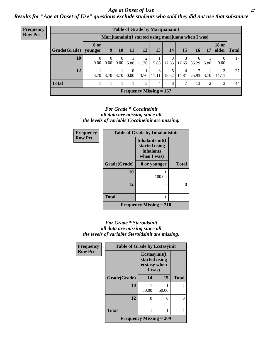#### *Age at Onset of Use* **27**

*Results for "Age at Onset of Use" questions exclude students who said they did not use that substance*

| <b>Frequency</b> |                                                      |                   |                  |    |                          |                          |                                | <b>Table of Grade by Marijuanainit</b> |            |            |      |                               |    |
|------------------|------------------------------------------------------|-------------------|------------------|----|--------------------------|--------------------------|--------------------------------|----------------------------------------|------------|------------|------|-------------------------------|----|
| <b>Row Pct</b>   | Marijuanainit (I started using marijuana when I was) |                   |                  |    |                          |                          |                                |                                        |            |            |      |                               |    |
|                  | $Grade(Grade)$   younger                             | <b>8 or</b>       | 9                | 10 | <b>11</b>                | $12 \,$                  | 13                             | 14                                     | 15         | <b>16</b>  | 17   | <b>18 or</b><br>older   Total |    |
|                  | 10                                                   | 0.00 <sub>l</sub> | $\theta$<br>0.00 |    |                          | 2<br>$0.00$ 5.88   11.76 | 5.88                           | 3<br>17.65                             | 3<br>17.65 | 6<br>35.29 | 5.88 | $\overline{0}$<br>0.00        | 17 |
|                  | 12                                                   | 3.70              | 3.70             |    | 0<br>$3.70 \,   \, 0.00$ | 3.70                     | 3<br>11.11                     | 18.52                                  | 4<br>14.81 | 7<br>25.93 | 3.70 | 3<br>11.11                    | 27 |
|                  | <b>Total</b>                                         |                   |                  |    |                          | 3                        | 4                              | 8                                      |            | 13         | 2    | 3                             | 44 |
|                  |                                                      |                   |                  |    |                          |                          | <b>Frequency Missing = 167</b> |                                        |            |            |      |                               |    |

#### *For Grade \* Cocaineinit all data are missing since all the levels of variable Cocaineinit are missing.*

| Frequency      |              | <b>Table of Grade by Inhalantsinit</b>                       |              |  |  |  |  |
|----------------|--------------|--------------------------------------------------------------|--------------|--|--|--|--|
| <b>Row Pct</b> |              | Inhalantsinit(I<br>started using<br>inhalants<br>when I was) |              |  |  |  |  |
|                | Grade(Grade) | 8 or younger                                                 | <b>Total</b> |  |  |  |  |
|                | 10           | 100.00                                                       |              |  |  |  |  |
|                | 12           |                                                              | 0            |  |  |  |  |
|                | <b>Total</b> |                                                              |              |  |  |  |  |
|                |              | Frequency Missing $= 210$                                    |              |  |  |  |  |

#### *For Grade \* Steroidsinit all data are missing since all the levels of variable Steroidsinit are missing.*

| <b>Frequency</b> | <b>Table of Grade by Ecstasyinit</b> |                                                          |       |              |
|------------------|--------------------------------------|----------------------------------------------------------|-------|--------------|
| <b>Row Pct</b>   |                                      | Ecstasyinit(I<br>started using<br>ecstasy when<br>I was) |       |              |
|                  | Grade(Grade)                         | 14                                                       | 15    | <b>Total</b> |
|                  | 10                                   | 50.00                                                    | 50.00 | 2            |
|                  | 12                                   | 0                                                        | 0     | 0            |
|                  | <b>Total</b>                         | 1                                                        |       | 2            |
|                  | Frequency Missing $= 209$            |                                                          |       |              |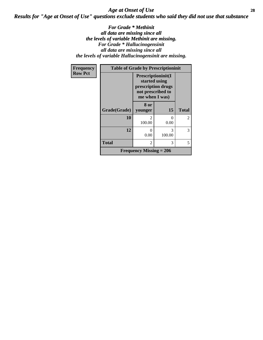### *Age at Onset of Use* **28** *Results for "Age at Onset of Use" questions exclude students who said they did not use that substance*

*For Grade \* Methinit all data are missing since all the levels of variable Methinit are missing. For Grade \* Hallucinogensinit all data are missing since all the levels of variable Hallucinogensinit are missing.*

| Frequency      | <b>Table of Grade by Prescriptioninit</b> |                                                                                                  |             |              |
|----------------|-------------------------------------------|--------------------------------------------------------------------------------------------------|-------------|--------------|
| <b>Row Pct</b> |                                           | Prescriptioninit(I<br>started using<br>prescription drugs<br>not prescribed to<br>me when I was) |             |              |
|                | Grade(Grade)                              | 8 or<br>younger                                                                                  | 15          | <b>Total</b> |
|                | 10                                        | $\mathcal{D}_{\mathcal{L}}$<br>100.00                                                            | 0<br>0.00   | 2            |
|                | 12                                        | $\cup$<br>0.00                                                                                   | 3<br>100.00 | 3            |
|                | <b>Total</b>                              | $\mathfrak{D}$                                                                                   | 3           | 5            |
|                |                                           | Frequency Missing $= 206$                                                                        |             |              |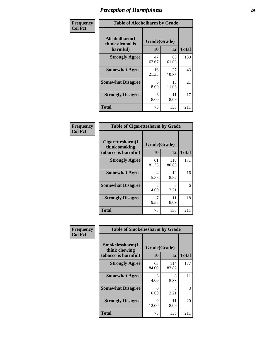| Frequency      | <b>Table of Alcoholharm by Grade</b>          |                    |             |              |
|----------------|-----------------------------------------------|--------------------|-------------|--------------|
| <b>Col Pct</b> | Alcoholharm(I<br>think alcohol is<br>harmful) | Grade(Grade)<br>10 | 12          | <b>Total</b> |
|                | <b>Strongly Agree</b>                         | 47<br>62.67        | 83<br>61.03 | 130          |
|                | <b>Somewhat Agree</b>                         | 16<br>21.33        | 27<br>19.85 | 43           |
|                | <b>Somewhat Disagree</b>                      | 6<br>8.00          | 15<br>11.03 | 21           |
|                | <b>Strongly Disagree</b>                      | 6<br>8.00          | 11<br>8.09  | 17           |
|                | <b>Total</b>                                  | 75                 | 136         | 211          |

| <b>Table of Cigarettesharm by Grade</b>                  |                    |              |              |  |
|----------------------------------------------------------|--------------------|--------------|--------------|--|
| Cigarettesharm(I<br>think smoking<br>tobacco is harmful) | Grade(Grade)<br>10 | 12           | <b>Total</b> |  |
| <b>Strongly Agree</b>                                    | 61<br>81.33        | 110<br>80.88 | 171          |  |
| <b>Somewhat Agree</b>                                    | 4<br>5.33          | 12<br>8.82   | 16           |  |
| <b>Somewhat Disagree</b>                                 | 3<br>4.00          | 3<br>2.21    | 6            |  |
| <b>Strongly Disagree</b>                                 | 7<br>9.33          | 11<br>8.09   | 18           |  |
| <b>Total</b>                                             | 75                 | 136          | 211          |  |

| Frequency      | <b>Table of Smokelessharm by Grade</b> |                           |              |              |
|----------------|----------------------------------------|---------------------------|--------------|--------------|
| <b>Col Pct</b> | Smokelessharm(I<br>think chewing       | Grade(Grade)              |              |              |
|                | tobacco is harmful)                    | 10                        | 12           | <b>Total</b> |
|                | <b>Strongly Agree</b>                  | 63<br>84.00               | 114<br>83.82 | 177          |
|                | <b>Somewhat Agree</b>                  | 3<br>4.00                 | 8<br>5.88    | 11           |
|                | <b>Somewhat Disagree</b>               | $\mathbf{\Omega}$<br>0.00 | 3<br>2.21    | 3            |
|                | <b>Strongly Disagree</b>               | 9<br>12.00                | 11<br>8.09   | 20           |
|                | <b>Total</b>                           | 75                        | 136          | 211          |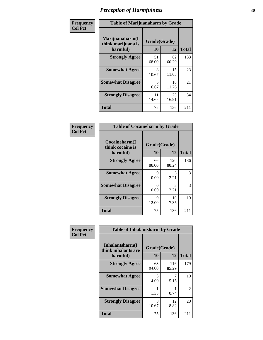| Frequency      | <b>Table of Marijuanaharm by Grade</b>            |                    |             |              |
|----------------|---------------------------------------------------|--------------------|-------------|--------------|
| <b>Col Pct</b> | Marijuanaharm(I<br>think marijuana is<br>harmful) | Grade(Grade)<br>10 | 12          | <b>Total</b> |
|                | <b>Strongly Agree</b>                             | 51<br>68.00        | 82<br>60.29 | 133          |
|                | <b>Somewhat Agree</b>                             | 8<br>10.67         | 15<br>11.03 | 23           |
|                | <b>Somewhat Disagree</b>                          | 5<br>6.67          | 16<br>11.76 | 21           |
|                | <b>Strongly Disagree</b>                          | 11<br>14.67        | 23<br>16.91 | 34           |
|                | <b>Total</b>                                      | 75                 | 136         | 211          |

| <b>Table of Cocaineharm by Grade</b>          |                    |              |              |  |  |
|-----------------------------------------------|--------------------|--------------|--------------|--|--|
| Cocaineharm(I<br>think cocaine is<br>harmful) | Grade(Grade)<br>10 | 12           | <b>Total</b> |  |  |
| <b>Strongly Agree</b>                         | 66<br>88.00        | 120<br>88.24 | 186          |  |  |
| <b>Somewhat Agree</b>                         | 0<br>0.00          | 3<br>2.21    | 3            |  |  |
| <b>Somewhat Disagree</b>                      | 0<br>0.00          | 3<br>2.21    | 3            |  |  |
| <b>Strongly Disagree</b>                      | 9<br>12.00         | 10<br>7.35   | 19           |  |  |
| <b>Total</b>                                  | 75                 | 136          | 211          |  |  |

| Frequency      | <b>Table of Inhalantsharm by Grade</b>  |              |              |                |
|----------------|-----------------------------------------|--------------|--------------|----------------|
| <b>Col Pct</b> | Inhalantsharm(I)<br>think inhalants are | Grade(Grade) |              |                |
|                | harmful)                                | 10           | 12           | <b>Total</b>   |
|                | <b>Strongly Agree</b>                   | 63<br>84.00  | 116<br>85.29 | 179            |
|                | <b>Somewhat Agree</b>                   | 3<br>4.00    | 5.15         | 10             |
|                | <b>Somewhat Disagree</b>                | 1.33         | 0.74         | $\overline{2}$ |
|                | <b>Strongly Disagree</b>                | 8<br>10.67   | 12<br>8.82   | 20             |
|                | <b>Total</b>                            | 75           | 136          | 211            |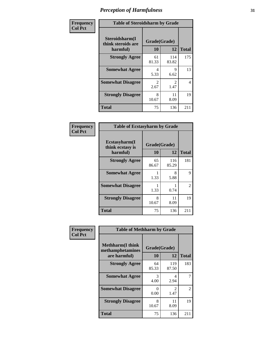| Frequency      | <b>Table of Steroidsharm by Grade</b>            |                       |                        |              |
|----------------|--------------------------------------------------|-----------------------|------------------------|--------------|
| <b>Col Pct</b> | Steroidsharm(I<br>think steroids are<br>harmful) | Grade(Grade)<br>10    | 12                     | <b>Total</b> |
|                | <b>Strongly Agree</b>                            | 61<br>81.33           | 114<br>83.82           | 175          |
|                | <b>Somewhat Agree</b>                            | 4<br>5.33             | 9<br>6.62              | 13           |
|                | <b>Somewhat Disagree</b>                         | $\mathcal{L}$<br>2.67 | $\mathfrak{D}$<br>1.47 | 4            |
|                | <b>Strongly Disagree</b>                         | 8<br>10.67            | 11<br>8.09             | 19           |
|                | <b>Total</b>                                     | 75                    | 136                    | 211          |

| <b>Table of Ecstasyharm by Grade</b>          |                    |              |     |  |  |
|-----------------------------------------------|--------------------|--------------|-----|--|--|
| Ecstasyharm(I<br>think ecstasy is<br>harmful) | Grade(Grade)<br>10 | <b>Total</b> |     |  |  |
| <b>Strongly Agree</b>                         | 65<br>86.67        | 116<br>85.29 | 181 |  |  |
| <b>Somewhat Agree</b>                         | 1<br>1.33          | 8<br>5.88    | 9   |  |  |
| <b>Somewhat Disagree</b>                      | 1.33               | 1<br>0.74    | 2   |  |  |
| <b>Strongly Disagree</b>                      | 8<br>10.67         | 11<br>8.09   | 19  |  |  |
| Total                                         | 75                 | 136          | 211 |  |  |

| Frequency      | <b>Table of Methharm by Grade</b>                            |                    |              |              |
|----------------|--------------------------------------------------------------|--------------------|--------------|--------------|
| <b>Col Pct</b> | <b>Methharm</b> (I think<br>methamphetamines<br>are harmful) | Grade(Grade)<br>10 | 12           | <b>Total</b> |
|                | <b>Strongly Agree</b>                                        | 64<br>85.33        | 119<br>87.50 | 183          |
|                | <b>Somewhat Agree</b>                                        | 3<br>4.00          | 4<br>2.94    | 7            |
|                | <b>Somewhat Disagree</b>                                     | 0<br>0.00          | 2<br>1.47    | 2            |
|                | <b>Strongly Disagree</b>                                     | 8<br>10.67         | 11<br>8.09   | 19           |
|                | <b>Total</b>                                                 | 75                 | 136          | 211          |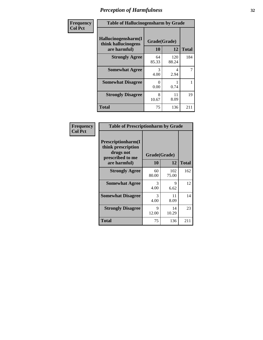| Frequency      | <b>Table of Hallucinogensharm by Grade</b>                 |                    |              |                |
|----------------|------------------------------------------------------------|--------------------|--------------|----------------|
| <b>Col Pct</b> | Hallucinogensharm(I<br>think hallucinogens<br>are harmful) | Grade(Grade)<br>10 | 12           | <b>Total</b>   |
|                | <b>Strongly Agree</b>                                      | 64<br>85.33        | 120<br>88.24 | 184            |
|                | <b>Somewhat Agree</b>                                      | 3<br>4.00          | 4<br>2.94    | $\overline{7}$ |
|                | <b>Somewhat Disagree</b>                                   | 0<br>0.00          | 0.74         | 1              |
|                | <b>Strongly Disagree</b>                                   | 8<br>10.67         | 11<br>8.09   | 19             |
|                | <b>Total</b>                                               | 75                 | 136          | 211            |

| <b>Table of Prescriptionharm by Grade</b>                                                         |                    |              |              |  |  |
|---------------------------------------------------------------------------------------------------|--------------------|--------------|--------------|--|--|
| <b>Prescriptionharm(I)</b><br>think prescription<br>drugs not<br>prescribed to me<br>are harmful) | Grade(Grade)<br>10 | 12           | <b>Total</b> |  |  |
| <b>Strongly Agree</b>                                                                             | 60<br>80.00        | 102<br>75.00 | 162          |  |  |
| <b>Somewhat Agree</b>                                                                             | 3<br>4.00          | 9<br>6.62    | 12           |  |  |
| <b>Somewhat Disagree</b>                                                                          | 3<br>4.00          | 11<br>8.09   | 14           |  |  |
| <b>Strongly Disagree</b>                                                                          | 9<br>12.00         | 14<br>10.29  | 23           |  |  |
| <b>Total</b>                                                                                      | 75                 | 136          | 211          |  |  |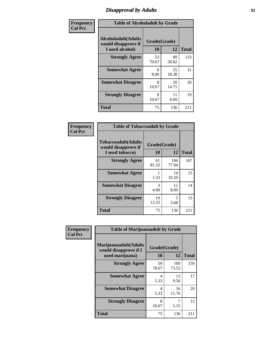# *Disapproval by Adults* **33**

| Frequency      | <b>Table of Alcoholadult by Grade</b>                                 |                    |             |              |
|----------------|-----------------------------------------------------------------------|--------------------|-------------|--------------|
| <b>Col Pct</b> | <b>Alcoholadult</b> (Adults<br>would disapprove if<br>I used alcohol) | Grade(Grade)<br>10 | 12          | <b>Total</b> |
|                | <b>Strongly Agree</b>                                                 | 53<br>70.67        | 80<br>58.82 | 133          |
|                | <b>Somewhat Agree</b>                                                 | 6<br>8.00          | 25<br>18.38 | 31           |
|                | <b>Somewhat Disagree</b>                                              | 8<br>10.67         | 20<br>14.71 | 28           |
|                | <b>Strongly Disagree</b>                                              | 8<br>10.67         | 11<br>8.09  | 19           |
|                | <b>Total</b>                                                          | 75                 | 136         | 211          |

| <b>Table of Tobaccoadult by Grade</b>                                 |                    |              |              |  |  |
|-----------------------------------------------------------------------|--------------------|--------------|--------------|--|--|
| <b>Tobaccoadult</b> (Adults<br>would disapprove if<br>I used tobacco) | Grade(Grade)<br>10 | 12           | <b>Total</b> |  |  |
| <b>Strongly Agree</b>                                                 | 61<br>81.33        | 106<br>77.94 | 167          |  |  |
| <b>Somewhat Agree</b>                                                 | 1.33               | 14<br>10.29  | 15           |  |  |
| <b>Somewhat Disagree</b>                                              | 3<br>4.00          | 11<br>8.09   | 14           |  |  |
| <b>Strongly Disagree</b>                                              | 10<br>13.33        | 5<br>3.68    | 15           |  |  |
| <b>Total</b>                                                          | 75                 | 136          | 211          |  |  |

| Frequency<br><b>Col Pct</b> | <b>Table of Marijuanaadult by Grade</b>                           |                    |              |              |  |
|-----------------------------|-------------------------------------------------------------------|--------------------|--------------|--------------|--|
|                             | Marijuanaadult(Adults<br>would disapprove if I<br>used marijuana) | Grade(Grade)<br>10 | 12           | <b>Total</b> |  |
|                             | <b>Strongly Agree</b>                                             | 59<br>78.67        | 100<br>73.53 | 159          |  |
|                             | <b>Somewhat Agree</b>                                             | 4<br>5.33          | 13<br>9.56   | 17           |  |
|                             | <b>Somewhat Disagree</b>                                          | 4<br>5.33          | 16<br>11.76  | 20           |  |
|                             | <b>Strongly Disagree</b>                                          | 8<br>10.67         | 7<br>5.15    | 15           |  |
|                             | <b>Total</b>                                                      | 75                 | 136          | 211          |  |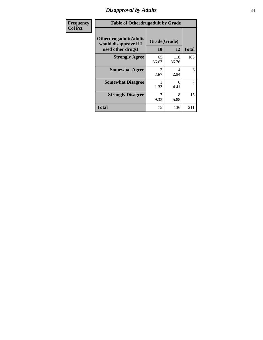### *Disapproval by Adults* **34**

| <b>Frequency</b> | <b>Table of Otherdrugadult by Grade</b>                |              |              |              |
|------------------|--------------------------------------------------------|--------------|--------------|--------------|
| <b>Col Pct</b>   | <b>Otherdrugadult</b> (Adults<br>would disapprove if I | Grade(Grade) |              |              |
|                  | used other drugs)                                      | 10           | 12           | <b>Total</b> |
|                  | <b>Strongly Agree</b>                                  | 65<br>86.67  | 118<br>86.76 | 183          |
|                  | <b>Somewhat Agree</b>                                  | 2.67         | 4<br>2.94    | 6            |
|                  | <b>Somewhat Disagree</b>                               | 1.33         | 6<br>4.41    | 7            |
|                  | <b>Strongly Disagree</b>                               | 9.33         | 8<br>5.88    | 15           |
|                  | <b>Total</b>                                           | 75           | 136          | 211          |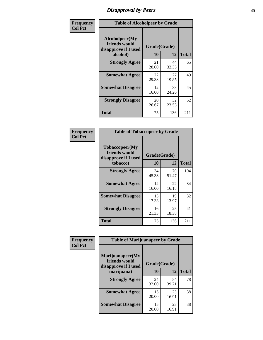# *Disapproval by Peers* **35**

| Frequency      | <b>Table of Alcoholpeer by Grade</b>                    |              |             |              |
|----------------|---------------------------------------------------------|--------------|-------------|--------------|
| <b>Col Pct</b> | Alcoholpeer(My<br>friends would<br>disapprove if I used | Grade(Grade) |             |              |
|                | alcohol)                                                | 10           | 12          | <b>Total</b> |
|                | <b>Strongly Agree</b>                                   | 21<br>28.00  | 44<br>32.35 | 65           |
|                | <b>Somewhat Agree</b>                                   | 22<br>29.33  | 27<br>19.85 | 49           |
|                | <b>Somewhat Disagree</b>                                | 12<br>16.00  | 33<br>24.26 | 45           |
|                | <b>Strongly Disagree</b>                                | 20<br>26.67  | 32<br>23.53 | 52           |
|                | Total                                                   | 75           | 136         | 211          |

| Frequency      | <b>Table of Tobaccopeer by Grade</b>                    |              |             |              |
|----------------|---------------------------------------------------------|--------------|-------------|--------------|
| <b>Col Pct</b> | Tobaccopeer(My<br>friends would<br>disapprove if I used | Grade(Grade) |             |              |
|                | tobacco)                                                | 10           | 12          | <b>Total</b> |
|                | <b>Strongly Agree</b>                                   | 34<br>45.33  | 70<br>51.47 | 104          |
|                | <b>Somewhat Agree</b>                                   | 12<br>16.00  | 22<br>16.18 | 34           |
|                | <b>Somewhat Disagree</b>                                | 13<br>17.33  | 19<br>13.97 | 32           |
|                | <b>Strongly Disagree</b>                                | 16<br>21.33  | 25<br>18.38 | 41           |
|                | Total                                                   | 75           | 136         | 211          |

| <b>icv</b> | <b>Table of Marijuanapeer by Grade</b>                                  |                    |             |              |  |
|------------|-------------------------------------------------------------------------|--------------------|-------------|--------------|--|
|            | Marijuanapeer(My<br>friends would<br>disapprove if I used<br>marijuana) | Grade(Grade)<br>10 | 12          | <b>Total</b> |  |
|            | <b>Strongly Agree</b>                                                   | 24<br>32.00        | 54<br>39.71 | 78           |  |
|            | <b>Somewhat Agree</b>                                                   | 15<br>20.00        | 23<br>16.91 | 38           |  |
|            | <b>Somewhat Disagree</b>                                                | 15<br>20.00        | 23<br>16.91 | 38           |  |

| Frequenc<br>Col Pct |
|---------------------|
|---------------------|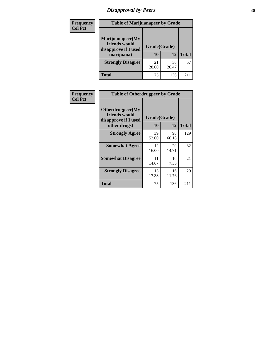# *Disapproval by Peers* **36**

| <b>Frequency</b> | <b>Table of Marijuanapeer by Grade</b>                                  |                          |             |              |  |  |
|------------------|-------------------------------------------------------------------------|--------------------------|-------------|--------------|--|--|
| <b>Col Pct</b>   | Marijuanapeer(My<br>friends would<br>disapprove if I used<br>marijuana) | Grade(Grade)<br>10<br>12 |             | <b>Total</b> |  |  |
|                  | <b>Strongly Disagree</b>                                                | 21<br>28.00              | 36<br>26.47 | 57           |  |  |
|                  | <b>Total</b>                                                            | 75                       | 136         | 211          |  |  |

| <b>Frequency</b>      | <b>Table of Otherdrugpeer by Grade</b>                                    |                                 |             |              |
|-----------------------|---------------------------------------------------------------------------|---------------------------------|-------------|--------------|
| <b>Col Pct</b>        | Otherdrugpeer(My<br>friends would<br>disapprove if I used<br>other drugs) | Grade(Grade)<br><b>10</b><br>12 |             | <b>Total</b> |
| <b>Strongly Agree</b> |                                                                           | 39                              | 90          | 129          |
|                       |                                                                           | 52.00                           | 66.18       |              |
|                       | <b>Somewhat Agree</b>                                                     | 12<br>16.00                     | 20<br>14.71 | 32           |
|                       | <b>Somewhat Disagree</b>                                                  | 11<br>14.67                     | 10<br>7.35  | 21           |
|                       | <b>Strongly Disagree</b>                                                  | 13<br>17.33                     | 16<br>11.76 | 29           |
|                       | <b>Total</b>                                                              | 75                              | 136         | 211          |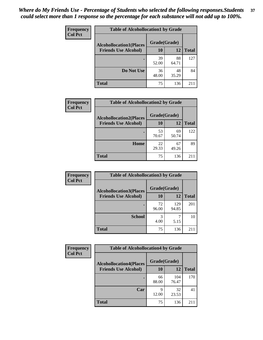| Frequency      | <b>Table of Alcohollocation1 by Grade</b> |              |             |              |  |
|----------------|-------------------------------------------|--------------|-------------|--------------|--|
| <b>Col Pct</b> | <b>Alcohollocation1(Places</b>            | Grade(Grade) |             |              |  |
|                | <b>Friends Use Alcohol)</b>               | 10           | 12          | <b>Total</b> |  |
|                |                                           | 39<br>52.00  | 88<br>64.71 | 127          |  |
|                | Do Not Use                                | 36<br>48.00  | 48<br>35.29 | 84           |  |
|                | <b>Total</b>                              | 75           | 136         | 211          |  |

| Frequency      | <b>Table of Alcohollocation2 by Grade</b>                     |                    |             |              |
|----------------|---------------------------------------------------------------|--------------------|-------------|--------------|
| <b>Col Pct</b> | <b>Alcohollocation2(Places</b><br><b>Friends Use Alcohol)</b> | Grade(Grade)<br>10 | <b>12</b>   | <b>Total</b> |
|                |                                                               | 53<br>70.67        | 69<br>50.74 | 122          |
|                | Home                                                          | 22<br>29.33        | 67<br>49.26 | 89           |
|                | Total                                                         | 75                 | 136         |              |

| Frequency<br><b>Col Pct</b> | <b>Table of Alcohollocation 3 by Grade</b>                    |                    |              |              |
|-----------------------------|---------------------------------------------------------------|--------------------|--------------|--------------|
|                             | <b>Alcohollocation3(Places</b><br><b>Friends Use Alcohol)</b> | Grade(Grade)<br>10 | 12           | <b>Total</b> |
|                             |                                                               |                    |              |              |
|                             |                                                               | 72<br>96.00        | 129<br>94.85 | 201          |
|                             | <b>School</b>                                                 | 3<br>4.00          | 5.15         | 10           |
|                             | <b>Total</b>                                                  | 75                 | 136          | 211          |

| <b>Frequency</b> | <b>Table of Alcohollocation4 by Grade</b> |              |              |              |  |
|------------------|-------------------------------------------|--------------|--------------|--------------|--|
| <b>Col Pct</b>   | <b>Alcohollocation4(Places</b>            | Grade(Grade) |              |              |  |
|                  | <b>Friends Use Alcohol)</b>               | 10           | 12           | <b>Total</b> |  |
|                  |                                           | 66<br>88.00  | 104<br>76.47 | 170          |  |
|                  | Car                                       | 9<br>12.00   | 32<br>23.53  | 41           |  |
|                  | <b>Total</b>                              | 75           | 136          | 211          |  |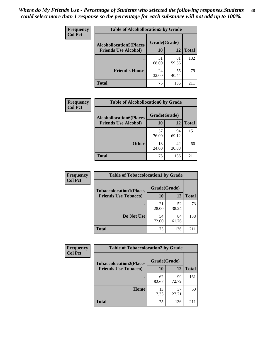| Frequency<br><b>Col Pct</b> | <b>Table of Alcohollocation5 by Grade</b> |             |              |     |  |
|-----------------------------|-------------------------------------------|-------------|--------------|-----|--|
|                             | <b>Alcohollocation5(Places</b>            |             |              |     |  |
| <b>Friends Use Alcohol)</b> | 10                                        | 12          | <b>Total</b> |     |  |
|                             |                                           | 51<br>68.00 | 81<br>59.56  | 132 |  |
|                             | <b>Friend's House</b>                     | 24<br>32.00 | 55<br>40.44  | 79  |  |
|                             | <b>Total</b>                              | 75          | 136          | 211 |  |

| <b>Frequency</b> | <b>Table of Alcohollocation6 by Grade</b>                     |                    |             |              |
|------------------|---------------------------------------------------------------|--------------------|-------------|--------------|
| <b>Col Pct</b>   | <b>Alcohollocation6(Places</b><br><b>Friends Use Alcohol)</b> | Grade(Grade)<br>10 | 12          | <b>Total</b> |
|                  |                                                               | 57<br>76.00        | 94<br>69.12 | 151          |
|                  | <b>Other</b>                                                  | 18<br>24.00        | 42<br>30.88 | 60           |
|                  | <b>Total</b>                                                  | 75                 | 136         | 211          |

| <b>Frequency</b> | <b>Table of Tobaccolocation1 by Grade</b> |              |             |              |
|------------------|-------------------------------------------|--------------|-------------|--------------|
| <b>Col Pct</b>   | <b>Tobaccolocation1(Places</b>            | Grade(Grade) |             |              |
|                  | <b>Friends Use Tobacco)</b>               | 10           | 12          | <b>Total</b> |
|                  |                                           | 21<br>28.00  | 52<br>38.24 | 73           |
|                  | Do Not Use                                | 54<br>72.00  | 84<br>61.76 | 138          |
|                  | <b>Total</b>                              | 75           | 136         | 211          |

| <b>Frequency</b> | <b>Table of Tobaccolocation2 by Grade</b> |              |             |              |
|------------------|-------------------------------------------|--------------|-------------|--------------|
| <b>Col Pct</b>   | <b>Tobaccolocation2(Places</b>            | Grade(Grade) |             |              |
|                  | <b>Friends Use Tobacco)</b>               | 10           | 12          | <b>Total</b> |
|                  |                                           | 62<br>82.67  | 99<br>72.79 | 161          |
|                  | Home                                      | 13<br>17.33  | 37<br>27.21 | 50           |
|                  | <b>Total</b>                              | 75           | 136         | 211          |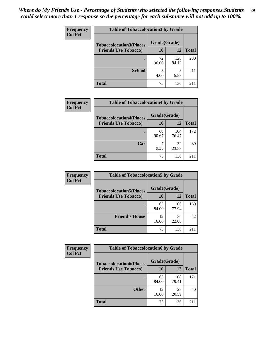| Frequency      | <b>Table of Tobaccolocation 3 by Grade</b> |              |              |              |
|----------------|--------------------------------------------|--------------|--------------|--------------|
| <b>Col Pct</b> | <b>Tobaccolocation3(Places</b>             | Grade(Grade) |              |              |
|                | <b>Friends Use Tobacco)</b>                | 10           | 12           | <b>Total</b> |
|                |                                            | 72<br>96.00  | 128<br>94.12 | 200          |
|                | <b>School</b>                              | 3<br>4.00    | 8<br>5.88    | 11           |
|                | <b>Total</b>                               | 75           | 136          | 211          |

| Frequency      | <b>Table of Tobaccolocation4 by Grade</b> |              |              |              |
|----------------|-------------------------------------------|--------------|--------------|--------------|
| <b>Col Pct</b> | <b>Tobaccolocation4(Places</b>            | Grade(Grade) |              |              |
|                | <b>Friends Use Tobacco)</b>               | 10           | 12           | <b>Total</b> |
|                |                                           | 68<br>90.67  | 104<br>76.47 | 172          |
|                | Car                                       | 9.33         | 32<br>23.53  | 39           |
|                | <b>Total</b>                              | 75           | 136          | 211          |

| <b>Frequency</b> | <b>Table of Tobaccolocation5 by Grade</b> |              |              |              |
|------------------|-------------------------------------------|--------------|--------------|--------------|
| <b>Col Pct</b>   | <b>Tobaccolocation5(Places</b>            | Grade(Grade) |              |              |
|                  | <b>Friends Use Tobacco)</b>               | 10           | <b>12</b>    | <b>Total</b> |
|                  |                                           | 63<br>84.00  | 106<br>77.94 | 169          |
|                  | <b>Friend's House</b>                     | 12<br>16.00  | 30<br>22.06  | 42           |
|                  | <b>Total</b>                              | 75           | 136          | 211          |

| <b>Frequency</b> | <b>Table of Tobaccolocation6 by Grade</b> |              |              |              |  |
|------------------|-------------------------------------------|--------------|--------------|--------------|--|
| <b>Col Pct</b>   | <b>Tobaccolocation6(Places</b>            | Grade(Grade) |              |              |  |
|                  | <b>Friends Use Tobacco)</b>               | 10           | 12           | <b>Total</b> |  |
|                  |                                           | 63<br>84.00  | 108<br>79.41 | 171          |  |
|                  | <b>Other</b>                              | 12<br>16.00  | 28<br>20.59  | 40           |  |
|                  | <b>Total</b>                              | 75           | 136          | 211          |  |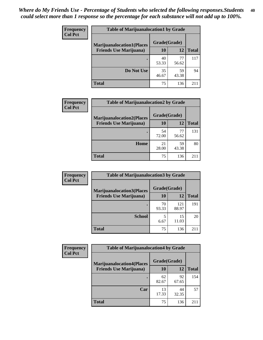| <b>Frequency</b> | <b>Table of Marijuanalocation1 by Grade</b> |              |             |              |
|------------------|---------------------------------------------|--------------|-------------|--------------|
| <b>Col Pct</b>   | <b>Marijuanalocation1(Places</b>            | Grade(Grade) |             |              |
|                  | <b>Friends Use Marijuana</b> )              | 10           | 12          | <b>Total</b> |
|                  |                                             | 40<br>53.33  | 77<br>56.62 | 117          |
|                  | Do Not Use                                  | 35<br>46.67  | 59<br>43.38 | 94           |
|                  | Total                                       | 75           | 136         | 21.          |

| <b>Frequency</b> | <b>Table of Marijuanalocation2 by Grade</b>                        |                    |             |              |
|------------------|--------------------------------------------------------------------|--------------------|-------------|--------------|
| <b>Col Pct</b>   | <b>Marijuanalocation2(Places</b><br><b>Friends Use Marijuana</b> ) | Grade(Grade)<br>10 | 12          | <b>Total</b> |
|                  |                                                                    | 54<br>72.00        | 77<br>56.62 | 131          |
|                  | Home                                                               | 21<br>28.00        | 59<br>43.38 | 80           |
|                  | <b>Total</b>                                                       | 75                 | 136         | 211          |

| Frequency<br><b>Col Pct</b> | <b>Table of Marijuanalocation3 by Grade</b> |              |              |              |
|-----------------------------|---------------------------------------------|--------------|--------------|--------------|
|                             | <b>Marijuanalocation3(Places</b>            | Grade(Grade) |              |              |
|                             | <b>Friends Use Marijuana</b> )              | 10           | 12           | <b>Total</b> |
|                             |                                             | 70<br>93.33  | 121<br>88.97 | 191          |
|                             | <b>School</b>                               | 6.67         | 15<br>11.03  | 20           |
|                             | <b>Total</b>                                | 75           | 136          |              |

| <b>Frequency</b> | <b>Table of Marijuanalocation4 by Grade</b> |              |             |              |  |
|------------------|---------------------------------------------|--------------|-------------|--------------|--|
| <b>Col Pct</b>   | <b>Marijuanalocation4(Places</b>            | Grade(Grade) |             |              |  |
|                  | <b>Friends Use Marijuana</b> )              | <b>10</b>    | 12          | <b>Total</b> |  |
|                  |                                             | 62<br>82.67  | 92<br>67.65 | 154          |  |
|                  | Car                                         | 13<br>17.33  | 44<br>32.35 | 57           |  |
|                  | <b>Total</b>                                | 75           | 136         | $21^{\circ}$ |  |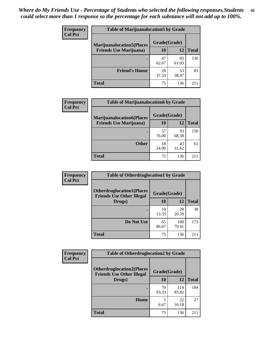| <b>Frequency</b> | <b>Table of Marijuanalocation5 by Grade</b> |              |             |              |
|------------------|---------------------------------------------|--------------|-------------|--------------|
| <b>Col Pct</b>   | <b>Marijuanalocation5(Places)</b>           | Grade(Grade) |             |              |
|                  | <b>Friends Use Marijuana</b> )              | 10           | 12          | <b>Total</b> |
|                  |                                             | 47<br>62.67  | 83<br>61.03 | 130          |
|                  | <b>Friend's House</b>                       | 28<br>37.33  | 53<br>38.97 | 81           |
|                  | <b>Total</b>                                | 75           | 136         | 2.11         |

| <b>Frequency</b> | <b>Table of Marijuanalocation6 by Grade</b>                        |                    |             |              |
|------------------|--------------------------------------------------------------------|--------------------|-------------|--------------|
| <b>Col Pct</b>   | <b>Marijuanalocation6(Places</b><br><b>Friends Use Marijuana</b> ) | Grade(Grade)<br>10 | 12          | <b>Total</b> |
|                  |                                                                    | 57<br>76.00        | 93<br>68.38 | 150          |
|                  | <b>Other</b>                                                       | 18<br>24.00        | 43<br>31.62 | 61           |
|                  | <b>Total</b>                                                       | 75                 | 136         | 211          |

| <b>Frequency</b> | <b>Table of Otherdruglocation1 by Grade</b>                          |              |              |              |
|------------------|----------------------------------------------------------------------|--------------|--------------|--------------|
| <b>Col Pct</b>   | <b>Otherdruglocation1(Places</b><br><b>Friends Use Other Illegal</b> | Grade(Grade) |              |              |
|                  | Drugs)                                                               | 10           | 12           | <b>Total</b> |
|                  |                                                                      | 10<br>13.33  | 28<br>20.59  | 38           |
|                  | Do Not Use                                                           | 65<br>86.67  | 108<br>79.41 | 173          |
|                  | <b>Total</b>                                                         | 75           | 136          | 211          |

| Frequency      | <b>Table of Otherdruglocation2 by Grade</b>                          |              |              |              |
|----------------|----------------------------------------------------------------------|--------------|--------------|--------------|
| <b>Col Pct</b> | <b>Otherdruglocation2(Places</b><br><b>Friends Use Other Illegal</b> | Grade(Grade) |              |              |
|                | Drugs)                                                               | 10           | 12           | <b>Total</b> |
|                |                                                                      | 70<br>93.33  | 114<br>83.82 | 184          |
|                | Home                                                                 | 5<br>6.67    | 22<br>16.18  | 27           |
|                | <b>Total</b>                                                         | 75           | 136          | 211          |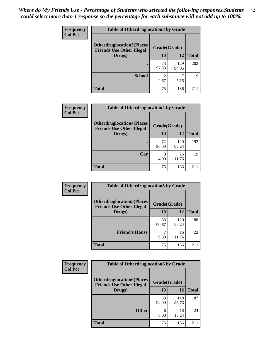| <b>Frequency</b> | <b>Table of Otherdruglocation 3 by Grade</b>                          |              |              |              |
|------------------|-----------------------------------------------------------------------|--------------|--------------|--------------|
| <b>Col Pct</b>   | <b>Otherdruglocation3(Places)</b><br><b>Friends Use Other Illegal</b> | Grade(Grade) |              |              |
|                  | Drugs)                                                                | 10           | 12           | <b>Total</b> |
|                  |                                                                       | 73<br>97.33  | 129<br>94.85 | 202          |
|                  | <b>School</b>                                                         | 2.67         | 5.15         | 9            |
|                  | Total                                                                 | 75           | 136          | 211          |

| <b>Frequency</b> | <b>Table of Otherdruglocation4 by Grade</b>                          |              |              |              |
|------------------|----------------------------------------------------------------------|--------------|--------------|--------------|
| <b>Col Pct</b>   | <b>Otherdruglocation4(Places</b><br><b>Friends Use Other Illegal</b> | Grade(Grade) |              |              |
|                  | Drugs)                                                               | 10           | 12           | <b>Total</b> |
|                  |                                                                      | 72<br>96.00  | 120<br>88.24 | 192          |
|                  | Car                                                                  | 4.00         | 16<br>11.76  | 19           |
|                  | <b>Total</b>                                                         | 75           | 136          | 211          |

| Frequency      | <b>Table of Otherdruglocation5 by Grade</b>                          |              |              |              |
|----------------|----------------------------------------------------------------------|--------------|--------------|--------------|
| <b>Col Pct</b> | <b>Otherdruglocation5(Places</b><br><b>Friends Use Other Illegal</b> | Grade(Grade) |              |              |
|                | Drugs)                                                               | 10           | 12           | <b>Total</b> |
|                |                                                                      | 68<br>90.67  | 120<br>88.24 | 188          |
|                | <b>Friend's House</b>                                                | 9.33         | 16<br>11.76  | 23           |
|                | <b>Total</b>                                                         | 75           | 136          | 211          |

| <b>Frequency</b> | <b>Table of Otherdruglocation6 by Grade</b>                          |              |              |              |
|------------------|----------------------------------------------------------------------|--------------|--------------|--------------|
| <b>Col Pct</b>   | <b>Otherdruglocation6(Places</b><br><b>Friends Use Other Illegal</b> | Grade(Grade) |              |              |
|                  | Drugs)                                                               | <b>10</b>    | 12           | <b>Total</b> |
|                  |                                                                      | 69<br>92.00  | 118<br>86.76 | 187          |
|                  | <b>Other</b>                                                         | 6<br>8.00    | 18<br>13.24  | 24           |
|                  | <b>Total</b>                                                         | 75           | 136          | 211          |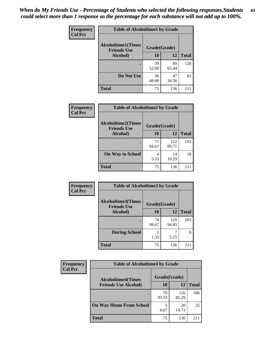| Frequency      | <b>Table of Alcoholtime1 by Grade</b>                           |             |             |              |
|----------------|-----------------------------------------------------------------|-------------|-------------|--------------|
| <b>Col Pct</b> | <b>Alcoholtime1(Times</b><br>Grade(Grade)<br><b>Friends Use</b> |             |             |              |
|                | Alcohol)                                                        | 10          | 12          | <b>Total</b> |
|                |                                                                 | 39<br>52.00 | 89<br>65.44 | 128          |
|                | Do Not Use                                                      | 36<br>48.00 | 47<br>34.56 | 83           |
|                | <b>Total</b>                                                    | 75          | 136         | 211          |

| Frequency      | <b>Table of Alcoholtime2 by Grade</b>           |              |              |              |
|----------------|-------------------------------------------------|--------------|--------------|--------------|
| <b>Col Pct</b> | <b>Alcoholtime2(Times</b><br><b>Friends Use</b> | Grade(Grade) |              |              |
|                | Alcohol)                                        | 10           | 12           | <b>Total</b> |
|                |                                                 | 71<br>94.67  | 122<br>89.71 | 193          |
|                | <b>On Way to School</b>                         | 4<br>5.33    | 14<br>10.29  | 18           |
|                | <b>Total</b>                                    | 75           | 136          | 211          |

| Frequency | <b>Table of Alcoholtime3 by Grade</b>                           |             |              |              |
|-----------|-----------------------------------------------------------------|-------------|--------------|--------------|
| Col Pct   | <b>Alcoholtime3(Times</b><br>Grade(Grade)<br><b>Friends Use</b> |             |              |              |
|           | Alcohol)                                                        | 10          | 12           | <b>Total</b> |
|           |                                                                 | 74<br>98.67 | 129<br>94.85 | 203          |
|           | <b>During School</b>                                            | 1.33        | 5.15         | 8            |
|           | <b>Total</b>                                                    | 75          | 136          | 211          |

| <b>Frequency</b><br><b>Col Pct</b> | <b>Table of Alcoholtime4 by Grade</b> |              |              |              |
|------------------------------------|---------------------------------------|--------------|--------------|--------------|
|                                    | <b>Alcoholtime4(Times</b>             | Grade(Grade) |              |              |
|                                    | <b>Friends Use Alcohol)</b>           | 10           | 12           | <b>Total</b> |
|                                    |                                       | 70<br>93.33  | 116<br>85.29 | 186          |
|                                    | <b>On Way Home From School</b>        | 6.67         | 20<br>14.71  | 25           |
|                                    | <b>Total</b>                          | 75           | 136          | 211          |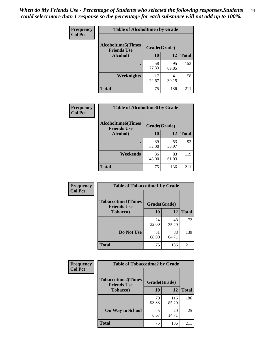*When do My Friends Use - Percentage of Students who selected the following responses.Students could select more than 1 response so the percentage for each substance will not add up to 100%.* **44**

| Frequency      | <b>Table of Alcoholtime5 by Grade</b>                           |             |             |              |
|----------------|-----------------------------------------------------------------|-------------|-------------|--------------|
| <b>Col Pct</b> | <b>Alcoholtime5(Times</b><br>Grade(Grade)<br><b>Friends Use</b> |             |             |              |
|                | Alcohol)                                                        | 10          | 12          | <b>Total</b> |
|                |                                                                 | 58<br>77.33 | 95<br>69.85 | 153          |
|                | <b>Weeknights</b>                                               | 17<br>22.67 | 41<br>30.15 | 58           |
|                | <b>Total</b>                                                    | 75          | 136         | 211          |

| <b>Frequency</b> | <b>Table of Alcoholtime6 by Grade</b>           |              |             |              |
|------------------|-------------------------------------------------|--------------|-------------|--------------|
| <b>Col Pct</b>   | <b>Alcoholtime6(Times</b><br><b>Friends Use</b> | Grade(Grade) |             |              |
|                  | Alcohol)                                        | 10           | 12          | <b>Total</b> |
|                  |                                                 | 39<br>52.00  | 53<br>38.97 | 92           |
|                  | Weekends                                        | 36<br>48.00  | 83<br>61.03 | 119          |
|                  | <b>Total</b>                                    | 75           | 136         | 211          |

| Frequency      | <b>Table of Tobaccotime1 by Grade</b>           |              |             |              |
|----------------|-------------------------------------------------|--------------|-------------|--------------|
| <b>Col Pct</b> | <b>Tobaccotime1(Times</b><br><b>Friends Use</b> | Grade(Grade) |             |              |
|                | <b>Tobacco</b> )                                | 10           | 12          | <b>Total</b> |
|                | ٠                                               | 24<br>32.00  | 48<br>35.29 | 72           |
|                | Do Not Use                                      | 51<br>68.00  | 88<br>64.71 | 139          |
|                | <b>Total</b>                                    | 75           | 136         | 211          |

| <b>Frequency</b> | <b>Table of Tobaccotime2 by Grade</b>           |              |              |              |
|------------------|-------------------------------------------------|--------------|--------------|--------------|
| <b>Col Pct</b>   | <b>Tobaccotime2(Times</b><br><b>Friends Use</b> | Grade(Grade) |              |              |
|                  | <b>Tobacco</b> )                                | 10           | 12           | <b>Total</b> |
|                  |                                                 | 70<br>93.33  | 116<br>85.29 | 186          |
|                  | <b>On Way to School</b>                         | 5<br>6.67    | 20<br>14.71  | 25           |
|                  | <b>Total</b>                                    | 75           | 136          | 211          |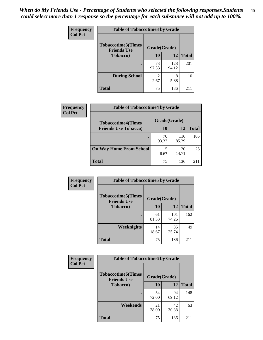*When do My Friends Use - Percentage of Students who selected the following responses.Students could select more than 1 response so the percentage for each substance will not add up to 100%.* **45**

| <b>Frequency</b> | <b>Table of Tobaccotime3 by Grade</b>           |             |              |              |
|------------------|-------------------------------------------------|-------------|--------------|--------------|
| <b>Col Pct</b>   | <b>Tobaccotime3(Times</b><br><b>Friends Use</b> |             | Grade(Grade) |              |
|                  | <b>Tobacco</b> )                                | 10          | 12           | <b>Total</b> |
|                  |                                                 | 73<br>97.33 | 128<br>94.12 | 201          |
|                  | <b>During School</b>                            | 2.67        | 8<br>5.88    | 10           |
|                  | <b>Total</b>                                    | 75          | 136          | 211          |

| <b>Frequency</b><br><b>Col Pct</b> | <b>Table of Tobaccotime4 by Grade</b> |              |              |              |
|------------------------------------|---------------------------------------|--------------|--------------|--------------|
|                                    | <b>Tobaccotime4(Times</b>             | Grade(Grade) |              |              |
|                                    | <b>Friends Use Tobacco)</b>           | 10           | 12           | <b>Total</b> |
|                                    |                                       | 70<br>93.33  | 116<br>85.29 | 186          |
|                                    | <b>On Way Home From School</b>        | 5<br>6.67    | 20<br>14.71  | 25           |
|                                    | <b>Total</b>                          | 75           | 136          | 2.11         |

| Frequency      | <b>Table of Tobaccotime5 by Grade</b>           |              |              |              |
|----------------|-------------------------------------------------|--------------|--------------|--------------|
| <b>Col Pct</b> | <b>Tobaccotime5(Times</b><br><b>Friends Use</b> | Grade(Grade) |              |              |
|                | Tobacco)                                        | 10           | 12           | <b>Total</b> |
|                |                                                 | 61<br>81.33  | 101<br>74.26 | 162          |
|                | Weeknights                                      | 14<br>18.67  | 35<br>25.74  | 49           |
|                | <b>Total</b>                                    | 75           | 136          | 211          |

| Frequency      | <b>Table of Tobaccotime6 by Grade</b>           |              |             |              |
|----------------|-------------------------------------------------|--------------|-------------|--------------|
| <b>Col Pct</b> | <b>Tobaccotime6(Times</b><br><b>Friends Use</b> | Grade(Grade) |             |              |
|                | <b>Tobacco</b> )                                | <b>10</b>    | 12          | <b>Total</b> |
|                | ٠                                               | 54<br>72.00  | 94<br>69.12 | 148          |
|                | Weekends                                        | 21<br>28.00  | 42<br>30.88 | 63           |
|                | <b>Total</b>                                    | 75           | 136         | 211          |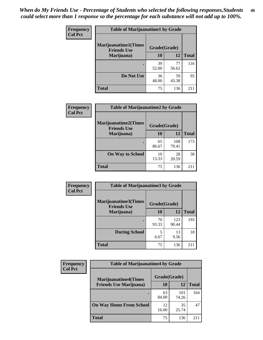| Frequency      | <b>Table of Marijuanatime1 by Grade</b>           |              |             |              |
|----------------|---------------------------------------------------|--------------|-------------|--------------|
| <b>Col Pct</b> | <b>Marijuanatime1(Times</b><br><b>Friends Use</b> | Grade(Grade) |             |              |
|                | Marijuana)                                        | 10           | 12          | <b>Total</b> |
|                |                                                   | 39<br>52.00  | 77<br>56.62 | 116          |
|                | Do Not Use                                        | 36<br>48.00  | 59<br>43.38 | 95           |
|                | <b>Total</b>                                      | 75           | 136         | 211          |

| Frequency      | <b>Table of Marijuanatime2 by Grade</b>           |              |              |              |
|----------------|---------------------------------------------------|--------------|--------------|--------------|
| <b>Col Pct</b> | <b>Marijuanatime2(Times</b><br><b>Friends Use</b> | Grade(Grade) |              |              |
|                | Marijuana)                                        | 10           | 12           | <b>Total</b> |
|                |                                                   | 65<br>86.67  | 108<br>79.41 | 173          |
|                | <b>On Way to School</b>                           | 10<br>13.33  | 28<br>20.59  | 38           |
|                | <b>Total</b>                                      | 75           | 136          | 211          |

| Frequency      | <b>Table of Marijuanatime3 by Grade</b>    |              |              |              |
|----------------|--------------------------------------------|--------------|--------------|--------------|
| <b>Col Pct</b> | Marijuanatime3(Times<br><b>Friends Use</b> | Grade(Grade) |              |              |
|                | Marijuana)                                 | 10           | 12           | <b>Total</b> |
|                |                                            | 70<br>93.33  | 123<br>90.44 | 193          |
|                | <b>During School</b>                       | 5<br>6.67    | 13<br>9.56   | 18           |
|                | <b>Total</b>                               | 75           | 136          | 211          |

| <b>Frequency</b> | <b>Table of Marijuanatime4 by Grade</b> |              |              |              |
|------------------|-----------------------------------------|--------------|--------------|--------------|
| <b>Col Pct</b>   | <b>Marijuanatime4</b> (Times            | Grade(Grade) |              |              |
|                  | <b>Friends Use Marijuana</b> )          | 10           | 12           | <b>Total</b> |
|                  |                                         | 63<br>84.00  | 101<br>74.26 | 164          |
|                  | <b>On Way Home From School</b>          | 12<br>16.00  | 35<br>25.74  | 47           |
|                  | <b>Total</b>                            | 75           | 136          | 211          |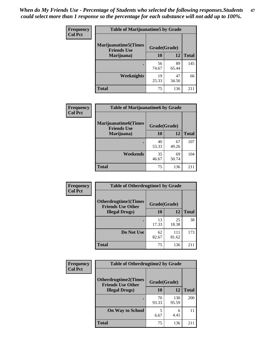| <b>Frequency</b><br><b>Col Pct</b> | <b>Table of Marijuanatime5 by Grade</b>            |              |             |              |
|------------------------------------|----------------------------------------------------|--------------|-------------|--------------|
|                                    | <b>Marijuanatime5</b> (Times<br><b>Friends Use</b> | Grade(Grade) |             |              |
|                                    | Marijuana)                                         | 10           | 12          | <b>Total</b> |
|                                    |                                                    | 56<br>74.67  | 89<br>65.44 | 145          |
|                                    | Weeknights                                         | 19<br>25.33  | 47<br>34.56 | 66           |
|                                    | <b>Total</b>                                       | 75           | 136         | 211          |

| <b>Frequency</b> | <b>Table of Marijuanatime6 by Grade</b>    |              |             |              |
|------------------|--------------------------------------------|--------------|-------------|--------------|
| <b>Col Pct</b>   | Marijuanatime6(Times<br><b>Friends Use</b> | Grade(Grade) |             |              |
|                  | Marijuana)                                 | 10           | 12          | <b>Total</b> |
|                  | $\bullet$                                  | 40<br>53.33  | 67<br>49.26 | 107          |
|                  | Weekends                                   | 35<br>46.67  | 69<br>50.74 | 104          |
|                  | <b>Total</b>                               | 75           | 136         | 211          |

| <b>Frequency</b> | <b>Table of Otherdrugtime1 by Grade</b>                  |              |              |              |
|------------------|----------------------------------------------------------|--------------|--------------|--------------|
| <b>Col Pct</b>   | <b>Otherdrugtime1</b> (Times<br><b>Friends Use Other</b> | Grade(Grade) |              |              |
|                  | <b>Illegal Drugs</b> )                                   | 10           | 12           | <b>Total</b> |
|                  |                                                          | 13<br>17.33  | 25<br>18.38  | 38           |
|                  | Do Not Use                                               | 62<br>82.67  | 111<br>81.62 | 173          |
|                  | <b>Total</b>                                             | 75           | 136          | 211          |

| <b>Frequency</b> | <b>Table of Otherdrugtime2 by Grade</b>                 |              |              |              |
|------------------|---------------------------------------------------------|--------------|--------------|--------------|
| <b>Col Pct</b>   | <b>Otherdrugtime2(Times</b><br><b>Friends Use Other</b> | Grade(Grade) |              |              |
|                  | <b>Illegal Drugs</b> )                                  | 10           | 12           | <b>Total</b> |
|                  |                                                         | 70<br>93.33  | 130<br>95.59 | 200          |
|                  | <b>On Way to School</b>                                 | 5<br>6.67    | 6<br>4.41    | 11           |
|                  | Total                                                   | 75           | 136          | 211          |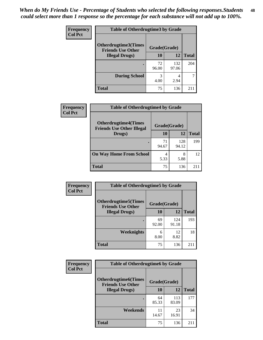| <b>Frequency</b> | <b>Table of Otherdrugtime3 by Grade</b>          |              |              |              |
|------------------|--------------------------------------------------|--------------|--------------|--------------|
| <b>Col Pct</b>   | Otherdrugtime3(Times<br><b>Friends Use Other</b> | Grade(Grade) |              |              |
|                  | <b>Illegal Drugs</b> )                           | 10           | 12           | <b>Total</b> |
|                  |                                                  | 72<br>96.00  | 132<br>97.06 | 204          |
|                  | <b>During School</b>                             | 3<br>4.00    | 4<br>2.94    |              |
|                  | Total                                            | 75           | 136          | 21!          |

| Frequency      | <b>Table of Otherdrugtime4 by Grade</b>                         |              |              |              |
|----------------|-----------------------------------------------------------------|--------------|--------------|--------------|
| <b>Col Pct</b> | <b>Otherdrugtime4(Times</b><br><b>Friends Use Other Illegal</b> | Grade(Grade) |              |              |
|                | Drugs)                                                          | 10           | 12           | <b>Total</b> |
|                | $\bullet$                                                       | 71<br>94.67  | 128<br>94.12 | 199          |
|                | <b>On Way Home From School</b>                                  | 4<br>5.33    | 8<br>5.88    | 12           |
|                | <b>Total</b>                                                    | 75           | 136          | 211          |

| <b>Frequency</b> | <b>Table of Otherdrugtime5 by Grade</b>                  |              |              |              |
|------------------|----------------------------------------------------------|--------------|--------------|--------------|
| <b>Col Pct</b>   | <b>Otherdrugtime5</b> (Times<br><b>Friends Use Other</b> | Grade(Grade) |              |              |
|                  | <b>Illegal Drugs</b> )                                   | 10           | 12           | <b>Total</b> |
|                  |                                                          | 69<br>92.00  | 124<br>91.18 | 193          |
|                  | Weeknights                                               | 6<br>8.00    | 12<br>8.82   | 18           |
|                  | <b>Total</b>                                             | 75           | 136          | $21^{\circ}$ |

| Frequency      | <b>Table of Otherdrugtime6 by Grade</b>                 |              |              |              |
|----------------|---------------------------------------------------------|--------------|--------------|--------------|
| <b>Col Pct</b> | <b>Otherdrugtime6(Times</b><br><b>Friends Use Other</b> | Grade(Grade) |              |              |
|                | <b>Illegal Drugs</b> )                                  | 10           | 12           | <b>Total</b> |
|                |                                                         | 64<br>85.33  | 113<br>83.09 | 177          |
|                | Weekends                                                | 11<br>14.67  | 23<br>16.91  | 34           |
|                | Total                                                   | 75           | 136          | 211          |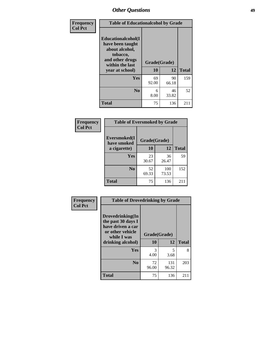| Frequency<br><b>Col Pct</b> | <b>Table of Educationalcohol by Grade</b>                                                                  |              |             |              |  |  |  |  |
|-----------------------------|------------------------------------------------------------------------------------------------------------|--------------|-------------|--------------|--|--|--|--|
|                             | Educationalcohol(I<br>have been taught<br>about alcohol,<br>tobacco,<br>and other drugs<br>within the last | Grade(Grade) |             |              |  |  |  |  |
|                             | year at school)                                                                                            | 10           | 12          | <b>Total</b> |  |  |  |  |
|                             | Yes                                                                                                        | 69<br>92.00  | 90<br>66.18 | 159          |  |  |  |  |
|                             | N <sub>0</sub>                                                                                             | 6<br>8.00    | 46<br>33.82 | 52           |  |  |  |  |
|                             | <b>Total</b>                                                                                               | 75           | 136         | 211          |  |  |  |  |

| Frequency      | <b>Table of Eversmoked by Grade</b> |              |              |              |  |  |  |
|----------------|-------------------------------------|--------------|--------------|--------------|--|--|--|
| <b>Col Pct</b> | Eversmoked(I<br>have smoked         | Grade(Grade) |              |              |  |  |  |
|                | a cigarette)                        | 10           | 12           | <b>Total</b> |  |  |  |
|                | Yes                                 | 23<br>30.67  | 36<br>26.47  | 59           |  |  |  |
|                | N <sub>0</sub>                      | 52<br>69.33  | 100<br>73.53 | 152          |  |  |  |
|                | <b>Total</b>                        | 75           | 136          | 211          |  |  |  |

| Frequency      | <b>Table of Drovedrinking by Grade</b>                                                                              |                    |              |              |  |  |  |  |
|----------------|---------------------------------------------------------------------------------------------------------------------|--------------------|--------------|--------------|--|--|--|--|
| <b>Col Pct</b> | Drovedrinking(In<br>the past 30 days I<br>have driven a car<br>or other vehicle<br>while I was<br>drinking alcohol) | Grade(Grade)<br>10 | 12           | <b>Total</b> |  |  |  |  |
|                | Yes                                                                                                                 | 3<br>4.00          | 5<br>3.68    | 8            |  |  |  |  |
|                | N <sub>0</sub>                                                                                                      | 72<br>96.00        | 131<br>96.32 | 203          |  |  |  |  |
|                | <b>Total</b>                                                                                                        | 75                 | 136          | 211          |  |  |  |  |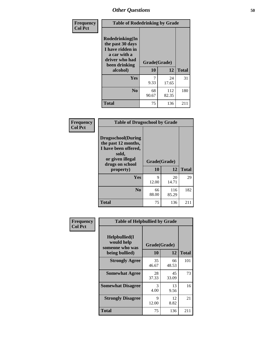| Frequency      | <b>Table of Rodedrinking by Grade</b>                                                                      |              |              |              |  |  |  |  |
|----------------|------------------------------------------------------------------------------------------------------------|--------------|--------------|--------------|--|--|--|--|
| <b>Col Pct</b> | Rodedrinking(In<br>the past 30 days<br>I have ridden in<br>a car with a<br>driver who had<br>been drinking | Grade(Grade) |              |              |  |  |  |  |
|                | alcohol)                                                                                                   | 10           | 12           | <b>Total</b> |  |  |  |  |
|                | <b>Yes</b>                                                                                                 | 9.33         | 24<br>17.65  | 31           |  |  |  |  |
|                | N <sub>0</sub>                                                                                             | 68<br>90.67  | 112<br>82.35 | 180          |  |  |  |  |
|                | <b>Total</b>                                                                                               | 75           | 136          | 211          |  |  |  |  |

#### **Frequency Col Pct**

| <b>Table of Drugsschool by Grade</b>                                                                                      |              |       |              |  |  |  |
|---------------------------------------------------------------------------------------------------------------------------|--------------|-------|--------------|--|--|--|
| <b>Drugsschool</b> (During<br>the past 12 months,<br>I have been offered,<br>sold,<br>or given illegal<br>drugs on school | Grade(Grade) |       |              |  |  |  |
|                                                                                                                           |              |       |              |  |  |  |
| property)                                                                                                                 | 10           | 12    | <b>Total</b> |  |  |  |
| Yes                                                                                                                       | 9            | 20    | 29           |  |  |  |
|                                                                                                                           | 12.00        | 14.71 |              |  |  |  |
| N <sub>0</sub>                                                                                                            | 66           | 116   | 182          |  |  |  |
|                                                                                                                           | 88.00        | 85.29 |              |  |  |  |

| Frequency      | <b>Table of Helpbullied by Grade</b>                                   |                      |             |              |  |  |  |  |
|----------------|------------------------------------------------------------------------|----------------------|-------------|--------------|--|--|--|--|
| <b>Col Pct</b> | $Helpb$ ullied $(I$<br>would help<br>someone who was<br>being bullied) | Grade(Grade)<br>10   | 12          | <b>Total</b> |  |  |  |  |
|                | <b>Strongly Agree</b>                                                  | 35                   | 66          | 101          |  |  |  |  |
|                |                                                                        | 46.67                | 48.53       |              |  |  |  |  |
|                | <b>Somewhat Agree</b>                                                  | 28<br>37.33          | 45<br>33.09 | 73           |  |  |  |  |
|                | <b>Somewhat Disagree</b>                                               | 3<br>4.00            | 13<br>9.56  | 16           |  |  |  |  |
|                | <b>Strongly Disagree</b>                                               | $\mathbf Q$<br>12.00 | 12<br>8.82  | 21           |  |  |  |  |
|                | <b>Total</b>                                                           | 75                   | 136         | 211          |  |  |  |  |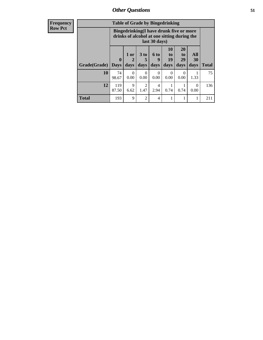| <b>Frequency</b> | <b>Table of Grade by Bingedrinking</b> |                                                                                                         |                     |                              |                          |                        |                        |                          |              |
|------------------|----------------------------------------|---------------------------------------------------------------------------------------------------------|---------------------|------------------------------|--------------------------|------------------------|------------------------|--------------------------|--------------|
| <b>Row Pct</b>   |                                        | Bingedrinking(I have drunk five or more<br>drinks of alcohol at one sitting during the<br>last 30 days) |                     |                              |                          |                        |                        |                          |              |
|                  | <b>Grade</b> (Grade) Days              | $\bf{0}$                                                                                                | $1$ or<br>2<br>days | 3 <sub>to</sub><br>5<br>days | <b>6 to</b><br>9<br>days | 10<br>to<br>19<br>days | 20<br>to<br>29<br>days | <b>All</b><br>30<br>days | <b>Total</b> |
|                  | 10                                     | 74<br>98.67                                                                                             | $\Omega$<br>0.00    | $\Omega$<br>0.00             | $\Omega$<br>0.00         | $\Omega$<br>0.00       | $\Omega$<br>0.00       | 1.33                     | 75           |
|                  | 12                                     | 119<br>87.50                                                                                            | 9<br>6.62           | $\overline{2}$<br>1.47       | 4<br>2.94                | 0.74                   | 0.74                   | $\Omega$<br>0.00         | 136          |
|                  | <b>Total</b>                           | 193                                                                                                     | 9                   | $\mathfrak{D}$               | $\overline{4}$           |                        |                        |                          | 211          |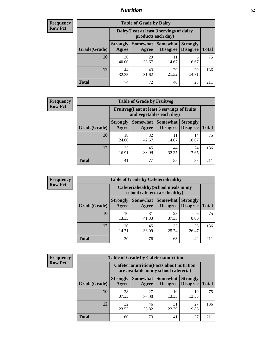## *Nutrition* **52**

| <b>Frequency</b><br>Row Pct |
|-----------------------------|
|                             |

| <b>Table of Grade by Dairy</b> |                                                                 |                   |                             |                                    |              |  |  |  |
|--------------------------------|-----------------------------------------------------------------|-------------------|-----------------------------|------------------------------------|--------------|--|--|--|
|                                | Dairy (I eat at least 3 servings of dairy<br>products each day) |                   |                             |                                    |              |  |  |  |
| Grade(Grade)                   | <b>Strongly</b><br>Agree                                        | Somewhat<br>Agree | <b>Somewhat</b><br>Disagree | <b>Strongly</b><br><b>Disagree</b> | <b>Total</b> |  |  |  |
| 10                             | 30<br>40.00                                                     | 29<br>38.67       | 11<br>14.67                 | 5<br>6.67                          | 75           |  |  |  |
| 12                             | 44<br>32.35                                                     | 43<br>31.62       | 29<br>21.32                 | 20<br>14.71                        | 136          |  |  |  |
| <b>Total</b>                   | 74                                                              | 72                | 40                          | 25                                 | 211          |  |  |  |

| <b>Frequency</b> |  |
|------------------|--|
| <b>Row Pct</b>   |  |

| <b>Table of Grade by Fruitveg</b> |                                                                          |                     |                             |                                    |              |  |  |  |
|-----------------------------------|--------------------------------------------------------------------------|---------------------|-----------------------------|------------------------------------|--------------|--|--|--|
|                                   | Fruitveg(I eat at least 5 servings of fruits<br>and vegetables each day) |                     |                             |                                    |              |  |  |  |
| Grade(Grade)                      | <b>Strongly</b><br>Agree                                                 | Somewhat  <br>Agree | <b>Somewhat</b><br>Disagree | <b>Strongly</b><br><b>Disagree</b> | <b>Total</b> |  |  |  |
| 10                                | 18<br>24.00                                                              | 32<br>42.67         | 11<br>14.67                 | 14<br>18.67                        | 75           |  |  |  |
| 12                                | 23<br>16.91                                                              | 45<br>33.09         | 44<br>32.35                 | 24<br>17.65                        | 136          |  |  |  |
| <b>Total</b>                      | 41                                                                       | 77                  | 55                          | 38                                 | 211          |  |  |  |

| <b>Frequency</b> | <b>Table of Grade by Cafeteriahealthy</b> |                                                                       |             |                                        |                                    |              |  |  |  |
|------------------|-------------------------------------------|-----------------------------------------------------------------------|-------------|----------------------------------------|------------------------------------|--------------|--|--|--|
| <b>Row Pct</b>   |                                           | Cafeteriahealthy (School meals in my<br>school cafeteria are healthy) |             |                                        |                                    |              |  |  |  |
|                  | Grade(Grade)                              | <b>Strongly</b><br>Agree                                              | Agree       | <b>Somewhat   Somewhat</b><br>Disagree | <b>Strongly</b><br><b>Disagree</b> | <b>Total</b> |  |  |  |
|                  | 10                                        | 10<br>13.33                                                           | 31<br>41.33 | 28<br>37.33                            | 6<br>8.00                          | 75           |  |  |  |
|                  | 12                                        | 20<br>14.71                                                           | 45<br>33.09 | 35<br>25.74                            | 36<br>26.47                        | 136          |  |  |  |
|                  | Total                                     | 30                                                                    | 76          | 63                                     | 42                                 | 211          |  |  |  |

| <b>Frequency</b> |
|------------------|
| <b>Row Pct</b>   |

| <b>Table of Grade by Cafeterianutrition</b>                                               |                          |                          |                             |                                    |              |  |  |
|-------------------------------------------------------------------------------------------|--------------------------|--------------------------|-----------------------------|------------------------------------|--------------|--|--|
| <b>Cafeterianutrition</b> (Facts about nutrition<br>are available in my school cafeteria) |                          |                          |                             |                                    |              |  |  |
| Grade(Grade)                                                                              | <b>Strongly</b><br>Agree | <b>Somewhat</b><br>Agree | <b>Somewhat</b><br>Disagree | <b>Strongly</b><br><b>Disagree</b> | <b>Total</b> |  |  |
| 10                                                                                        | 28<br>37.33              | 27<br>36.00              | 10<br>13.33                 | 10<br>13.33                        | 75           |  |  |
| 12                                                                                        | 32<br>23.53              | 46<br>33.82              | 31<br>22.79                 | 27<br>19.85                        | 136          |  |  |
| <b>Total</b>                                                                              | 60                       | 73                       | 41                          | 37                                 | 211          |  |  |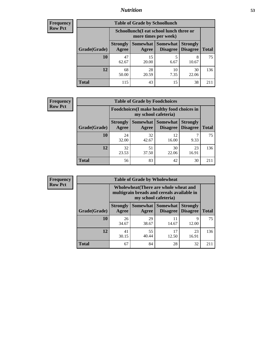## *Nutrition* **53**

| <b>Frequency</b> |
|------------------|
| <b>Row Pct</b>   |

| <b>Table of Grade by Schoollunch</b> |                                                                 |                     |                             |                                    |              |  |  |
|--------------------------------------|-----------------------------------------------------------------|---------------------|-----------------------------|------------------------------------|--------------|--|--|
|                                      | Schoollunch(I eat school lunch three or<br>more times per week) |                     |                             |                                    |              |  |  |
| Grade(Grade)                         | <b>Strongly</b><br>Agree                                        | Somewhat  <br>Agree | <b>Somewhat</b><br>Disagree | <b>Strongly</b><br><b>Disagree</b> | <b>Total</b> |  |  |
| 10                                   | 47<br>62.67                                                     | 15<br>20.00         | 5<br>6.67                   | 8<br>10.67                         | 75           |  |  |
| 12                                   | 68<br>50.00                                                     | 28<br>20.59         | 10<br>7.35                  | 30<br>22.06                        | 136          |  |  |
| <b>Total</b>                         | 115                                                             | 43                  | 15                          | 38                                 | 211          |  |  |

| <b>Frequency</b> |  |
|------------------|--|
| <b>Row Pct</b>   |  |

| <b>Table of Grade by Foodchoices</b> |                                                                            |             |                                      |                                    |              |  |  |
|--------------------------------------|----------------------------------------------------------------------------|-------------|--------------------------------------|------------------------------------|--------------|--|--|
|                                      | <b>Foodchoices</b> (I make healthy food choices in<br>my school cafeteria) |             |                                      |                                    |              |  |  |
| Grade(Grade)                         | <b>Strongly</b><br>Agree                                                   | Agree       | <b>Somewhat Somewhat</b><br>Disagree | <b>Strongly</b><br><b>Disagree</b> | <b>Total</b> |  |  |
| 10                                   | 24<br>32.00                                                                | 32<br>42.67 | 12<br>16.00                          | 9.33                               | 75           |  |  |
| 12                                   | 32<br>23.53                                                                | 51<br>37.50 | 30<br>22.06                          | 23<br>16.91                        | 136          |  |  |
| <b>Total</b>                         | 56                                                                         | 83          | 42                                   | 30                                 |              |  |  |

| Frequency      | <b>Table of Grade by Wholewheat</b> |                          |             |                                                                                                             |                                    |              |  |  |
|----------------|-------------------------------------|--------------------------|-------------|-------------------------------------------------------------------------------------------------------------|------------------------------------|--------------|--|--|
| <b>Row Pct</b> |                                     |                          |             | Wholewheat (There are whole wheat and<br>multigrain breads and cereals available in<br>my school cafeteria) |                                    |              |  |  |
|                | Grade(Grade)                        | <b>Strongly</b><br>Agree | Agree       | Somewhat   Somewhat  <br>Disagree                                                                           | <b>Strongly</b><br><b>Disagree</b> | <b>Total</b> |  |  |
|                | 10                                  | 26<br>34.67              | 29<br>38.67 | 14.67                                                                                                       | Q<br>12.00                         | 75           |  |  |
|                | 12                                  | 41<br>30.15              | 55<br>40.44 | 17<br>12.50                                                                                                 | 23<br>16.91                        | 136          |  |  |
|                | <b>Total</b>                        | 67                       | 84          | 28                                                                                                          | 32                                 | 211          |  |  |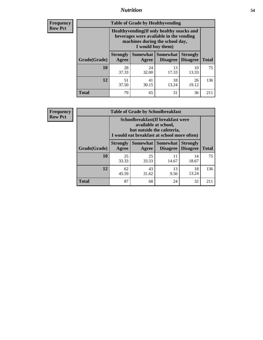## *Nutrition* **54**

**Frequency Row Pct**

| <b>Table of Grade by Healthyvending</b> |                                                                                                                                               |                     |                                    |                                    |              |  |  |
|-----------------------------------------|-----------------------------------------------------------------------------------------------------------------------------------------------|---------------------|------------------------------------|------------------------------------|--------------|--|--|
|                                         | Healthyvending (If only healthy snacks and<br>beverages were available in the vending<br>machines during the school day,<br>I would buy them) |                     |                                    |                                    |              |  |  |
| Grade(Grade)                            | <b>Strongly</b><br>Agree                                                                                                                      | Somewhat  <br>Agree | <b>Somewhat</b><br><b>Disagree</b> | <b>Strongly</b><br><b>Disagree</b> | <b>Total</b> |  |  |
| 10                                      | 28<br>37.33                                                                                                                                   | 24<br>32.00         | 13<br>17.33                        | 10<br>13.33                        | 75           |  |  |
| 12                                      | 51<br>37.50                                                                                                                                   | 41<br>30.15         | 18<br>13.24                        | 26<br>19.12                        | 136          |  |  |
| <b>Total</b>                            | 79                                                                                                                                            | 65                  | 31                                 | 36                                 | 211          |  |  |

**Frequency Row Pct**

| <b>Table of Grade by Schoolbreakfast</b> |                                                                                                                                        |             |                                        |                                    |              |  |  |
|------------------------------------------|----------------------------------------------------------------------------------------------------------------------------------------|-------------|----------------------------------------|------------------------------------|--------------|--|--|
|                                          | Schoolbreakfast(If breakfast were<br>available at school,<br>but outside the cafeteria,<br>I would eat breakfast at school more often) |             |                                        |                                    |              |  |  |
| Grade(Grade)                             | <b>Strongly</b><br>Agree                                                                                                               | Agree       | Somewhat   Somewhat<br><b>Disagree</b> | <b>Strongly</b><br><b>Disagree</b> | <b>Total</b> |  |  |
| 10                                       | 25<br>33.33                                                                                                                            | 25<br>33.33 | 11<br>14.67                            | 14<br>18.67                        | 75           |  |  |
| 12                                       | 62<br>45.59                                                                                                                            | 43<br>31.62 | 13<br>9.56                             | 18<br>13.24                        | 136          |  |  |
| <b>Total</b>                             | 87                                                                                                                                     | 68          | 24                                     | 32                                 | 211          |  |  |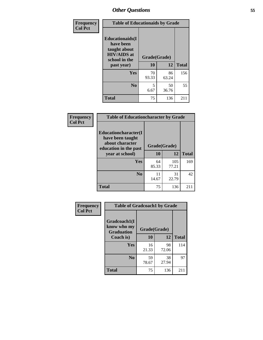| Frequency<br><b>Col Pct</b> | <b>Table of Educationaids by Grade</b>                                                                    |                    |              |     |  |  |
|-----------------------------|-----------------------------------------------------------------------------------------------------------|--------------------|--------------|-----|--|--|
|                             | <b>Educationaids</b> (I<br>have been<br>taught about<br><b>HIV/AIDS</b> at<br>school in the<br>past year) | Grade(Grade)<br>10 | <b>Total</b> |     |  |  |
|                             | Yes                                                                                                       | 70<br>93.33        | 86<br>63.24  | 156 |  |  |
|                             | N <sub>0</sub>                                                                                            | 5<br>6.67          | 50<br>36.76  | 55  |  |  |
|                             | <b>Total</b>                                                                                              | 75                 | 136          | 211 |  |  |

| Frequency      | <b>Table of Educationcharacter by Grade</b>                         |              |              |              |  |
|----------------|---------------------------------------------------------------------|--------------|--------------|--------------|--|
| <b>Col Pct</b> | <b>Educationcharacter(I)</b><br>have been taught<br>about character |              |              |              |  |
|                | education in the past                                               | Grade(Grade) |              |              |  |
|                | year at school)                                                     | 10           | 12           | <b>Total</b> |  |
|                | <b>Yes</b>                                                          | 64<br>85.33  | 105<br>77.21 | 169          |  |
|                | N <sub>0</sub>                                                      | 11<br>14.67  | 31<br>22.79  | 42           |  |
|                | <b>Total</b>                                                        | 75           | 136          | 211          |  |

| Frequency      | <b>Table of Gradcoach1 by Grade</b>              |              |             |              |  |  |
|----------------|--------------------------------------------------|--------------|-------------|--------------|--|--|
| <b>Col Pct</b> | Gradcoach1(I<br>know who my<br><b>Graduation</b> | Grade(Grade) |             |              |  |  |
|                | Coach is)                                        | 10           | 12          | <b>Total</b> |  |  |
|                | <b>Yes</b>                                       | 16<br>21.33  | 98<br>72.06 | 114          |  |  |
|                | N <sub>0</sub>                                   | 59<br>78.67  | 38<br>27.94 | 97           |  |  |
|                | <b>Total</b>                                     | 75           | 136         | 211          |  |  |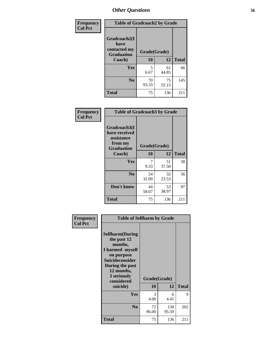| Frequency      | <b>Table of Gradcoach2 by Grade</b> |              |             |              |  |  |
|----------------|-------------------------------------|--------------|-------------|--------------|--|--|
| <b>Col Pct</b> |                                     |              |             |              |  |  |
|                | Gradcoach2(I<br>have                |              |             |              |  |  |
|                | contacted my<br><b>Graduation</b>   | Grade(Grade) |             |              |  |  |
|                | Coach)                              | 10           | 12          | <b>Total</b> |  |  |
|                | Yes                                 | 5<br>6.67    | 61<br>44.85 | 66           |  |  |
|                | N <sub>0</sub>                      | 70<br>93.33  | 75<br>55.15 | 145          |  |  |
|                | <b>Total</b>                        | 75           | 136         | 211          |  |  |

| Frequency<br><b>Col Pct</b> | <b>Table of Gradcoach3 by Grade</b>                                         |              |             |              |  |
|-----------------------------|-----------------------------------------------------------------------------|--------------|-------------|--------------|--|
|                             | Gradcoach3(I<br>have received<br>assistance<br>from my<br><b>Graduation</b> | Grade(Grade) |             |              |  |
|                             | Coach)                                                                      | 10           | 12          | <b>Total</b> |  |
|                             | <b>Yes</b>                                                                  | 7<br>9.33    | 51<br>37.50 | 58           |  |
|                             | N <sub>0</sub>                                                              | 24<br>32.00  | 32<br>23.53 | 56           |  |
|                             | Don't know                                                                  | 44<br>58.67  | 53<br>38.97 | 97           |  |
|                             | <b>Total</b>                                                                | 75           | 136         | 211          |  |

| Frequency<br><b>Col Pct</b> | <b>Table of Selfharm by Grade</b>                                                                                                                                                      |                    |              |              |
|-----------------------------|----------------------------------------------------------------------------------------------------------------------------------------------------------------------------------------|--------------------|--------------|--------------|
|                             | <b>Selfharm</b> (During<br>the past 12<br>months,<br>I harmed myself<br>on purpose<br><b>Suicideconsider</b><br>During the past<br>12 months,<br>I seriously<br>considered<br>suicide) | Grade(Grade)<br>10 | 12           | <b>Total</b> |
|                             | Yes                                                                                                                                                                                    | 3<br>4.00          | 6<br>4.41    | 9            |
|                             | N <sub>0</sub>                                                                                                                                                                         | 72<br>96.00        | 130<br>95.59 | 202          |
|                             | <b>Total</b>                                                                                                                                                                           | 75                 | 136          | 211          |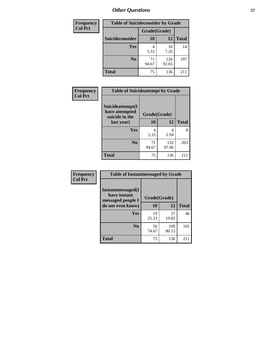| <b>Frequency</b> | <b>Table of Suicideconsider by Grade</b> |              |              |              |  |
|------------------|------------------------------------------|--------------|--------------|--------------|--|
| <b>Col Pct</b>   |                                          | Grade(Grade) |              |              |  |
|                  | Suicideconsider                          | <b>10</b>    | 12           | <b>Total</b> |  |
|                  | <b>Yes</b>                               | 5.33         | 10<br>7.35   | 14           |  |
|                  | N <sub>0</sub>                           | 71<br>94.67  | 126<br>92.65 | 197          |  |
|                  | <b>Total</b>                             | 75           | 136          | 211          |  |

| Frequency      | <b>Table of Suicideattempt by Grade</b>              |              |              |              |  |  |
|----------------|------------------------------------------------------|--------------|--------------|--------------|--|--|
| <b>Col Pct</b> | Suicideattempt(I<br>have attempted<br>suicide in the | Grade(Grade) |              |              |  |  |
|                | last year)                                           | 10           | 12           | <b>Total</b> |  |  |
|                | Yes                                                  | 4<br>5.33    | 2.94         | 8            |  |  |
|                | $\bf No$                                             | 71<br>94.67  | 132<br>97.06 | 203          |  |  |
|                | <b>Total</b>                                         | 75           | 136          | 211          |  |  |

| Frequency      | <b>Table of Instantmessaged by Grade</b>               |              |              |              |  |
|----------------|--------------------------------------------------------|--------------|--------------|--------------|--|
| <b>Col Pct</b> | Instantmessaged(I<br>have instant<br>messaged people I | Grade(Grade) |              |              |  |
|                | do not even know)                                      | 10           | 12           | <b>Total</b> |  |
|                | Yes                                                    | 19<br>25.33  | 27<br>19.85  | 46           |  |
|                | N <sub>0</sub>                                         | 56<br>74.67  | 109<br>80.15 | 165          |  |
|                | <b>Total</b>                                           | 75           | 136          | 211          |  |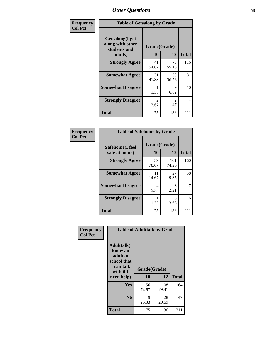| Frequency      | <b>Table of Getsalong by Grade</b>                          |                       |                        |              |  |  |
|----------------|-------------------------------------------------------------|-----------------------|------------------------|--------------|--|--|
| <b>Col Pct</b> | <b>Getsalong</b> (I get<br>along with other<br>students and | Grade(Grade)          |                        |              |  |  |
|                | adults)                                                     | 10                    | 12                     | <b>Total</b> |  |  |
|                | <b>Strongly Agree</b>                                       | 41<br>54.67           | 75<br>55.15            | 116          |  |  |
|                | <b>Somewhat Agree</b>                                       | 31<br>41.33           | 50<br>36.76            | 81           |  |  |
|                | <b>Somewhat Disagree</b>                                    | 1.33                  | 9<br>6.62              | 10           |  |  |
|                | <b>Strongly Disagree</b>                                    | $\mathcal{L}$<br>2.67 | $\mathfrak{D}$<br>1.47 | 4            |  |  |
|                | <b>Total</b>                                                | 75                    | 136                    | 211          |  |  |

| Frequency      | <b>Table of Safehome by Grade</b> |                    |              |              |  |  |  |
|----------------|-----------------------------------|--------------------|--------------|--------------|--|--|--|
| <b>Col Pct</b> | Safehome(I feel<br>safe at home)  | Grade(Grade)<br>10 | 12           | <b>Total</b> |  |  |  |
|                | <b>Strongly Agree</b>             | 59<br>78.67        | 101<br>74.26 | 160          |  |  |  |
|                | <b>Somewhat Agree</b>             | 11<br>14.67        | 27<br>19.85  | 38           |  |  |  |
|                | <b>Somewhat Disagree</b>          | 4<br>5.33          | 3<br>2.21    | 7            |  |  |  |
|                | <b>Strongly Disagree</b>          | 1.33               | 5<br>3.68    | 6            |  |  |  |
|                | <b>Total</b>                      | 75                 | 136          | 211          |  |  |  |

| Frequency      | <b>Table of Adulttalk by Grade</b>                                                                   |                    |              |              |  |
|----------------|------------------------------------------------------------------------------------------------------|--------------------|--------------|--------------|--|
| <b>Col Pct</b> | <b>Adulttalk</b> (I<br>know an<br>adult at<br>school that<br>I can talk<br>with if $I$<br>need help) | Grade(Grade)<br>10 | 12           | <b>Total</b> |  |
|                | <b>Yes</b>                                                                                           | 56<br>74.67        | 108<br>79.41 | 164          |  |
|                | N <sub>0</sub>                                                                                       | 19<br>25.33        | 28<br>20.59  | 47           |  |
|                | <b>Total</b>                                                                                         | 75                 | 136          | 211          |  |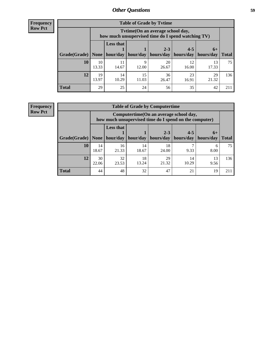**Frequency Row Pct**

| <b>Table of Grade by Tvtime</b> |             |                                                                                        |                     |                      |                                    |             |              |
|---------------------------------|-------------|----------------------------------------------------------------------------------------|---------------------|----------------------|------------------------------------|-------------|--------------|
|                                 |             | Tvtime(On an average school day,<br>how much unsupervised time do I spend watching TV) |                     |                      |                                    |             |              |
| Grade(Grade)   None             |             | Less that                                                                              | hour/day   hour/day | $2 - 3$<br>hours/day | $4 - 5$<br>  hours/day   hours/day | $6+$        | <b>Total</b> |
| 10                              | 10<br>13.33 | 11<br>14.67                                                                            | q<br>12.00          | 20<br>26.67          | 12<br>16.00                        | 13<br>17.33 | 75           |
| 12                              | 19<br>13.97 | 14<br>10.29                                                                            | 15<br>11.03         | 36<br>26.47          | 23<br>16.91                        | 29<br>21.32 | 136          |
| <b>Total</b>                    | 29          | 25                                                                                     | 24                  | 56                   | 35                                 | 42          | 211          |

**Frequency Row Pct**

| <b>Table of Grade by Computertime</b> |             |                                                                                                               |             |             |             |            |              |
|---------------------------------------|-------------|---------------------------------------------------------------------------------------------------------------|-------------|-------------|-------------|------------|--------------|
|                                       |             | Computertime (On an average school day,<br>how much unsupervised time do I spend on the computer)             |             |             |             |            |              |
| Grade(Grade)                          | None        | <b>Less that</b><br>$4 - 5$<br>$2 - 3$<br>$6+$<br>hour/day<br>hours/day<br>hour/day<br>hours/day<br>hours/day |             |             |             |            | <b>Total</b> |
| 10                                    | 14<br>18.67 | 16<br>21.33                                                                                                   | 14<br>18.67 | 18<br>24.00 | 9.33        | 6<br>8.00  | 75           |
| 12                                    | 30<br>22.06 | 32<br>23.53                                                                                                   | 18<br>13.24 | 29<br>21.32 | 14<br>10.29 | 13<br>9.56 | 136          |
| <b>Total</b>                          | 44          | 48                                                                                                            | 32          | 47          | 21          | 19         | 211          |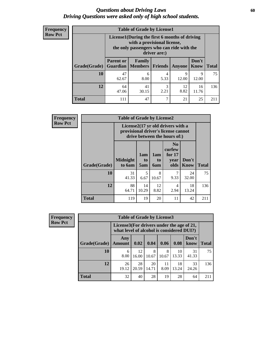### *Questions about Driving Laws* **60** *Driving Questions were asked only of high school students.*

| <b>Frequency</b> |
|------------------|
| <b>Row Pct</b>   |

| <b>Table of Grade by License1</b> |                                     |                                                                                                                                           |                |            |               |              |  |  |  |
|-----------------------------------|-------------------------------------|-------------------------------------------------------------------------------------------------------------------------------------------|----------------|------------|---------------|--------------|--|--|--|
|                                   |                                     | License1(During the first 6 months of driving<br>with a provisional license,<br>the only passengers who can ride with the<br>driver are:) |                |            |               |              |  |  |  |
| Grade(Grade)                      | <b>Parent or</b><br><b>Guardian</b> | <b>Family</b><br><b>Members</b>                                                                                                           | <b>Friends</b> | Anyone     | Don't<br>Know | <b>Total</b> |  |  |  |
| 10                                | 47<br>62.67                         | 6<br>8.00                                                                                                                                 | 4<br>5.33      | 9<br>12.00 | 9<br>12.00    | 75           |  |  |  |
| 12                                | 64<br>47.06                         | 41<br>30.15                                                                                                                               | 3<br>2.21      | 12<br>8.82 | 16<br>11.76   | 136          |  |  |  |
| <b>Total</b>                      | 111                                 | 47                                                                                                                                        | 7              | 21         | 25            |              |  |  |  |

| <b>Frequency</b> |              | <b>Table of Grade by License2</b> |                  |                  |                                                                                                          |                      |              |  |  |
|------------------|--------------|-----------------------------------|------------------|------------------|----------------------------------------------------------------------------------------------------------|----------------------|--------------|--|--|
| <b>Row Pct</b>   |              |                                   |                  |                  | License2(17 yr old drivers with a<br>provisional driver's license cannot<br>drive between the hours of:) |                      |              |  |  |
|                  | Grade(Grade) | <b>Midnight</b><br>to 6am         | 1am<br>to<br>5am | 1am<br>to<br>6am | N <sub>0</sub><br>curfew<br>for $17$<br>year<br>olds                                                     | Don't<br><b>Know</b> | <b>Total</b> |  |  |
|                  | 10           | 31<br>41.33                       | 5<br>6.67        | 8<br>10.67       | 9.33                                                                                                     | 24<br>32.00          | 75           |  |  |
|                  | 12           | 88<br>64.71                       | 14<br>10.29      | 12<br>8.82       | 4<br>2.94                                                                                                | 18<br>13.24          | 136          |  |  |
|                  | <b>Total</b> | 119                               | 19               | 20               | 11                                                                                                       | 42                   | 211          |  |  |

| <b>Frequency</b> | <b>Table of Grade by License3</b>                                                      |                      |             |             |            |             |               |              |
|------------------|----------------------------------------------------------------------------------------|----------------------|-------------|-------------|------------|-------------|---------------|--------------|
| <b>Row Pct</b>   | License3(For drivers under the age of 21,<br>what level of alcohol is considered DUI?) |                      |             |             |            |             |               |              |
|                  | Grade(Grade)                                                                           | Any<br><b>Amount</b> | 0.02        | 0.04        | 0.06       | 0.08        | Don't<br>know | <b>Total</b> |
|                  | 10                                                                                     | 6<br>8.00            | 12<br>16.00 | 8<br>10.67  | 8<br>10.67 | 10<br>13.33 | 31<br>41.33   | 75           |
|                  | 12                                                                                     | 26<br>19.12          | 28<br>20.59 | 20<br>14.71 | 11<br>8.09 | 18<br>13.24 | 33<br>24.26   | 136          |
|                  | Total                                                                                  | 32                   | 40          | 28          | 19         | 28          | 64            | 211          |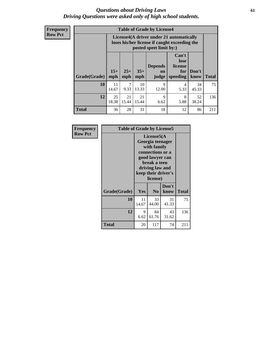### *Questions about Driving Laws* **61** *Driving Questions were asked only of high school students.*

**Frequency Row Pct**

| <b>Table of Grade by License4</b> |              |                                                                                                                                                                                                                                                                       |             |            |           |             |     |  |
|-----------------------------------|--------------|-----------------------------------------------------------------------------------------------------------------------------------------------------------------------------------------------------------------------------------------------------------------------|-------------|------------|-----------|-------------|-----|--|
|                                   |              | License4(A driver under 21 automatically<br>loses his/her license if caught exceeding the<br>posted speet limit by:)<br>Can't<br>lose<br><b>Depends</b><br>license<br>$25+$<br>$35+$<br>Don't<br>for<br>on<br><b>Total</b><br>mph<br>mph<br>speeding<br>know<br>judge |             |            |           |             |     |  |
| <b>Grade(Grade)</b>               | $15+$<br>mph |                                                                                                                                                                                                                                                                       |             |            |           |             |     |  |
| 10                                | 11<br>14.67  | 7<br>9.33                                                                                                                                                                                                                                                             | 10<br>13.33 | 9<br>12.00 | 4<br>5.33 | 34<br>45.33 | 75  |  |
| 12                                | 25<br>18.38  | 21<br>15.44                                                                                                                                                                                                                                                           | 21<br>15.44 | 9<br>6.62  | 8<br>5.88 | 52<br>38.24 | 136 |  |
| <b>Total</b>                      | 36           | 28                                                                                                                                                                                                                                                                    | 31          | 18         | 12        | 86          | 211 |  |

| Frequency      | <b>Table of Grade by License5</b> |                                                                                                                                                             |                |               |       |  |
|----------------|-----------------------------------|-------------------------------------------------------------------------------------------------------------------------------------------------------------|----------------|---------------|-------|--|
| <b>Row Pct</b> |                                   | License5(A)<br>Georgia teenager<br>with family<br>connections or a<br>good lawyer can<br>break a teen<br>driving law and<br>keep their driver's<br>license) |                |               |       |  |
|                | Grade(Grade)                      | Yes                                                                                                                                                         | N <sub>0</sub> | Don't<br>know | Total |  |
|                | 10                                | 11<br>14.67                                                                                                                                                 | 33<br>44.00    | 31<br>41.33   | 75    |  |
|                | 12                                | 9<br>6.62                                                                                                                                                   | 84<br>61.76    | 43<br>31.62   | 136   |  |
|                | <b>Total</b>                      | 20                                                                                                                                                          | 117            | 74            | 211   |  |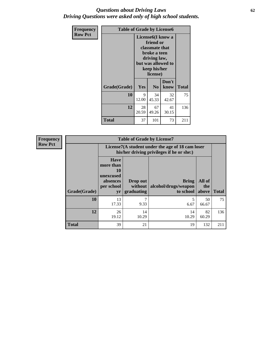### *Questions about Driving Laws* **62** *Driving Questions were asked only of high school students.*

| <b>Frequency</b> | <b>Table of Grade by License6</b> |             |                                                                                                                                                 |               |              |  |  |
|------------------|-----------------------------------|-------------|-------------------------------------------------------------------------------------------------------------------------------------------------|---------------|--------------|--|--|
| <b>Row Pct</b>   |                                   |             | License <sub>6</sub> (I know a<br>friend or<br>classmate that<br>broke a teen<br>driving law,<br>but was allowed to<br>keep his/her<br>license) |               |              |  |  |
|                  | Grade(Grade)                      | Yes         | N <sub>0</sub>                                                                                                                                  | Don't<br>know | <b>Total</b> |  |  |
|                  | 10                                | 9<br>12.00  | 34<br>45.33                                                                                                                                     | 32<br>42.67   | 75           |  |  |
|                  | 12                                | 28<br>20.59 | 67<br>49.26                                                                                                                                     | 41<br>30.15   | 136          |  |  |
|                  | <b>Total</b>                      | 37          | 101                                                                                                                                             | 73            | 211          |  |  |

| <b>Frequency</b> | <b>Table of Grade by License7</b> |                                                                             |                                   |                                                                                               |                        |              |  |  |  |
|------------------|-----------------------------------|-----------------------------------------------------------------------------|-----------------------------------|-----------------------------------------------------------------------------------------------|------------------------|--------------|--|--|--|
| <b>Row Pct</b>   |                                   |                                                                             |                                   | License7(A student under the age of 18 cam loser<br>his/her driving privileges if he or she:) |                        |              |  |  |  |
|                  | Grade(Grade)                      | <b>Have</b><br>more than<br>10<br>unexcused<br>absences<br>per school<br>yr | Drop out<br>without<br>graduating | Bring<br>alcohol/drugs/weapon<br>to school                                                    | All of<br>the<br>above | <b>Total</b> |  |  |  |
|                  | 10                                | 13<br>17.33                                                                 | 7<br>9.33                         | 6.67                                                                                          | 50<br>66.67            | 75           |  |  |  |
|                  | 12                                | 26<br>19.12                                                                 | 14<br>10.29                       | 14<br>10.29                                                                                   | 82<br>60.29            | 136          |  |  |  |
|                  | <b>Total</b>                      | 39                                                                          | 21                                | 19                                                                                            | 132                    | 211          |  |  |  |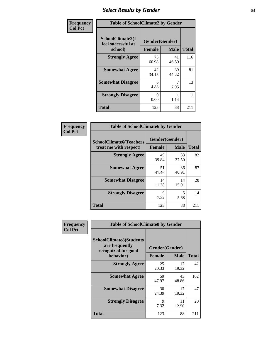# *Select Results by Gender* **63**

| Frequency      | <b>Table of SchoolClimate2 by Gender</b>          |                                 |             |              |  |  |
|----------------|---------------------------------------------------|---------------------------------|-------------|--------------|--|--|
| <b>Col Pct</b> | SchoolClimate2(I<br>feel successful at<br>school) | Gender(Gender)<br><b>Female</b> | <b>Male</b> | <b>Total</b> |  |  |
|                | <b>Strongly Agree</b>                             | 75<br>60.98                     | 41<br>46.59 | 116          |  |  |
|                | <b>Somewhat Agree</b>                             | 42<br>34.15                     | 39<br>44.32 | 81           |  |  |
|                | <b>Somewhat Disagree</b>                          | 6<br>4.88                       | 7.95        | 13           |  |  |
|                | <b>Strongly Disagree</b>                          | 0<br>0.00                       | 1.14        |              |  |  |
|                | <b>Total</b>                                      | 123                             | 88          | 211          |  |  |

| Frequency      | <b>Table of SchoolClimate6 by Gender</b>                 |                                 |             |              |  |  |  |
|----------------|----------------------------------------------------------|---------------------------------|-------------|--------------|--|--|--|
| <b>Col Pct</b> | <b>SchoolClimate6(Teachers</b><br>treat me with respect) | Gender(Gender)<br><b>Female</b> | <b>Male</b> | <b>Total</b> |  |  |  |
|                | <b>Strongly Agree</b>                                    | 49<br>39.84                     | 33<br>37.50 | 82           |  |  |  |
|                | <b>Somewhat Agree</b>                                    | 51<br>41.46                     | 36<br>40.91 | 87           |  |  |  |
|                | <b>Somewhat Disagree</b>                                 | 14<br>11.38                     | 14<br>15.91 | 28           |  |  |  |
|                | <b>Strongly Disagree</b>                                 | 9<br>7.32                       | 5<br>5.68   | 14           |  |  |  |
|                | <b>Total</b>                                             | 123                             | 88          | 211          |  |  |  |

| Frequency      | <b>Table of SchoolClimate8 by Gender</b>                                             |                                 |             |              |
|----------------|--------------------------------------------------------------------------------------|---------------------------------|-------------|--------------|
| <b>Col Pct</b> | <b>SchoolClimate8(Students</b><br>are frequently<br>recognized for good<br>behavior) | Gender(Gender)<br><b>Female</b> | <b>Male</b> | <b>Total</b> |
|                | <b>Strongly Agree</b>                                                                | 25<br>20.33                     | 17<br>19.32 | 42           |
|                | <b>Somewhat Agree</b>                                                                | 59<br>47.97                     | 43<br>48.86 | 102          |
|                | <b>Somewhat Disagree</b>                                                             | 30<br>24.39                     | 17<br>19.32 | 47           |
|                | <b>Strongly Disagree</b>                                                             | 9<br>7.32                       | 11<br>12.50 | 20           |
|                | Total                                                                                | 123                             | 88          | 211          |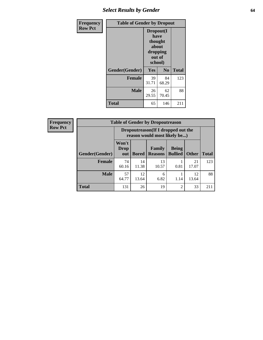# *Select Results by Gender* **64**

| Frequency      | <b>Table of Gender by Dropout</b> |                                                                        |                |              |  |
|----------------|-----------------------------------|------------------------------------------------------------------------|----------------|--------------|--|
| <b>Row Pct</b> |                                   | Dropout(I<br>have<br>thought<br>about<br>dropping<br>out of<br>school) |                |              |  |
|                | Gender(Gender)                    | Yes                                                                    | N <sub>0</sub> | <b>Total</b> |  |
|                | <b>Female</b>                     | 39<br>31.71                                                            | 84<br>68.29    | 123          |  |
|                | <b>Male</b>                       | 26<br>29.55                                                            | 62<br>70.45    | 88           |  |
|                | <b>Total</b>                      | 65                                                                     | 146            | 211          |  |

| <b>Frequency</b> | <b>Table of Gender by Dropoutreason</b> |                             |                                                                    |                          |                                |              |              |  |  |
|------------------|-----------------------------------------|-----------------------------|--------------------------------------------------------------------|--------------------------|--------------------------------|--------------|--------------|--|--|
| <b>Row Pct</b>   |                                         |                             | Dropoutreason(If I dropped out the<br>reason would most likely be) |                          |                                |              |              |  |  |
|                  | Gender(Gender)                          | Won't<br><b>Drop</b><br>out | <b>Bored</b>                                                       | Family<br><b>Reasons</b> | <b>Being</b><br><b>Bullied</b> | <b>Other</b> | <b>Total</b> |  |  |
|                  | <b>Female</b>                           | 74<br>60.16                 | 14<br>11.38                                                        | 13<br>10.57              | 0.81                           | 21<br>17.07  | 123          |  |  |
|                  | <b>Male</b>                             | 57<br>64.77                 | 12<br>13.64                                                        | 6<br>6.82                | 1.14                           | 12<br>13.64  | 88           |  |  |
|                  | <b>Total</b>                            | 131                         | 26                                                                 | 19                       | $\overline{c}$                 | 33           | 211          |  |  |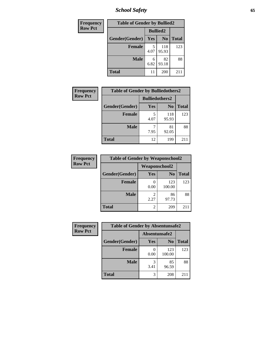*School Safety* **65**

| Frequency      | <b>Table of Gender by Bullied2</b> |                 |                |              |
|----------------|------------------------------------|-----------------|----------------|--------------|
| <b>Row Pct</b> |                                    | <b>Bullied2</b> |                |              |
|                | Gender(Gender)                     | Yes             | N <sub>0</sub> | <b>Total</b> |
|                | <b>Female</b>                      | 5<br>4.07       | 118<br>95.93   | 123          |
|                | <b>Male</b>                        | 6<br>6.82       | 82<br>93.18    | 88           |
|                | <b>Total</b>                       | 11              | 200            | 211          |

| Frequency      | <b>Table of Gender by Bulliedothers2</b> |                       |                |              |
|----------------|------------------------------------------|-----------------------|----------------|--------------|
| <b>Row Pct</b> |                                          | <b>Bulliedothers2</b> |                |              |
|                | Gender(Gender)                           | <b>Yes</b>            | N <sub>0</sub> | <b>Total</b> |
|                | <b>Female</b>                            | 5<br>4.07             | 118<br>95.93   | 123          |
|                | <b>Male</b>                              | 7.95                  | 81<br>92.05    | 88           |
|                | Total                                    | 12                    | 199            | 211          |

| Frequency      | <b>Table of Gender by Weaponschool2</b> |               |                |              |
|----------------|-----------------------------------------|---------------|----------------|--------------|
| <b>Row Pct</b> |                                         | Weaponschool2 |                |              |
|                | Gender(Gender)                          | Yes           | N <sub>0</sub> | <b>Total</b> |
|                | <b>Female</b>                           | 0.00          | 123<br>100.00  | 123          |
|                | <b>Male</b>                             | 2<br>2.27     | 86<br>97.73    | 88           |
|                | <b>Total</b>                            | 2             | 209            |              |

| Frequency      | <b>Table of Gender by Absentunsafe2</b> |               |                |              |
|----------------|-----------------------------------------|---------------|----------------|--------------|
| <b>Row Pct</b> |                                         | Absentunsafe2 |                |              |
|                | Gender(Gender)                          | Yes           | N <sub>0</sub> | <b>Total</b> |
|                | <b>Female</b>                           | 0.00          | 123<br>100.00  | 123          |
|                | <b>Male</b>                             | 3.41          | 85<br>96.59    | 88           |
|                | <b>Total</b>                            | 3             | 208            | 211          |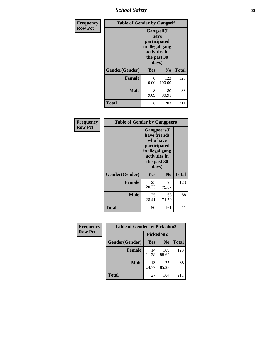*School Safety* **66**

| Frequency      | <b>Table of Gender by Gangself</b> |                                                                                                |                |              |
|----------------|------------------------------------|------------------------------------------------------------------------------------------------|----------------|--------------|
| <b>Row Pct</b> |                                    | Gangself(I<br>have<br>participated<br>in illegal gang<br>activities in<br>the past 30<br>days) |                |              |
|                | Gender(Gender)                     | Yes                                                                                            | N <sub>0</sub> | <b>Total</b> |
|                | <b>Female</b>                      | 0<br>0.00                                                                                      | 123<br>100.00  | 123          |
|                | <b>Male</b>                        | 8<br>9.09                                                                                      | 80<br>90.91    | 88           |
|                | <b>Total</b>                       | 8                                                                                              | 203            | 211          |

| Frequency      | <b>Table of Gender by Gangpeers</b> |                                                                                          |                                 |              |
|----------------|-------------------------------------|------------------------------------------------------------------------------------------|---------------------------------|--------------|
| <b>Row Pct</b> |                                     | have friends<br>participated<br>in illegal gang<br>activities in<br>the past 30<br>days) | <b>Gangpeers</b> (I<br>who have |              |
|                | Gender(Gender)                      | Yes                                                                                      | N <sub>0</sub>                  | <b>Total</b> |
|                | <b>Female</b>                       | 25<br>20.33                                                                              | 98<br>79.67                     | 123          |
|                | <b>Male</b>                         | 25<br>28.41                                                                              | 63<br>71.59                     | 88           |
|                | Total                               | 50                                                                                       | 161                             | 211          |

| Frequency<br><b>Table of Gender by Pickedon2</b> |                |             |                |              |
|--------------------------------------------------|----------------|-------------|----------------|--------------|
| <b>Row Pct</b>                                   |                | Pickedon2   |                |              |
|                                                  | Gender(Gender) | <b>Yes</b>  | N <sub>0</sub> | <b>Total</b> |
|                                                  | <b>Female</b>  | 14<br>11.38 | 109<br>88.62   | 123          |
|                                                  | <b>Male</b>    | 13<br>14.77 | 75<br>85.23    | 88           |
|                                                  | <b>Total</b>   | 27          | 184            | 211          |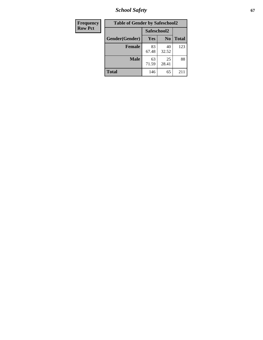*School Safety* **67**

| Frequency      | <b>Table of Gender by Safeschool2</b> |             |                |              |
|----------------|---------------------------------------|-------------|----------------|--------------|
| <b>Row Pct</b> |                                       | Safeschool2 |                |              |
|                | Gender(Gender)                        | <b>Yes</b>  | N <sub>0</sub> | <b>Total</b> |
|                | <b>Female</b>                         | 83<br>67.48 | 40<br>32.52    | 123          |
|                | <b>Male</b>                           | 63<br>71.59 | 25<br>28.41    | 88           |
|                | <b>Total</b>                          | 146         | 65             | 211          |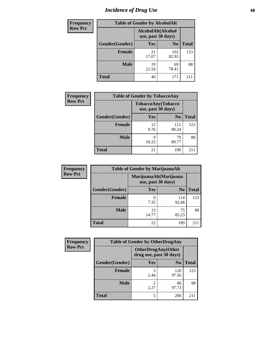# *Incidence of Drug Use* 68

| Frequency      | <b>Table of Gender by AlcoholAlt</b> |                                          |                |              |
|----------------|--------------------------------------|------------------------------------------|----------------|--------------|
| <b>Row Pct</b> |                                      | AlcoholAlt(Alcohol<br>use, past 30 days) |                |              |
|                | Gender(Gender)                       | Yes                                      | N <sub>0</sub> | <b>Total</b> |
|                | <b>Female</b>                        | 21<br>17.07                              | 102<br>82.93   | 123          |
|                | <b>Male</b>                          | 19<br>21.59                              | 69<br>78.41    | 88           |
|                | <b>Total</b>                         | 40                                       | 171            | 211          |

| <b>Frequency</b> | <b>Table of Gender by TobaccoAny</b> |                                          |                |              |
|------------------|--------------------------------------|------------------------------------------|----------------|--------------|
| <b>Row Pct</b>   |                                      | TobaccoAny(Tobacco<br>use, past 30 days) |                |              |
|                  | Gender(Gender)                       | Yes                                      | N <sub>0</sub> | <b>Total</b> |
|                  | <b>Female</b>                        | 12<br>9.76                               | 111<br>90.24   | 123          |
|                  | <b>Male</b>                          | q<br>10.23                               | 79<br>89.77    | 88           |
|                  | <b>Total</b>                         | 21                                       | 190            | 211          |

| <b>Frequency</b> |                | <b>Table of Gender by MarijuanaAlt</b> |                        |              |
|------------------|----------------|----------------------------------------|------------------------|--------------|
| <b>Row Pct</b>   |                | use, past 30 days)                     | MarijuanaAlt(Marijuana |              |
|                  | Gender(Gender) | <b>Yes</b>                             | N <sub>0</sub>         | <b>Total</b> |
|                  | <b>Female</b>  | 9<br>7.32                              | 114<br>92.68           | 123          |
|                  | <b>Male</b>    | 13<br>14.77                            | 75<br>85.23            | 88           |
|                  | <b>Total</b>   | 22                                     | 189                    | 211          |

| <b>Frequency</b> | <b>Table of Gender by OtherDrugAny</b> |                                                      |                |              |
|------------------|----------------------------------------|------------------------------------------------------|----------------|--------------|
| <b>Row Pct</b>   |                                        | <b>OtherDrugAny(Other</b><br>drug use, past 30 days) |                |              |
|                  | Gender(Gender)                         | <b>Yes</b>                                           | N <sub>0</sub> | <b>Total</b> |
|                  | <b>Female</b>                          | 2.44                                                 | 120<br>97.56   | 123          |
|                  | <b>Male</b>                            | 2.27                                                 | 86<br>97.73    | 88           |
|                  | <b>Total</b>                           | 5                                                    | 206            | 211          |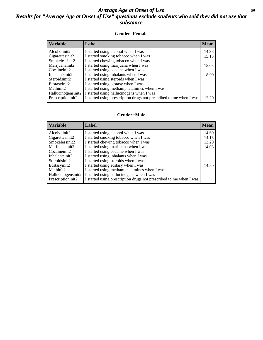## *Average Age at Onset of Use* **69** *Results for "Average Age at Onset of Use" questions exclude students who said they did not use that substance*

#### **Gender=Female**

| <b>Variable</b>                 | <b>Label</b>                                                       | <b>Mean</b> |
|---------------------------------|--------------------------------------------------------------------|-------------|
| Alcoholinit2                    | I started using alcohol when I was                                 | 14.98       |
| Cigarettesinit2                 | I started smoking tobacco when I was                               | 15.13       |
| Smokelessinit2                  | I started chewing tobacco when I was                               |             |
| Marijuanainit2                  | I started using marijuana when I was                               | 15.05       |
| Cocaineinit2                    | I started using cocaine when I was                                 |             |
| Inhalantsinit2                  | I started using inhalants when I was                               | 8.00        |
| Steroidsinit2                   | I started using steroids when I was                                |             |
| Ecstasyinit2                    | I started using ecstasy when I was                                 |             |
| Methinit2                       | I started using methamphetamines when I was                        |             |
| Hallucinogensinit2              | I started using hallucinogens when I was                           |             |
| Prescription in it <sub>2</sub> | I started using prescription drugs not prescribed to me when I was | 12.20       |

#### **Gender=Male**

| <b>Variable</b>                 | Label                                                              | <b>Mean</b> |
|---------------------------------|--------------------------------------------------------------------|-------------|
| Alcoholinit2                    | I started using alcohol when I was                                 | 14.60       |
| Cigarettesinit2                 | I started smoking tobacco when I was                               | 14.15       |
| Smokelessinit2                  | I started chewing tobacco when I was                               | 13.20       |
| Marijuanainit2                  | I started using marijuana when I was                               | 14.08       |
| Cocaineinit2                    | I started using cocaine when I was                                 |             |
| Inhalantsinit2                  | I started using inhalants when I was                               |             |
| Steroidsinit2                   | I started using steroids when I was                                |             |
| Ecstasyinit2                    | I started using ecstasy when I was                                 | 14.50       |
| Methinit2                       | I started using methamphetamines when I was                        |             |
| Hallucinogensinit2              | I started using hallucinogens when I was                           |             |
| Prescription in it <sub>2</sub> | I started using prescription drugs not prescribed to me when I was |             |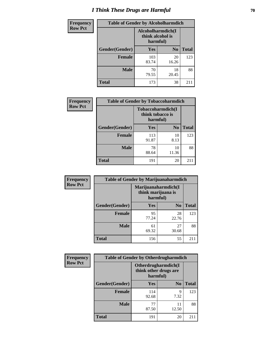# *I Think These Drugs are Harmful* **70**

| <b>Frequency</b> | <b>Table of Gender by Alcoholharmdich</b> |                              |                   |              |
|------------------|-------------------------------------------|------------------------------|-------------------|--------------|
| <b>Row Pct</b>   |                                           | think alcohol is<br>harmful) | Alcoholharmdich(I |              |
|                  | <b>Gender</b> (Gender)                    | <b>Yes</b>                   | N <sub>0</sub>    | <b>Total</b> |
|                  | <b>Female</b>                             | 103<br>83.74                 | 20<br>16.26       | 123          |
|                  | <b>Male</b>                               | 70<br>79.55                  | 18<br>20.45       | 88           |
|                  | <b>Total</b>                              | 173                          | 38                | 211          |

| Frequency      | <b>Table of Gender by Tobaccoharmdich</b> |                              |                   |              |
|----------------|-------------------------------------------|------------------------------|-------------------|--------------|
| <b>Row Pct</b> |                                           | think tobacco is<br>harmful) | Tobaccoharmdich(I |              |
|                | Gender(Gender)                            | Yes                          | N <sub>0</sub>    | <b>Total</b> |
|                | <b>Female</b>                             | 113<br>91.87                 | 10<br>8.13        | 123          |
|                | <b>Male</b>                               | 78<br>88.64                  | 10<br>11.36       | 88           |
|                | <b>Total</b>                              | 191                          | 20                | 211          |

| Frequency      | <b>Table of Gender by Marijuanaharmdich</b> |                                |                     |              |
|----------------|---------------------------------------------|--------------------------------|---------------------|--------------|
| <b>Row Pct</b> |                                             | think marijuana is<br>harmful) | Marijuanaharmdich(I |              |
|                | Gender(Gender)                              | <b>Yes</b>                     | N <sub>0</sub>      | <b>Total</b> |
|                | <b>Female</b>                               | 95<br>77.24                    | 28<br>22.76         | 123          |
|                | <b>Male</b>                                 | 61<br>69.32                    | 27<br>30.68         | 88           |
|                | <b>Total</b>                                | 156                            | 55                  | 211          |

| Frequency      | <b>Table of Gender by Otherdrugharmdich</b> |                                                          |                |              |
|----------------|---------------------------------------------|----------------------------------------------------------|----------------|--------------|
| <b>Row Pct</b> |                                             | Otherdrugharmdich(I<br>think other drugs are<br>harmful) |                |              |
|                | Gender(Gender)                              | <b>Yes</b>                                               | N <sub>0</sub> | <b>Total</b> |
|                | <b>Female</b>                               | 114<br>92.68                                             | 9<br>7.32      | 123          |
|                | <b>Male</b>                                 | 77<br>87.50                                              | 11<br>12.50    | 88           |
|                | <b>Total</b>                                | 191                                                      | 20             | 211          |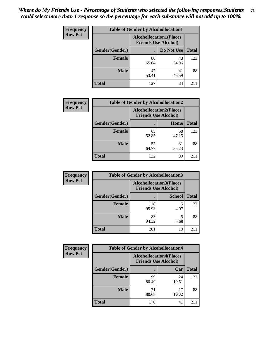| <b>Frequency</b> | <b>Table of Gender by Alcohollocation1</b>                    |             |             |              |
|------------------|---------------------------------------------------------------|-------------|-------------|--------------|
| <b>Row Pct</b>   | <b>Alcohollocation1(Places</b><br><b>Friends Use Alcohol)</b> |             |             |              |
|                  | Gender(Gender)                                                |             | Do Not Use  | <b>Total</b> |
|                  | <b>Female</b>                                                 | 80<br>65.04 | 43<br>34.96 | 123          |
|                  | <b>Male</b>                                                   | 47<br>53.41 | 41<br>46.59 | 88           |
|                  | <b>Total</b>                                                  | 127         | 84          | 211          |

| <b>Frequency</b> | <b>Table of Gender by Alcohollocation2</b> |                                                               |             |              |
|------------------|--------------------------------------------|---------------------------------------------------------------|-------------|--------------|
| <b>Row Pct</b>   |                                            | <b>Alcohollocation2(Places</b><br><b>Friends Use Alcohol)</b> |             |              |
|                  | Gender(Gender)                             |                                                               | Home        | <b>Total</b> |
|                  | <b>Female</b>                              | 65<br>52.85                                                   | 58<br>47.15 | 123          |
|                  | <b>Male</b>                                | 57<br>64.77                                                   | 31<br>35.23 | 88           |
|                  | <b>Total</b>                               | 122                                                           | 89          | 211          |

| Frequency      | <b>Table of Gender by Alcohollocation3</b> |                                                               |               |              |
|----------------|--------------------------------------------|---------------------------------------------------------------|---------------|--------------|
| <b>Row Pct</b> |                                            | <b>Alcohollocation3(Places</b><br><b>Friends Use Alcohol)</b> |               |              |
|                | Gender(Gender)                             |                                                               | <b>School</b> | <b>Total</b> |
|                | <b>Female</b>                              | 118<br>95.93                                                  | 5<br>4.07     | 123          |
|                | <b>Male</b>                                | 83<br>94.32                                                   | 5.68          | 88           |
|                | <b>Total</b>                               | 201                                                           | 10            | 211          |

| Frequency      |                | <b>Table of Gender by Alcohollocation4</b>                    |             |              |
|----------------|----------------|---------------------------------------------------------------|-------------|--------------|
| <b>Row Pct</b> |                | <b>Alcohollocation4(Places</b><br><b>Friends Use Alcohol)</b> |             |              |
|                | Gender(Gender) |                                                               | Car         | <b>Total</b> |
|                | <b>Female</b>  | 99<br>80.49                                                   | 24<br>19.51 | 123          |
|                | <b>Male</b>    | 71<br>80.68                                                   | 17<br>19.32 | 88           |
|                | <b>Total</b>   | 170                                                           | 41          | 211          |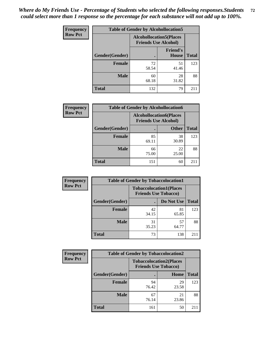| <b>Frequency</b> | <b>Table of Gender by Alcohollocation5</b>                    |             |                          |              |
|------------------|---------------------------------------------------------------|-------------|--------------------------|--------------|
| <b>Row Pct</b>   | <b>Alcohollocation5(Places</b><br><b>Friends Use Alcohol)</b> |             |                          |              |
|                  | Gender(Gender)                                                | $\bullet$   | <b>Friend's</b><br>House | <b>Total</b> |
|                  | <b>Female</b>                                                 | 72<br>58.54 | 51<br>41.46              | 123          |
|                  | <b>Male</b>                                                   | 60<br>68.18 | 28<br>31.82              | 88           |
|                  | <b>Total</b>                                                  | 132         | 79                       | 211          |

| Frequency      | <b>Table of Gender by Alcohollocation6</b> |                                                               |              |              |
|----------------|--------------------------------------------|---------------------------------------------------------------|--------------|--------------|
| <b>Row Pct</b> |                                            | <b>Alcohollocation6(Places</b><br><b>Friends Use Alcohol)</b> |              |              |
|                | <b>Gender</b> (Gender)                     |                                                               | <b>Other</b> | <b>Total</b> |
|                | Female                                     | 85<br>69.11                                                   | 38<br>30.89  | 123          |
|                | <b>Male</b>                                | 66<br>75.00                                                   | 22<br>25.00  | 88           |
|                | <b>Total</b>                               | 151                                                           | 60           | 211          |

| Frequency      | <b>Table of Gender by Tobaccolocation1</b> |                                                               |             |              |  |
|----------------|--------------------------------------------|---------------------------------------------------------------|-------------|--------------|--|
| <b>Row Pct</b> |                                            | <b>Tobaccolocation1(Places</b><br><b>Friends Use Tobacco)</b> |             |              |  |
|                | Gender(Gender)                             |                                                               | Do Not Use  | <b>Total</b> |  |
|                | Female                                     | 42<br>34.15                                                   | 81<br>65.85 | 123          |  |
|                | <b>Male</b>                                | 31<br>35.23                                                   | 57<br>64.77 | 88           |  |
|                | <b>Total</b>                               | 73                                                            | 138         | 211          |  |

| <b>Frequency</b> | <b>Table of Gender by Tobaccolocation2</b> |                                                               |             |              |  |
|------------------|--------------------------------------------|---------------------------------------------------------------|-------------|--------------|--|
| <b>Row Pct</b>   |                                            | <b>Tobaccolocation2(Places</b><br><b>Friends Use Tobacco)</b> |             |              |  |
|                  | Gender(Gender)                             |                                                               | Home        | <b>Total</b> |  |
|                  | Female                                     | 94<br>76.42                                                   | 29<br>23.58 | 123          |  |
|                  | <b>Male</b>                                | 67<br>76.14                                                   | 21<br>23.86 | 88           |  |
|                  | <b>Total</b>                               | 161                                                           | 50          | 211          |  |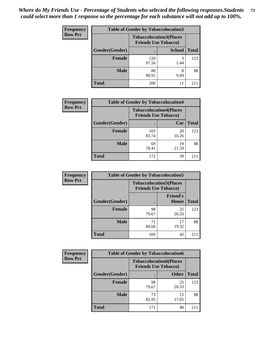| <b>Frequency</b> | <b>Table of Gender by Tobaccolocation3</b> |                             |                                |              |  |
|------------------|--------------------------------------------|-----------------------------|--------------------------------|--------------|--|
| <b>Row Pct</b>   |                                            | <b>Friends Use Tobacco)</b> | <b>Tobaccolocation3(Places</b> |              |  |
|                  | Gender(Gender)                             |                             | <b>School</b>                  | <b>Total</b> |  |
|                  | <b>Female</b>                              | 120<br>97.56                | 2.44                           | 123          |  |
|                  | <b>Male</b>                                | 80<br>90.91                 | 8<br>9.09                      | 88           |  |
|                  | <b>Total</b>                               | 200                         | 11                             | 211          |  |

| <b>Frequency</b> | <b>Table of Gender by Tobaccolocation4</b> |                                                               |             |              |
|------------------|--------------------------------------------|---------------------------------------------------------------|-------------|--------------|
| <b>Row Pct</b>   |                                            | <b>Tobaccolocation4(Places</b><br><b>Friends Use Tobacco)</b> |             |              |
|                  | Gender(Gender)                             |                                                               | Car         | <b>Total</b> |
|                  | <b>Female</b>                              | 103<br>83.74                                                  | 20<br>16.26 | 123          |
|                  | <b>Male</b>                                | 69<br>78.41                                                   | 19<br>21.59 | 88           |
|                  | <b>Total</b>                               | 172                                                           | 39          | $21^{\circ}$ |

| <b>Frequency</b> | <b>Table of Gender by Tobaccolocation5</b> |                                                               |                          |              |
|------------------|--------------------------------------------|---------------------------------------------------------------|--------------------------|--------------|
| <b>Row Pct</b>   |                                            | <b>Tobaccolocation5(Places</b><br><b>Friends Use Tobacco)</b> |                          |              |
|                  | Gender(Gender)                             |                                                               | <b>Friend's</b><br>House | <b>Total</b> |
|                  | <b>Female</b>                              | 98<br>79.67                                                   | 25<br>20.33              | 123          |
|                  | <b>Male</b>                                | 71<br>80.68                                                   | 17<br>19.32              | 88           |
|                  | <b>Total</b>                               | 169                                                           | 42                       | 211          |

| Frequency      | <b>Table of Gender by Tobaccolocation6</b> |                                                               |              |              |
|----------------|--------------------------------------------|---------------------------------------------------------------|--------------|--------------|
| <b>Row Pct</b> |                                            | <b>Tobaccolocation6(Places</b><br><b>Friends Use Tobacco)</b> |              |              |
|                | Gender(Gender)                             |                                                               | <b>Other</b> | <b>Total</b> |
|                | Female                                     | 98<br>79.67                                                   | 25<br>20.33  | 123          |
|                | <b>Male</b>                                | 73<br>82.95                                                   | 15<br>17.05  | 88           |
|                | <b>Total</b>                               | 171                                                           | 40           | 211          |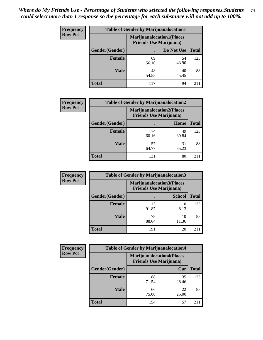| <b>Frequency</b> | <b>Table of Gender by Marijuanalocation1</b> |                                                                    |             |              |  |
|------------------|----------------------------------------------|--------------------------------------------------------------------|-------------|--------------|--|
| <b>Row Pct</b>   |                                              | <b>Marijuanalocation1(Places</b><br><b>Friends Use Marijuana</b> ) |             |              |  |
|                  | Gender(Gender)                               |                                                                    | Do Not Use  | <b>Total</b> |  |
|                  | <b>Female</b>                                | 69<br>56.10                                                        | 54<br>43.90 | 123          |  |
|                  | <b>Male</b>                                  | 48<br>54.55                                                        | 40<br>45.45 | 88           |  |
|                  | <b>Total</b>                                 | 117                                                                | 94          | 211          |  |

| <b>Frequency</b> | <b>Table of Gender by Marijuanalocation2</b> |                                                                    |             |              |  |
|------------------|----------------------------------------------|--------------------------------------------------------------------|-------------|--------------|--|
| <b>Row Pct</b>   |                                              | <b>Marijuanalocation2(Places</b><br><b>Friends Use Marijuana</b> ) |             |              |  |
|                  | Gender(Gender)                               |                                                                    | Home        | <b>Total</b> |  |
|                  | <b>Female</b>                                | 74<br>60.16                                                        | 49<br>39.84 | 123          |  |
|                  | <b>Male</b>                                  | 57<br>64.77                                                        | 31<br>35.23 | 88           |  |
|                  | <b>Total</b>                                 | 131                                                                | 80          | 2.11         |  |

| Frequency      | <b>Table of Gender by Marijuanalocation3</b> |              |                                                                    |              |
|----------------|----------------------------------------------|--------------|--------------------------------------------------------------------|--------------|
| <b>Row Pct</b> |                                              |              | <b>Marijuanalocation3(Places</b><br><b>Friends Use Marijuana</b> ) |              |
|                | Gender(Gender)                               |              | <b>School</b>                                                      | <b>Total</b> |
|                | Female                                       | 113<br>91.87 | 10<br>8.13                                                         | 123          |
|                | <b>Male</b>                                  | 78<br>88.64  | 10<br>11.36                                                        | 88           |
|                | <b>Total</b>                                 | 191          | 20                                                                 | 211          |

| <b>Frequency</b> | <b>Table of Gender by Marijuanalocation4</b> |                                |                                  |              |  |
|------------------|----------------------------------------------|--------------------------------|----------------------------------|--------------|--|
| <b>Row Pct</b>   |                                              | <b>Friends Use Marijuana</b> ) | <b>Marijuanalocation4(Places</b> |              |  |
|                  | Gender(Gender)                               |                                | Car                              | <b>Total</b> |  |
|                  | <b>Female</b>                                | 88<br>71.54                    | 35<br>28.46                      | 123          |  |
|                  | <b>Male</b>                                  | 66<br>75.00                    | 22<br>25.00                      | 88           |  |
|                  | <b>Total</b>                                 | 154                            | 57                               | $21^{\circ}$ |  |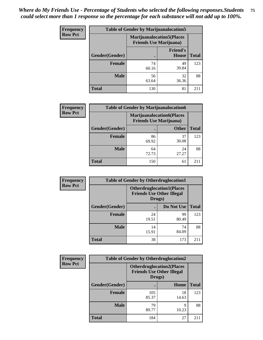| Frequency      | <b>Table of Gender by Marijuanalocation5</b> |                                                                    |                          |              |
|----------------|----------------------------------------------|--------------------------------------------------------------------|--------------------------|--------------|
| <b>Row Pct</b> |                                              | <b>Marijuanalocation5(Places</b><br><b>Friends Use Marijuana</b> ) |                          |              |
|                | Gender(Gender)                               |                                                                    | <b>Friend's</b><br>House | <b>Total</b> |
|                | <b>Female</b>                                | 74<br>60.16                                                        | 49<br>39.84              | 123          |
|                | <b>Male</b>                                  | 56<br>63.64                                                        | 32<br>36.36              | 88           |
|                | <b>Total</b>                                 | 130                                                                | 81                       | 211          |

| <b>Frequency</b> | <b>Table of Gender by Marijuanalocation6</b> |                                                                    |              |              |  |
|------------------|----------------------------------------------|--------------------------------------------------------------------|--------------|--------------|--|
| <b>Row Pct</b>   |                                              | <b>Marijuanalocation6(Places</b><br><b>Friends Use Marijuana</b> ) |              |              |  |
|                  | Gender(Gender)                               |                                                                    | <b>Other</b> | <b>Total</b> |  |
|                  | <b>Female</b>                                | 86<br>69.92                                                        | 37<br>30.08  | 123          |  |
|                  | <b>Male</b>                                  | 64<br>72.73                                                        | 24<br>27.27  | 88           |  |
|                  | <b>Total</b>                                 | 150                                                                | 61           | 2.11         |  |

| Frequency      | <b>Table of Gender by Otherdruglocation1</b> |             |                                                                      |              |
|----------------|----------------------------------------------|-------------|----------------------------------------------------------------------|--------------|
| <b>Row Pct</b> |                                              | Drugs)      | <b>Otherdruglocation1(Places</b><br><b>Friends Use Other Illegal</b> |              |
|                | Gender(Gender)                               |             | Do Not Use                                                           | <b>Total</b> |
|                | <b>Female</b>                                | 24<br>19.51 | 99<br>80.49                                                          | 123          |
|                | <b>Male</b>                                  | 14<br>15.91 | 74<br>84.09                                                          | 88           |
|                | <b>Total</b>                                 | 38          | 173                                                                  | 211          |

| Frequency      | <b>Table of Gender by Otherdruglocation2</b> |                                                                                |             |              |
|----------------|----------------------------------------------|--------------------------------------------------------------------------------|-------------|--------------|
| <b>Row Pct</b> |                                              | <b>Otherdruglocation2(Places</b><br><b>Friends Use Other Illegal</b><br>Drugs) |             |              |
|                | Gender(Gender)                               |                                                                                | Home        | <b>Total</b> |
|                | Female                                       | 105<br>85.37                                                                   | 18<br>14.63 | 123          |
|                | <b>Male</b>                                  | 79<br>89.77                                                                    | 9<br>10.23  | 88           |
|                | <b>Total</b>                                 | 184                                                                            | 27          | 211          |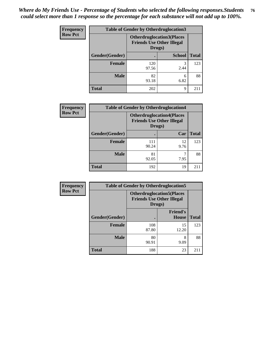| <b>Frequency</b> | <b>Table of Gender by Otherdruglocation3</b> |                                                                                |               |              |
|------------------|----------------------------------------------|--------------------------------------------------------------------------------|---------------|--------------|
| <b>Row Pct</b>   |                                              | <b>Otherdruglocation3(Places</b><br><b>Friends Use Other Illegal</b><br>Drugs) |               |              |
|                  | Gender(Gender)                               |                                                                                | <b>School</b> | <b>Total</b> |
|                  | <b>Female</b>                                | 120<br>97.56                                                                   | 3<br>2.44     | 123          |
|                  | <b>Male</b>                                  | 82<br>93.18                                                                    | 6<br>6.82     | 88           |
|                  | <b>Total</b>                                 | 202                                                                            | Q             | 211          |

| Frequency      | <b>Table of Gender by Otherdruglocation4</b> |                                            |                                  |              |  |
|----------------|----------------------------------------------|--------------------------------------------|----------------------------------|--------------|--|
| <b>Row Pct</b> |                                              | <b>Friends Use Other Illegal</b><br>Drugs) | <b>Otherdruglocation4(Places</b> |              |  |
|                | Gender(Gender)                               |                                            | Car                              | <b>Total</b> |  |
|                | Female                                       | 111<br>90.24                               | 12<br>9.76                       | 123          |  |
|                | <b>Male</b>                                  | 81<br>92.05                                | 7.95                             | 88           |  |
|                | <b>Total</b>                                 | 192                                        | 19                               | 211          |  |

| Frequency      | <b>Table of Gender by Otherdruglocation5</b> |                                            |                                  |              |
|----------------|----------------------------------------------|--------------------------------------------|----------------------------------|--------------|
| <b>Row Pct</b> |                                              | <b>Friends Use Other Illegal</b><br>Drugs) | <b>Otherdruglocation5(Places</b> |              |
|                | Gender(Gender)                               |                                            | <b>Friend's</b><br><b>House</b>  | <b>Total</b> |
|                | <b>Female</b>                                | 108<br>87.80                               | 15<br>12.20                      | 123          |
|                | <b>Male</b>                                  | 80<br>90.91                                | 8<br>9.09                        | 88           |
|                | <b>Total</b>                                 | 188                                        | 23                               | 211          |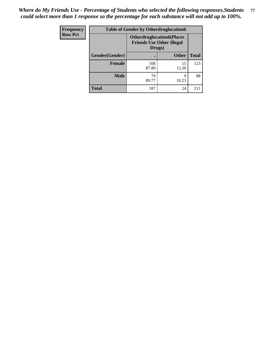| <b>Frequency</b> | <b>Table of Gender by Otherdruglocation6</b> |                                                                                |              |              |
|------------------|----------------------------------------------|--------------------------------------------------------------------------------|--------------|--------------|
| <b>Row Pct</b>   |                                              | <b>Otherdruglocation6(Places</b><br><b>Friends Use Other Illegal</b><br>Drugs) |              |              |
|                  | Gender(Gender)                               |                                                                                | <b>Other</b> | <b>Total</b> |
|                  | <b>Female</b>                                | 108<br>87.80                                                                   | 15<br>12.20  | 123          |
|                  | <b>Male</b>                                  | 79<br>89.77                                                                    | q<br>10.23   | 88           |
|                  | <b>Total</b>                                 | 187                                                                            | 24           | 211          |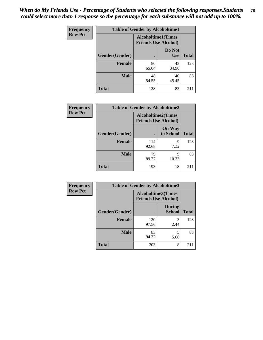| <b>Frequency</b> | <b>Table of Gender by Alcoholtime1</b> |                                                          |                      |              |
|------------------|----------------------------------------|----------------------------------------------------------|----------------------|--------------|
| <b>Row Pct</b>   |                                        | <b>Alcoholtime1(Times</b><br><b>Friends Use Alcohol)</b> |                      |              |
|                  | Gender(Gender)                         |                                                          | Do Not<br><b>Use</b> | <b>Total</b> |
|                  | <b>Female</b>                          | 80<br>65.04                                              | 43<br>34.96          | 123          |
|                  | <b>Male</b>                            | 48<br>54.55                                              | 40<br>45.45          | 88           |
|                  | <b>Total</b>                           | 128                                                      | 83                   | 211          |

| <b>Frequency</b> | <b>Table of Gender by Alcoholtime2</b> |                                                          |                            |              |
|------------------|----------------------------------------|----------------------------------------------------------|----------------------------|--------------|
| <b>Row Pct</b>   |                                        | <b>Alcoholtime2(Times</b><br><b>Friends Use Alcohol)</b> |                            |              |
|                  | Gender(Gender)                         |                                                          | <b>On Way</b><br>to School | <b>Total</b> |
|                  | Female                                 | 114<br>92.68                                             | 9<br>7.32                  | 123          |
|                  | <b>Male</b>                            | 79<br>89.77                                              | 9<br>10.23                 | 88           |
|                  | <b>Total</b>                           | 193                                                      | 18                         | 211          |

| Frequency      | <b>Table of Gender by Alcoholtime3</b> |                                                          |                                |              |
|----------------|----------------------------------------|----------------------------------------------------------|--------------------------------|--------------|
| <b>Row Pct</b> |                                        | <b>Alcoholtime3(Times</b><br><b>Friends Use Alcohol)</b> |                                |              |
|                | Gender(Gender)                         |                                                          | <b>During</b><br><b>School</b> | <b>Total</b> |
|                | <b>Female</b>                          | 120<br>97.56                                             | 3<br>2.44                      | 123          |
|                | <b>Male</b>                            | 83<br>94.32                                              | 5<br>5.68                      | 88           |
|                | <b>Total</b>                           | 203                                                      | 8                              | 211          |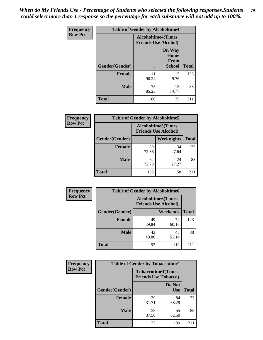*When do My Friends Use - Percentage of Students who selected the following responses.Students could select more than 1 response so the percentage for each substance will not add up to 100%.* **79**

| <b>Frequency</b> | <b>Table of Gender by Alcoholtime4</b> |                                                          |                                                |              |
|------------------|----------------------------------------|----------------------------------------------------------|------------------------------------------------|--------------|
| <b>Row Pct</b>   |                                        | <b>Alcoholtime4(Times</b><br><b>Friends Use Alcohol)</b> |                                                |              |
|                  | Gender(Gender)                         |                                                          | <b>On Way</b><br>Home<br><b>From</b><br>School | <b>Total</b> |
|                  | <b>Female</b>                          | 111<br>90.24                                             | 12<br>9.76                                     | 123          |
|                  | <b>Male</b>                            | 75<br>85.23                                              | 13<br>14.77                                    | 88           |
|                  | <b>Total</b>                           | 186                                                      | 25                                             | 211          |

| <b>Frequency</b> | <b>Table of Gender by Alcoholtime5</b> |                                                           |             |              |
|------------------|----------------------------------------|-----------------------------------------------------------|-------------|--------------|
| <b>Row Pct</b>   |                                        | <b>Alcoholtime5</b> (Times<br><b>Friends Use Alcohol)</b> |             |              |
|                  | Gender(Gender)                         |                                                           | Weeknights  | <b>Total</b> |
|                  | <b>Female</b>                          | 89<br>72.36                                               | 34<br>27.64 | 123          |
|                  | <b>Male</b>                            | 64<br>72.73                                               | 24<br>27.27 | 88           |
|                  | <b>Total</b>                           | 153                                                       | 58          | 211          |

| <b>Frequency</b> | <b>Table of Gender by Alcoholtime6</b> |             |                                                           |              |
|------------------|----------------------------------------|-------------|-----------------------------------------------------------|--------------|
| <b>Row Pct</b>   |                                        |             | <b>Alcoholtime6</b> (Times<br><b>Friends Use Alcohol)</b> |              |
|                  | Gender(Gender)                         |             | <b>Weekends</b>                                           | <b>Total</b> |
|                  | <b>Female</b>                          | 49<br>39.84 | 74<br>60.16                                               | 123          |
|                  | <b>Male</b>                            | 43<br>48.86 | 45<br>51.14                                               | 88           |
|                  | Total                                  | 92          | 119                                                       | 211          |

| Frequency      | <b>Table of Gender by Tobaccotime1</b> |                                                          |                      |              |
|----------------|----------------------------------------|----------------------------------------------------------|----------------------|--------------|
| <b>Row Pct</b> |                                        | <b>Tobaccotime1(Times</b><br><b>Friends Use Tobacco)</b> |                      |              |
|                | Gender(Gender)                         |                                                          | Do Not<br><b>Use</b> | <b>Total</b> |
|                | <b>Female</b>                          | 39<br>31.71                                              | 84<br>68.29          | 123          |
|                | <b>Male</b>                            | 33<br>37.50                                              | 55<br>62.50          | 88           |
|                | <b>Total</b>                           | 72                                                       | 139                  | 211          |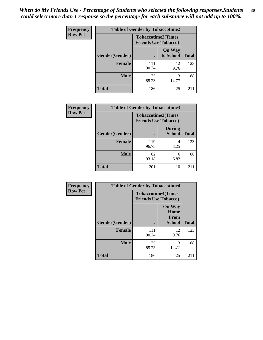| <b>Frequency</b> |                | <b>Table of Gender by Tobaccotime2</b>                   |                            |              |
|------------------|----------------|----------------------------------------------------------|----------------------------|--------------|
| <b>Row Pct</b>   |                | <b>Tobaccotime2(Times</b><br><b>Friends Use Tobacco)</b> |                            |              |
|                  | Gender(Gender) |                                                          | <b>On Way</b><br>to School | <b>Total</b> |
|                  | Female         | 111<br>90.24                                             | 12<br>9.76                 | 123          |
|                  | <b>Male</b>    | 75<br>85.23                                              | 13<br>14.77                | 88           |
|                  | <b>Total</b>   | 186                                                      | 25                         | 211          |

| <b>Frequency</b> | <b>Table of Gender by Tobaccotime3</b> |                                                          |                                |              |
|------------------|----------------------------------------|----------------------------------------------------------|--------------------------------|--------------|
| <b>Row Pct</b>   |                                        | <b>Tobaccotime3(Times</b><br><b>Friends Use Tobacco)</b> |                                |              |
|                  | Gender(Gender)                         |                                                          | <b>During</b><br><b>School</b> | <b>Total</b> |
|                  | Female                                 | 119<br>96.75                                             | 4<br>3.25                      | 123          |
|                  | <b>Male</b>                            | 82<br>93.18                                              | 6<br>6.82                      | 88           |
|                  | <b>Total</b>                           | 201                                                      | 10                             | 211          |

| <b>Frequency</b> | <b>Table of Gender by Tobaccotime4</b> |                                                          |                                                       |              |
|------------------|----------------------------------------|----------------------------------------------------------|-------------------------------------------------------|--------------|
| <b>Row Pct</b>   |                                        | <b>Tobaccotime4(Times</b><br><b>Friends Use Tobacco)</b> |                                                       |              |
|                  | Gender(Gender)                         |                                                          | <b>On Way</b><br>Home<br><b>From</b><br><b>School</b> | <b>Total</b> |
|                  | <b>Female</b>                          | 111<br>90.24                                             | 12<br>9.76                                            | 123          |
|                  | <b>Male</b>                            | 75<br>85.23                                              | 13<br>14.77                                           | 88           |
|                  | <b>Total</b>                           | 186                                                      | 25                                                    | 211          |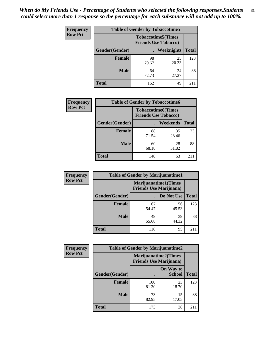| <b>Frequency</b> | <b>Table of Gender by Tobaccotime5</b> |                                                           |             |              |  |
|------------------|----------------------------------------|-----------------------------------------------------------|-------------|--------------|--|
| <b>Row Pct</b>   |                                        | <b>Tobaccotime5</b> (Times<br><b>Friends Use Tobacco)</b> |             |              |  |
|                  | Gender(Gender)                         |                                                           | Weeknights  | <b>Total</b> |  |
|                  | <b>Female</b>                          | 98<br>79.67                                               | 25<br>20.33 | 123          |  |
|                  | <b>Male</b>                            | 64<br>72.73                                               | 24<br>27.27 | 88           |  |
|                  | Total                                  | 162                                                       | 49          | 211          |  |

| <b>Frequency</b> | <b>Table of Gender by Tobaccotime6</b> |                                                          |                 |              |
|------------------|----------------------------------------|----------------------------------------------------------|-----------------|--------------|
| <b>Row Pct</b>   |                                        | <b>Tobaccotime6(Times</b><br><b>Friends Use Tobacco)</b> |                 |              |
|                  | Gender(Gender)                         |                                                          | <b>Weekends</b> | <b>Total</b> |
|                  | <b>Female</b>                          | 88<br>71.54                                              | 35<br>28.46     | 123          |
|                  | <b>Male</b>                            | 60<br>68.18                                              | 28<br>31.82     | 88           |
|                  | <b>Total</b>                           | 148                                                      | 63              | 211          |

| <b>Frequency</b> | <b>Table of Gender by Marijuanatime1</b> |                                                               |             |              |
|------------------|------------------------------------------|---------------------------------------------------------------|-------------|--------------|
| <b>Row Pct</b>   |                                          | <b>Marijuanatime1(Times</b><br><b>Friends Use Marijuana</b> ) |             |              |
|                  | <b>Gender</b> (Gender)                   |                                                               | Do Not Use  | <b>Total</b> |
|                  | Female                                   | 67<br>54.47                                                   | 56<br>45.53 | 123          |
|                  | <b>Male</b>                              | 49<br>55.68                                                   | 39<br>44.32 | 88           |
|                  | <b>Total</b>                             | 116                                                           | 95          | 211          |

| Frequency      | <b>Table of Gender by Marijuanatime2</b> |                                                        |                            |              |
|----------------|------------------------------------------|--------------------------------------------------------|----------------------------|--------------|
| <b>Row Pct</b> |                                          | Marijuanatime2(Times<br><b>Friends Use Marijuana</b> ) |                            |              |
|                | Gender(Gender)                           |                                                        | On Way to<br><b>School</b> | <b>Total</b> |
|                | <b>Female</b>                            | 100<br>81.30                                           | 23<br>18.70                | 123          |
|                | <b>Male</b>                              | 73<br>82.95                                            | 15<br>17.05                | 88           |
|                | <b>Total</b>                             | 173                                                    | 38                         | 211          |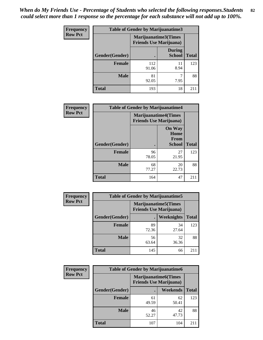*When do My Friends Use - Percentage of Students who selected the following responses.Students could select more than 1 response so the percentage for each substance will not add up to 100%.* **82**

| <b>Frequency</b> | Table of Gender by Marijuanatime3 |                                                        |                                |              |
|------------------|-----------------------------------|--------------------------------------------------------|--------------------------------|--------------|
| <b>Row Pct</b>   |                                   | Marijuanatime3(Times<br><b>Friends Use Marijuana</b> ) |                                |              |
|                  | Gender(Gender)                    |                                                        | <b>During</b><br><b>School</b> | <b>Total</b> |
|                  | <b>Female</b>                     | 112<br>91.06                                           | 11<br>8.94                     | 123          |
|                  | <b>Male</b>                       | 81<br>92.05                                            | 7.95                           | 88           |
|                  | <b>Total</b>                      | 193                                                    | 18                             | 211          |

| Frequency      | <b>Table of Gender by Marijuanatime4</b> |                                                                |                                                       |              |
|----------------|------------------------------------------|----------------------------------------------------------------|-------------------------------------------------------|--------------|
| <b>Row Pct</b> |                                          | <b>Marijuanatime4</b> (Times<br><b>Friends Use Marijuana</b> ) |                                                       |              |
|                | Gender(Gender)                           |                                                                | <b>On Way</b><br>Home<br><b>From</b><br><b>School</b> | <b>Total</b> |
|                | <b>Female</b>                            | 96<br>78.05                                                    | 27<br>21.95                                           | 123          |
|                | <b>Male</b>                              | 68<br>77.27                                                    | 20<br>22.73                                           | 88           |
|                | <b>Total</b>                             | 164                                                            | 47                                                    | 211          |

| Frequency      | <b>Table of Gender by Marijuanatime5</b> |             |                                                                |              |
|----------------|------------------------------------------|-------------|----------------------------------------------------------------|--------------|
| <b>Row Pct</b> |                                          |             | <b>Marijuanatime5</b> (Times<br><b>Friends Use Marijuana</b> ) |              |
|                | Gender(Gender)                           |             | Weeknights                                                     | <b>Total</b> |
|                | <b>Female</b>                            | 89<br>72.36 | 34<br>27.64                                                    | 123          |
|                | <b>Male</b>                              | 56<br>63.64 | 32<br>36.36                                                    | 88           |
|                | <b>Total</b>                             | 145         | 66                                                             | 211          |

| Frequency      | <b>Table of Gender by Marijuanatime6</b> |                                                               |                 |              |
|----------------|------------------------------------------|---------------------------------------------------------------|-----------------|--------------|
| <b>Row Pct</b> |                                          | <b>Marijuanatime6(Times</b><br><b>Friends Use Marijuana</b> ) |                 |              |
|                | Gender(Gender)                           |                                                               | <b>Weekends</b> | <b>Total</b> |
|                | <b>Female</b>                            | 61<br>49.59                                                   | 62<br>50.41     | 123          |
|                | <b>Male</b>                              | 46<br>52.27                                                   | 42<br>47.73     | 88           |
|                | <b>Total</b>                             | 107                                                           | 104             | 211          |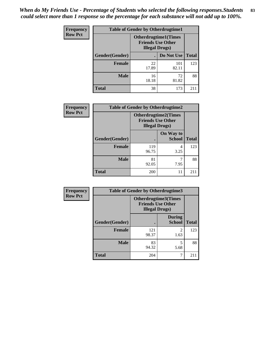*When do My Friends Use - Percentage of Students who selected the following responses.Students could select more than 1 response so the percentage for each substance will not add up to 100%.* **83**

| <b>Frequency</b> | <b>Table of Gender by Otherdrugtime1</b> |                                                                                    |              |              |
|------------------|------------------------------------------|------------------------------------------------------------------------------------|--------------|--------------|
| <b>Row Pct</b>   |                                          | <b>Otherdrugtime1</b> (Times<br><b>Friends Use Other</b><br><b>Illegal Drugs</b> ) |              |              |
|                  | Gender(Gender)                           |                                                                                    | Do Not Use   | <b>Total</b> |
|                  | <b>Female</b>                            | 22<br>17.89                                                                        | 101<br>82.11 | 123          |
|                  | <b>Male</b>                              | 16<br>18.18                                                                        | 72<br>81.82  | 88           |
|                  | <b>Total</b>                             | 38                                                                                 | 173          | 211          |

| Frequency      | <b>Table of Gender by Otherdrugtime2</b> |                                                    |                             |              |
|----------------|------------------------------------------|----------------------------------------------------|-----------------------------|--------------|
| <b>Row Pct</b> |                                          | <b>Friends Use Other</b><br><b>Illegal Drugs</b> ) | <b>Otherdrugtime2(Times</b> |              |
|                | Gender(Gender)                           |                                                    | On Way to<br><b>School</b>  | <b>Total</b> |
|                | <b>Female</b>                            | 119<br>96.75                                       | 4<br>3.25                   | 123          |
|                | <b>Male</b>                              | 81<br>92.05                                        | 7.95                        | 88           |
|                | <b>Total</b>                             | 200                                                | 11                          | 211          |

| Frequency      | <b>Table of Gender by Otherdrugtime3</b> |                                                                                  |                                |              |  |
|----------------|------------------------------------------|----------------------------------------------------------------------------------|--------------------------------|--------------|--|
| <b>Row Pct</b> |                                          | <b>Otherdrugtime3(Times</b><br><b>Friends Use Other</b><br><b>Illegal Drugs)</b> |                                |              |  |
|                | Gender(Gender)                           |                                                                                  | <b>During</b><br><b>School</b> | <b>Total</b> |  |
|                | <b>Female</b>                            | 121<br>98.37                                                                     | 2<br>1.63                      | 123          |  |
|                | <b>Male</b>                              | 83<br>94.32                                                                      | 5<br>5.68                      | 88           |  |
|                | <b>Total</b>                             | 204                                                                              | 7                              | 211          |  |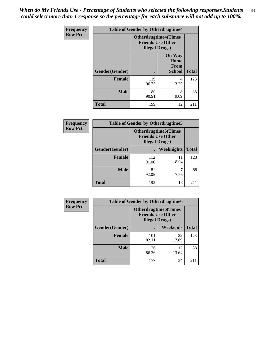*When do My Friends Use - Percentage of Students who selected the following responses.Students could select more than 1 response so the percentage for each substance will not add up to 100%.* **84**

| Frequency      | <b>Table of Gender by Otherdrugtime4</b> |                        |                                                         |              |
|----------------|------------------------------------------|------------------------|---------------------------------------------------------|--------------|
| <b>Row Pct</b> |                                          | <b>Illegal Drugs</b> ) | <b>Otherdrugtime4(Times</b><br><b>Friends Use Other</b> |              |
|                | Gender(Gender)                           |                        | <b>On Way</b><br>Home<br><b>From</b><br><b>School</b>   | <b>Total</b> |
|                | <b>Female</b>                            | 119<br>96.75           | 4<br>3.25                                               | 123          |
|                | <b>Male</b>                              | 80<br>90.91            | 8<br>9.09                                               | 88           |
|                | <b>Total</b>                             | 199                    | 12                                                      | 211          |

| Frequency      | <b>Table of Gender by Otherdrugtime5</b> |                                                                                    |            |              |  |
|----------------|------------------------------------------|------------------------------------------------------------------------------------|------------|--------------|--|
| <b>Row Pct</b> |                                          | <b>Otherdrugtime5</b> (Times<br><b>Friends Use Other</b><br><b>Illegal Drugs</b> ) |            |              |  |
|                | Gender(Gender)                           |                                                                                    | Weeknights | <b>Total</b> |  |
|                | <b>Female</b>                            | 112<br>91.06                                                                       | 11<br>8.94 | 123          |  |
|                | <b>Male</b>                              | 81<br>92.05                                                                        | 7.95       | 88           |  |
|                | <b>Total</b>                             | 193                                                                                | 18         | 211          |  |

| <b>Frequency</b> |                | <b>Table of Gender by Otherdrugtime6</b>                                          |             |              |  |  |
|------------------|----------------|-----------------------------------------------------------------------------------|-------------|--------------|--|--|
| <b>Row Pct</b>   |                | <b>Otherdrugtime6(Times</b><br><b>Friends Use Other</b><br><b>Illegal Drugs</b> ) |             |              |  |  |
|                  | Gender(Gender) |                                                                                   | Weekends    | <b>Total</b> |  |  |
|                  | <b>Female</b>  | 101<br>82.11                                                                      | 22<br>17.89 | 123          |  |  |
|                  | <b>Male</b>    | 76<br>86.36                                                                       | 12<br>13.64 | 88           |  |  |
|                  | <b>Total</b>   | 177                                                                               | 34          | 211          |  |  |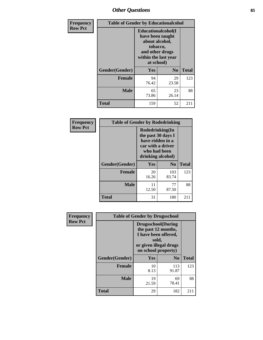# *Other Questions* **85**

| <b>Frequency</b> | <b>Table of Gender by Educationalcohol</b> |                                                                                                                                       |                |              |
|------------------|--------------------------------------------|---------------------------------------------------------------------------------------------------------------------------------------|----------------|--------------|
| <b>Row Pct</b>   |                                            | <b>Educationalcohol</b> (I<br>have been taught<br>about alcohol,<br>tobacco,<br>and other drugs<br>within the last year<br>at school) |                |              |
|                  | Gender(Gender)                             | <b>Yes</b>                                                                                                                            | N <sub>0</sub> | <b>Total</b> |
|                  | <b>Female</b>                              | 94<br>76.42                                                                                                                           | 29<br>23.58    | 123          |
|                  | <b>Male</b>                                | 65<br>73.86                                                                                                                           | 23<br>26.14    | 88           |
|                  | <b>Total</b>                               | 159                                                                                                                                   | 52             | 211          |

| Frequency      | <b>Table of Gender by Rodedrinking</b> |                                                                                                                     |              |              |  |
|----------------|----------------------------------------|---------------------------------------------------------------------------------------------------------------------|--------------|--------------|--|
| <b>Row Pct</b> |                                        | Rodedrinking(In<br>the past 30 days I<br>have ridden in a<br>car with a driver<br>who had been<br>drinking alcohol) |              |              |  |
|                | Gender(Gender)                         | Yes                                                                                                                 | $\bf N_0$    | <b>Total</b> |  |
|                | <b>Female</b>                          | 20<br>16.26                                                                                                         | 103<br>83.74 | 123          |  |
|                | <b>Male</b>                            | 11<br>12.50                                                                                                         | 77<br>87.50  | 88           |  |
|                | <b>Total</b>                           | 31                                                                                                                  | 180          | 211          |  |

| Frequency      |                | <b>Table of Gender by Drugsschool</b>                                                                                               |                |              |
|----------------|----------------|-------------------------------------------------------------------------------------------------------------------------------------|----------------|--------------|
| <b>Row Pct</b> |                | <b>Drugsschool</b> (During<br>the past 12 months,<br>I have been offered,<br>sold,<br>or given illegal drugs<br>on school property) |                |              |
|                | Gender(Gender) | <b>Yes</b>                                                                                                                          | N <sub>0</sub> | <b>Total</b> |
|                | <b>Female</b>  | 10<br>8.13                                                                                                                          | 113<br>91.87   | 123          |
|                | <b>Male</b>    | 19<br>21.59                                                                                                                         | 69<br>78.41    | 88           |
|                | <b>Total</b>   | 29                                                                                                                                  | 182            | 211          |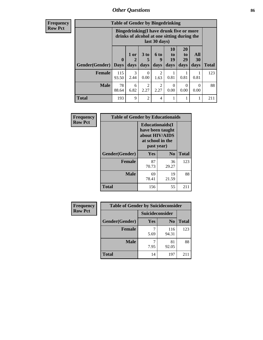# *Other Questions* **86**

**Frequency Row Pct**

| <b>Table of Gender by Bingedrinking</b> |                                                                                                         |              |                   |                        |                               |                        |                   |              |
|-----------------------------------------|---------------------------------------------------------------------------------------------------------|--------------|-------------------|------------------------|-------------------------------|------------------------|-------------------|--------------|
|                                         | Bingedrinking(I have drunk five or more<br>drinks of alcohol at one sitting during the<br>last 30 days) |              |                   |                        |                               |                        |                   |              |
| <b>Gender</b> (Gender)                  | $\bf{0}$<br><b>Davs</b>                                                                                 | 1 or<br>days | 3 to<br>5<br>days | 6 to<br>9<br>days      | <b>10</b><br>to<br>19<br>days | 20<br>to<br>29<br>days | All<br>30<br>days | <b>Total</b> |
| <b>Female</b>                           | 115<br>93.50                                                                                            | 3<br>2.44    | $\Omega$<br>0.00  | $\mathfrak{D}$<br>1.63 | 0.81                          | 0.81                   | 0.81              | 123          |
| <b>Male</b>                             | 78<br>88.64                                                                                             | 6<br>6.82    | 2<br>2.27         | $\mathfrak{D}$<br>2.27 | $\Omega$<br>0.00              | 0<br>0.00              | 0<br>0.00         | 88           |
| <b>Total</b>                            | 193                                                                                                     | 9            | $\mathfrak{D}$    | 4                      | 1                             |                        |                   | 211          |

| Frequency      | <b>Table of Gender by Educationaids</b> |                                                                                                 |             |              |
|----------------|-----------------------------------------|-------------------------------------------------------------------------------------------------|-------------|--------------|
| <b>Row Pct</b> |                                         | <b>Educationaids</b> (I<br>have been taught<br>about HIV/AIDS<br>at school in the<br>past year) |             |              |
|                | Gender(Gender)                          | Yes                                                                                             | $\bf N_0$   | <b>Total</b> |
|                | <b>Female</b>                           | 87<br>70.73                                                                                     | 36<br>29.27 | 123          |
|                | <b>Male</b>                             | 69<br>78.41                                                                                     | 19<br>21.59 | 88           |
|                | <b>Total</b>                            | 156                                                                                             | 55          | 211          |

| <b>Frequency</b> | <b>Table of Gender by Suicideconsider</b> |                        |                |       |
|------------------|-------------------------------------------|------------------------|----------------|-------|
| <b>Row Pct</b>   |                                           | <b>Suicideconsider</b> |                |       |
|                  | Gender(Gender)                            | Yes                    | N <sub>0</sub> | Total |
|                  | Female                                    | 5.69                   | 116<br>94.31   | 123   |
|                  | <b>Male</b>                               | 7.95                   | 81<br>92.05    | 88    |
|                  | <b>Total</b>                              | 14                     | 197            | 211   |